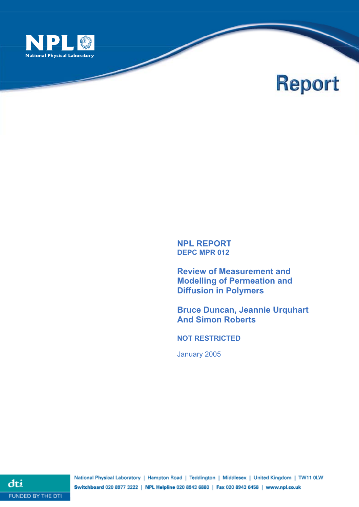

# **Report**

## **NPL REPORT DEPC MPR 012**

NPL Report <Divisionacronym><Team acronym><RES><serial number>

**Review of Measurement and Modelling of Permeation and Diffusion in Polymers**

**Bruce Duncan, Jeannie Urquhart And Simon Roberts** 

**NOT RESTRICTED** 

January 2005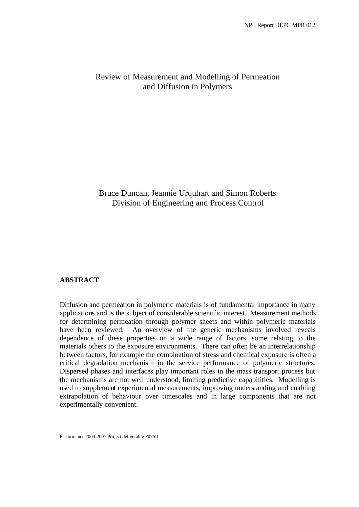# Review of Measurement and Modelling of Permeation and Diffusion in Polymers

# Bruce Duncan, Jeannie Urquhart and Simon Roberts Division of Engineering and Process Control

#### **ABSTRACT**

Diffusion and permeation in polymeric materials is of fundamental importance in many applications and is the subject of considerable scientific interest. Measurement methods for determining permeation through polymer sheets and within polymeric materials have been reviewed. An overview of the generic mechanisms involved reveals dependence of these properties on a wide range of factors, some relating to the materials others to the exposure environments. There can often be an interrelationship between factors, for example the combination of stress and chemical exposure is often a critical degradation mechanism in the service performance of polymeric structures. Dispersed phases and interfaces play important roles in the mass transport process but the mechanisms are not well understood, limiting predictive capabilities. Modelling is used to supplement experimental measurements, improving understanding and enabling extrapolation of behaviour over timescales and in large components that are not experimentally convenient.

Performance 2004-2007 Project deliverable F07/d1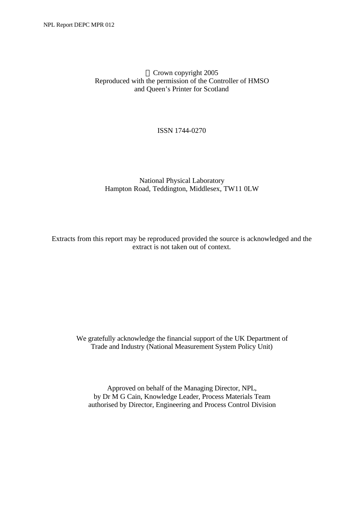## Crown copyright 2005 Reproduced with the permission of the Controller of HMSO and Queen's Printer for Scotland

## ISSN 1744-0270

## National Physical Laboratory Hampton Road, Teddington, Middlesex, TW11 0LW

Extracts from this report may be reproduced provided the source is acknowledged and the extract is not taken out of context.

We gratefully acknowledge the financial support of the UK Department of Trade and Industry (National Measurement System Policy Unit)

Approved on behalf of the Managing Director, NPL, by Dr M G Cain, Knowledge Leader, Process Materials Team authorised by Director, Engineering and Process Control Division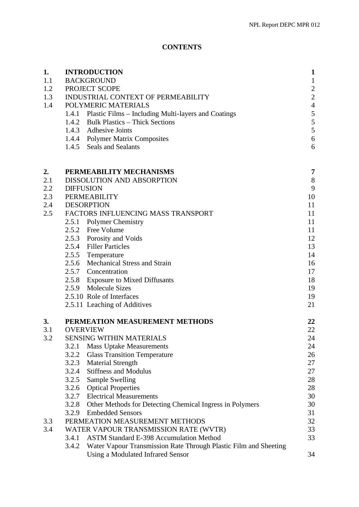# **CONTENTS**

| 1.<br>1.1<br>1.2 | <b>INTRODUCTION</b><br><b>BACKGROUND</b><br>PROJECT SCOPE                                                      |                |
|------------------|----------------------------------------------------------------------------------------------------------------|----------------|
| 1.3              | INDUSTRIAL CONTEXT OF PERMEABILITY                                                                             | $\overline{c}$ |
| 1.4              | POLYMERIC MATERIALS                                                                                            | $\overline{4}$ |
|                  | 1.4.1 Plastic Films – Including Multi-layers and Coatings                                                      | 5              |
|                  | 1.4.2 Bulk Plastics – Thick Sections                                                                           | 5              |
|                  | 1.4.3 Adhesive Joints                                                                                          | 5<br>6         |
|                  | 1.4.4 Polymer Matrix Composites<br>1.4.5 Seals and Sealants                                                    | 6              |
|                  |                                                                                                                |                |
| 2.               | PERMEABILITY MECHANISMS                                                                                        | 7              |
| 2.1              | DISSOLUTION AND ABSORPTION                                                                                     | 8              |
| 2.2              | <b>DIFFUSION</b>                                                                                               | 9              |
| 2.3              | <b>PERMEABILITY</b>                                                                                            | 10             |
| 2.4              | <b>DESORPTION</b>                                                                                              | 11             |
| 2.5              | FACTORS INFLUENCING MASS TRANSPORT                                                                             | 11             |
|                  | 2.5.1 Polymer Chemistry<br>2.5.2 Free Volume                                                                   | 11<br>11       |
|                  | 2.5.3 Porosity and Voids                                                                                       | 12             |
|                  | 2.5.4 Filler Particles                                                                                         | 13             |
|                  | 2.5.5 Temperature                                                                                              | 14             |
|                  | 2.5.6 Mechanical Stress and Strain                                                                             | 16             |
|                  | 2.5.7 Concentration                                                                                            | 17             |
|                  | 2.5.8 Exposure to Mixed Diffusants                                                                             | 18             |
|                  | 2.5.9 Molecule Sizes                                                                                           | 19             |
|                  | 2.5.10 Role of Interfaces                                                                                      | 19             |
|                  | 2.5.11 Leaching of Additives                                                                                   | 21             |
| 3.               | PERMEATION MEASUREMENT METHODS                                                                                 | 22             |
| 3.1              | <b>OVERVIEW</b>                                                                                                | 22             |
| 3.2              | <b>SENSING WITHIN MATERIALS</b><br>3.2.1<br><b>Mass Uptake Measurements</b>                                    | 24<br>24       |
|                  | <b>Glass Transition Temperature</b><br>3.2.2                                                                   | 26             |
|                  | <b>Material Strength</b><br>3.2.3                                                                              | 27             |
|                  | <b>Stiffness and Modulus</b><br>3.2.4                                                                          | 27             |
|                  | 3.2.5<br><b>Sample Swelling</b>                                                                                | 28             |
|                  | <b>Optical Properties</b><br>3.2.6                                                                             | 28             |
|                  | 3.2.7<br><b>Electrical Measurements</b>                                                                        | 30             |
|                  | 3.2.8<br>Other Methods for Detecting Chemical Ingress in Polymers                                              | 30             |
|                  | <b>Embedded Sensors</b><br>3.2.9                                                                               | 31             |
| 3.3              | PERMEATION MEASUREMENT METHODS                                                                                 | 32             |
| 3.4              | WATER VAPOUR TRANSMISSION RATE (WVTR)                                                                          | 33             |
|                  | <b>ASTM Standard E-398 Accumulation Method</b><br>3.4.1                                                        | 33             |
|                  | Water Vapour Transmission Rate Through Plastic Film and Sheeting<br>3.4.2<br>Using a Modulated Infrared Sensor | 34             |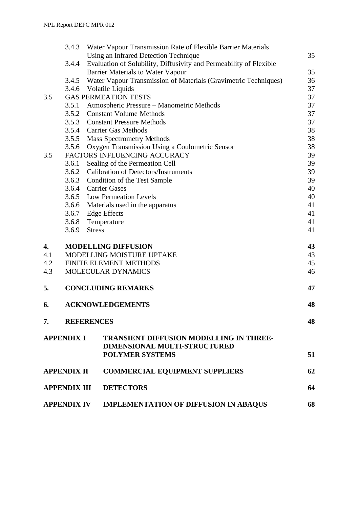|                     | 3.4.3              | Water Vapour Transmission Rate of Flexible Barrier Materials                                             |    |
|---------------------|--------------------|----------------------------------------------------------------------------------------------------------|----|
|                     |                    | Using an Infrared Detection Technique                                                                    | 35 |
|                     | 3.4.4              | Evaluation of Solubility, Diffusivity and Permeability of Flexible                                       |    |
|                     |                    | <b>Barrier Materials to Water Vapour</b>                                                                 | 35 |
|                     | 3.4.5              | Water Vapour Transmission of Materials (Gravimetric Techniques)                                          | 36 |
|                     |                    | 3.4.6 Volatile Liquids                                                                                   | 37 |
| 3.5                 |                    | <b>GAS PERMEATION TESTS</b>                                                                              | 37 |
|                     | 3.5.1              | Atmospheric Pressure – Manometric Methods                                                                | 37 |
|                     |                    | 3.5.2 Constant Volume Methods                                                                            | 37 |
|                     | 3.5.3              | <b>Constant Pressure Methods</b>                                                                         | 37 |
|                     | 3.5.4              | <b>Carrier Gas Methods</b>                                                                               | 38 |
|                     | 3.5.5              | <b>Mass Spectrometry Methods</b>                                                                         | 38 |
|                     | 3.5.6              | Oxygen Transmission Using a Coulometric Sensor                                                           | 38 |
| 3.5                 |                    | FACTORS INFLUENCING ACCURACY                                                                             | 39 |
|                     | 3.6.1              | Sealing of the Permeation Cell                                                                           | 39 |
|                     | 3.6.2              | <b>Calibration of Detectors/Instruments</b>                                                              | 39 |
|                     | 3.6.3              | Condition of the Test Sample                                                                             | 39 |
|                     | 3.6.4              | <b>Carrier Gases</b>                                                                                     | 40 |
|                     |                    | 3.6.5 Low Permeation Levels                                                                              | 40 |
|                     |                    | 3.6.6 Materials used in the apparatus                                                                    | 41 |
|                     | 3.6.7              | <b>Edge Effects</b>                                                                                      | 41 |
|                     | 3.6.8              | Temperature                                                                                              | 41 |
|                     | 3.6.9              | <b>Stress</b>                                                                                            | 41 |
| 4.                  |                    | <b>MODELLING DIFFUSION</b>                                                                               | 43 |
| 4.1                 |                    | MODELLING MOISTURE UPTAKE                                                                                | 43 |
| 4.2                 |                    | FINITE ELEMENT METHODS                                                                                   | 45 |
| 4.3                 |                    | MOLECULAR DYNAMICS                                                                                       | 46 |
| 5.                  |                    | <b>CONCLUDING REMARKS</b>                                                                                | 47 |
| 6.                  |                    | <b>ACKNOWLEDGEMENTS</b>                                                                                  | 48 |
| 7.                  |                    | <b>REFERENCES</b>                                                                                        | 48 |
| <b>APPENDIX I</b>   |                    | <b>TRANSIENT DIFFUSION MODELLING IN THREE-</b><br>DIMENSIONAL MULTI-STRUCTURED<br><b>POLYMER SYSTEMS</b> | 51 |
|                     |                    |                                                                                                          |    |
| <b>APPENDIX II</b>  |                    | <b>COMMERCIAL EQUIPMENT SUPPLIERS</b>                                                                    | 62 |
| <b>APPENDIX III</b> |                    | <b>DETECTORS</b>                                                                                         | 64 |
|                     | <b>APPENDIX IV</b> | <b>IMPLEMENTATION OF DIFFUSION IN ABAQUS</b>                                                             | 68 |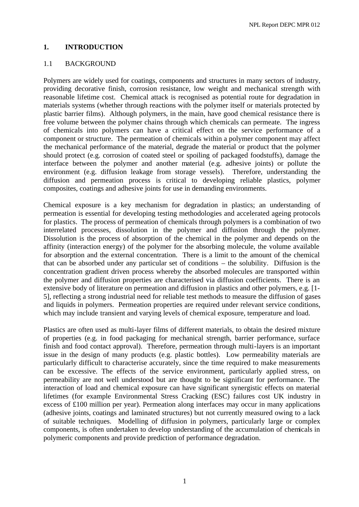#### **1. INTRODUCTION**

#### 1.1 BACKGROUND

Polymers are widely used for coatings, components and structures in many sectors of industry, providing decorative finish, corrosion resistance, low weight and mechanical strength with reasonable lifetime cost. Chemical attack is recognised as potential route for degradation in materials systems (whether through reactions with the polymer itself or materials protected by plastic barrier films). Although polymers, in the main, have good chemical resistance there is free volume between the polymer chains through which chemicals can permeate. The ingress of chemicals into polymers can have a critical effect on the service performance of a component or structure. The permeation of chemicals within a polymer component may affect the mechanical performance of the material, degrade the material or product that the polymer should protect (e.g. corrosion of coated steel or spoiling of packaged foodstuffs), damage the interface between the polymer and another material (e.g. adhesive joints) or pollute the environment (e.g. diffusion leakage from storage vessels). Therefore, understanding the diffusion and permeation process is critical to developing reliable plastics, polymer composites, coatings and adhesive joints for use in demanding environments.

Chemical exposure is a key mechanism for degradation in plastics; an understanding of permeation is essential for developing testing methodologies and accelerated ageing protocols for plastics. The process of permeation of chemicals through polymers is a combination of two interrelated processes, dissolution in the polymer and diffusion through the polymer. Dissolution is the process of absorption of the chemical in the polymer and depends on the affinity (interaction energy) of the polymer for the absorbing molecule, the volume available for absorption and the external concentration. There is a limit to the amount of the chemical that can be absorbed under any particular set of conditions – the solubility. Diffusion is the concentration gradient driven process whereby the absorbed molecules are transported within the polymer and diffusion properties are characterised via diffusion coefficients. There is an extensive body of literature on permeation and diffusion in plastics and other polymers, e.g. [1- 5], reflecting a strong industrial need for reliable test methods to measure the diffusion of gases and liquids in polymers. Permeation properties are required under relevant service conditions, which may include transient and varying levels of chemical exposure, temperature and load.

Plastics are often used as multi-layer films of different materials, to obtain the desired mixture of properties (e.g. in food packaging for mechanical strength, barrier performance, surface finish and food contact approval). Therefore, permeation through multi-layers is an important issue in the design of many products (e.g. plastic bottles). Low permeability materials are particularly difficult to characterise accurately, since the time required to make measurements can be excessive. The effects of the service environment, particularly applied stress, on permeability are not well understood but are thought to be significant for performance. The interaction of load and chemical exposure can have significant synergistic effects on material lifetimes (for example Environmental Stress Cracking (ESC) failures cost UK industry in excess of £100 million per year). Permeation along interfaces may occur in many applications (adhesive joints, coatings and laminated structures) but not currently measured owing to a lack of suitable techniques. Modelling of diffusion in polymers, particularly large or complex components, is often undertaken to develop understanding of the accumulation of chemicals in polymeric components and provide prediction of performance degradation.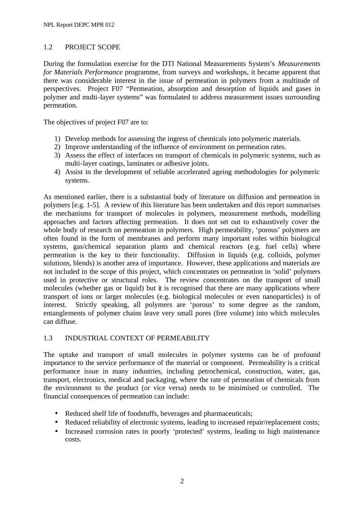## 1.2 PROJECT SCOPE

During the formulation exercise for the DTI National Measurements System's *Measurements for Materials Performance* programme, from surveys and workshops, it became apparent that there was considerable interest in the issue of permeation in polymers from a multitude of perspectives. Project F07 "Permeation, absorption and desorption of liquids and gases in polymer and multi-layer systems" was formulated to address measurement issues surrounding permeation.

The objectives of project F07 are to:

- 1) Develop methods for assessing the ingress of chemicals into polymeric materials.
- 2) Improve understanding of the influence of environment on permeation rates.
- 3) Assess the effect of interfaces on transport of chemicals in polymeric systems, such as multi-layer coatings, laminates or adhesive joints.
- 4) Assist in the development of reliable accelerated ageing methodologies for polymeric systems.

As mentioned earlier, there is a substantial body of literature on diffusion and permeation in polymers [e.g. 1-5]. A review of this literature has been undertaken and this report summarises the mechanisms for transport of molecules in polymers, measurement methods, modelling approaches and factors affecting permeation. It does not set out to exhaustively cover the whole body of research on permeation in polymers. High permeability, 'porous' polymers are often found in the form of membranes and perform many important roles within biological systems, gas/chemical separation plants and chemical reactors (e.g. fuel cells) where permeation is the key to their functionality. Diffusion in liquids (e.g. colloids, polymer solutions, blends) is another area of importance. However, these applications and materials are not included in the scope of this project, which concentrates on permeation in 'solid' polymers used in protective or structural roles. The review concentrates on the transport of small molecules (whether gas or liquid) but it is recognised that there are many applications where transport of ions or larger molecules (e.g. biological molecules or even nanoparticles) is of interest. Strictly speaking, all polymers are 'porous' to some degree as the random, entanglements of polymer chains leave very small pores (free volume) into which molecules can diffuse.

## 1.3 INDUSTRIAL CONTEXT OF PERMEABILITY

The uptake and transport of small molecules in polymer systems can be of profound importance to the service performance of the material or component. Permeability is a critical performance issue in many industries, including petrochemical, construction, water, gas, transport, electronics, medical and packaging, where the rate of permeation of chemicals from the environment to the product (or vice versa) needs to be minimised or controlled. The financial consequences of permeation can include:

- Reduced shelf life of foodstuffs, beverages and pharmaceuticals;
- Reduced reliability of electronic systems, leading to increased repair/replacement costs;
- Increased corrosion rates in poorly 'protected' systems, leading to high maintenance costs.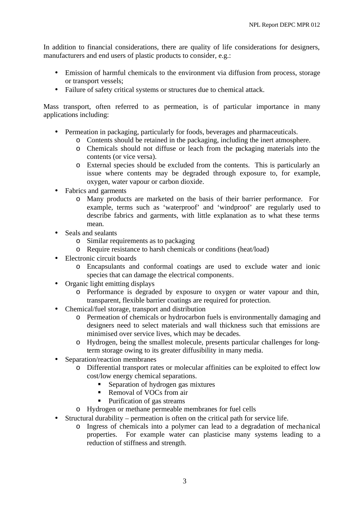In addition to financial considerations, there are quality of life considerations for designers, manufacturers and end users of plastic products to consider, e.g.:

- Emission of harmful chemicals to the environment via diffusion from process, storage or transport vessels;
- Failure of safety critical systems or structures due to chemical attack.

Mass transport, often referred to as permeation, is of particular importance in many applications including:

- Permeation in packaging, particularly for foods, beverages and pharmaceuticals.
	- o Contents should be retained in the packaging, including the inert atmosphere.
	- o Chemicals should not diffuse or leach from the packaging materials into the contents (or vice versa).
	- o External species should be excluded from the contents. This is particularly an issue where contents may be degraded through exposure to, for example, oxygen, water vapour or carbon dioxide.
- Fabrics and garments
	- o Many products are marketed on the basis of their barrier performance. For example, terms such as 'waterproof' and 'windproof' are regularly used to describe fabrics and garments, with little explanation as to what these terms mean.
- Seals and sealants
	- o Similar requirements as to packaging
	- o Require resistance to harsh chemicals or conditions (heat/load)
- Electronic circuit boards
	- o Encapsulants and conformal coatings are used to exclude water and ionic species that can damage the electrical components.
- Organic light emitting displays
	- o Performance is degraded by exposure to oxygen or water vapour and thin, transparent, flexible barrier coatings are required for protection.
- Chemical/fuel storage, transport and distribution
	- o Permeation of chemicals or hydrocarbon fuels is environmentally damaging and designers need to select materials and wall thickness such that emissions are minimised over service lives, which may be decades.
	- o Hydrogen, being the smallest molecule, presents particular challenges for longterm storage owing to its greater diffusibility in many media.
- Separation/reaction membranes
	- o Differential transport rates or molecular affinities can be exploited to effect low cost/low energy chemical separations.
		- ß Separation of hydrogen gas mixtures
		- Removal of VOCs from air
		- Purification of gas streams
	- o Hydrogen or methane permeable membranes for fuel cells
- Structural durability permeation is often on the critical path for service life.
	- o Ingress of chemicals into a polymer can lead to a degradation of mechanical properties. For example water can plasticise many systems leading to a reduction of stiffness and strength.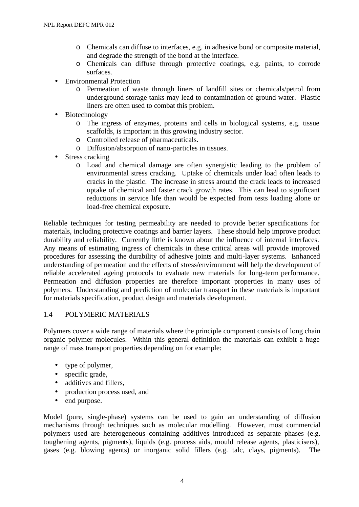- o Chemicals can diffuse to interfaces, e.g. in adhesive bond or composite material, and degrade the strength of the bond at the interface.
- o Chemicals can diffuse through protective coatings, e.g. paints, to corrode surfaces.
- Environmental Protection
	- o Permeation of waste through liners of landfill sites or chemicals/petrol from underground storage tanks may lead to contamination of ground water. Plastic liners are often used to combat this problem.
- Biotechnology
	- o The ingress of enzymes, proteins and cells in biological systems, e.g. tissue scaffolds, is important in this growing industry sector.
	- o Controlled release of pharmaceuticals.
	- o Diffusion/absorption of nano-particles in tissues.
- Stress cracking
	- o Load and chemical damage are often synergistic leading to the problem of environmental stress cracking. Uptake of chemicals under load often leads to cracks in the plastic. The increase in stress around the crack leads to increased uptake of chemical and faster crack growth rates. This can lead to significant reductions in service life than would be expected from tests loading alone or load-free chemical exposure.

Reliable techniques for testing permeability are needed to provide better specifications for materials, including protective coatings and barrier layers. These should help improve product durability and reliability. Currently little is known about the influence of internal interfaces. Any means of estimating ingress of chemicals in these critical areas will provide improved procedures for assessing the durability of adhesive joints and multi-layer systems. Enhanced understanding of permeation and the effects of stress/environment will help the development of reliable accelerated ageing protocols to evaluate new materials for long-term performance. Permeation and diffusion properties are therefore important properties in many uses of polymers. Understanding and prediction of molecular transport in these materials is important for materials specification, product design and materials development.

#### 1.4 POLYMERIC MATERIALS

Polymers cover a wide range of materials where the principle component consists of long chain organic polymer molecules. Within this general definition the materials can exhibit a huge range of mass transport properties depending on for example:

- type of polymer,
- specific grade,
- additives and fillers.
- production process used, and
- end purpose.

Model (pure, single-phase) systems can be used to gain an understanding of diffusion mechanisms through techniques such as molecular modelling. However, most commercial polymers used are heterogeneous containing additives introduced as separate phases (e.g. toughening agents, pigments), liquids (e.g. process aids, mould release agents, plasticisers), gases (e.g. blowing agents) or inorganic solid fillers (e.g. talc, clays, pigments). The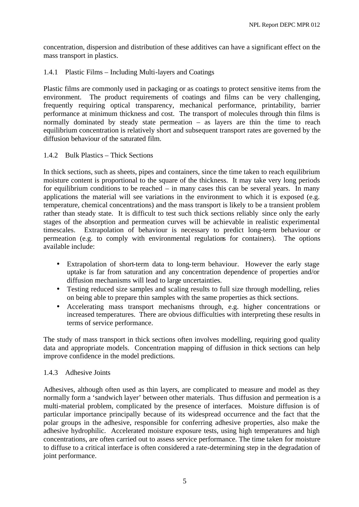concentration, dispersion and distribution of these additives can have a significant effect on the mass transport in plastics.

## 1.4.1 Plastic Films – Including Multi-layers and Coatings

Plastic films are commonly used in packaging or as coatings to protect sensitive items from the environment. The product requirements of coatings and films can be very challenging, frequently requiring optical transparency, mechanical performance, printability, barrier performance at minimum thickness and cost. The transport of molecules through thin films is normally dominated by steady state permeation – as layers are thin the time to reach equilibrium concentration is relatively short and subsequent transport rates are governed by the diffusion behaviour of the saturated film.

## 1.4.2 Bulk Plastics – Thick Sections

In thick sections, such as sheets, pipes and containers, since the time taken to reach equilibrium moisture content is proportional to the square of the thickness. It may take very long periods for equilibrium conditions to be reached – in many cases this can be several years. In many applications the material will see variations in the environment to which it is exposed (e.g. temperature, chemical concentrations) and the mass transport is likely to be a transient problem rather than steady state. It is difficult to test such thick sections reliably since only the early stages of the absorption and permeation curves will be achievable in realistic experimental timescales. Extrapolation of behaviour is necessary to predict long-term behaviour or permeation (e.g. to comply with environmental regulations for containers). The options available include:

- Extrapolation of short-term data to long-term behaviour. However the early stage uptake is far from saturation and any concentration dependence of properties and/or diffusion mechanisms will lead to large uncertainties.
- Testing reduced size samples and scaling results to full size through modelling, relies on being able to prepare thin samples with the same properties as thick sections.
- Accelerating mass transport mechanisms through, e.g. higher concentrations or increased temperatures. There are obvious difficulties with interpreting these results in terms of service performance.

The study of mass transport in thick sections often involves modelling, requiring good quality data and appropriate models. Concentration mapping of diffusion in thick sections can help improve confidence in the model predictions.

## 1.4.3 Adhesive Joints

Adhesives, although often used as thin layers, are complicated to measure and model as they normally form a 'sandwich layer' between other materials. Thus diffusion and permeation is a multi-material problem, complicated by the presence of interfaces. Moisture diffusion is of particular importance principally because of its widespread occurrence and the fact that the polar groups in the adhesive, responsible for conferring adhesive properties, also make the adhesive hydrophilic. Accelerated moisture exposure tests, using high temperatures and high concentrations, are often carried out to assess service performance. The time taken for moisture to diffuse to a critical interface is often considered a rate-determining step in the degradation of joint performance.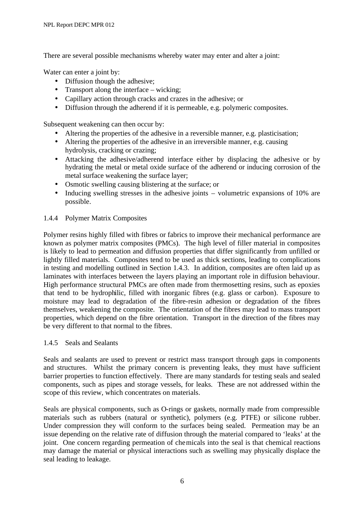There are several possible mechanisms whereby water may enter and alter a joint:

Water can enter a joint by:

- Diffusion though the adhesive;
- Transport along the interface wicking:
- Capillary action through cracks and crazes in the adhesive; or
- Diffusion through the adherend if it is permeable, e.g. polymeric composites.

Subsequent weakening can then occur by:

- Altering the properties of the adhesive in a reversible manner, e.g. plasticisation;
- Altering the properties of the adhesive in an irreversible manner, e.g. causing hydrolysis, cracking or crazing;
- Attacking the adhesive/adherend interface either by displacing the adhesive or by hydrating the metal or metal oxide surface of the adherend or inducing corrosion of the metal surface weakening the surface layer;
- Osmotic swelling causing blistering at the surface; or
- Inducing swelling stresses in the adhesive joints volumetric expansions of 10% are possible.

## 1.4.4 Polymer Matrix Composites

Polymer resins highly filled with fibres or fabrics to improve their mechanical performance are known as polymer matrix composites (PMCs). The high level of filler material in composites is likely to lead to permeation and diffusion properties that differ significantly from unfilled or lightly filled materials. Composites tend to be used as thick sections, leading to complications in testing and modelling outlined in Section 1.4.3. In addition, composites are often laid up as laminates with interfaces between the layers playing an important role in diffusion behaviour. High performance structural PMCs are often made from thermosetting resins, such as epoxies that tend to be hydrophilic, filled with inorganic fibres (e.g. glass or carbon). Exposure to moisture may lead to degradation of the fibre-resin adhesion or degradation of the fibres themselves, weakening the composite. The orientation of the fibres may lead to mass transport properties, which depend on the fibre orientation. Transport in the direction of the fibres may be very different to that normal to the fibres.

#### 1.4.5 Seals and Sealants

Seals and sealants are used to prevent or restrict mass transport through gaps in components and structures. Whilst the primary concern is preventing leaks, they must have sufficient barrier properties to function effectively. There are many standards for testing seals and sealed components, such as pipes and storage vessels, for leaks. These are not addressed within the scope of this review, which concentrates on materials.

Seals are physical components, such as O-rings or gaskets, normally made from compressible materials such as rubbers (natural or synthetic), polymers (e.g. PTFE) or silicone rubber. Under compression they will conform to the surfaces being sealed. Permeation may be an issue depending on the relative rate of diffusion through the material compared to 'leaks' at the joint. One concern regarding permeation of chemicals into the seal is that chemical reactions may damage the material or physical interactions such as swelling may physically displace the seal leading to leakage.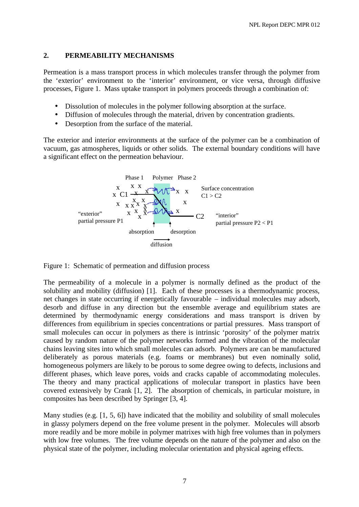## **2. PERMEABILITY MECHANISMS**

Permeation is a mass transport process in which molecules transfer through the polymer from the 'exterior' environment to the 'interior' environment, or vice versa, through diffusive processes, Figure 1. Mass uptake transport in polymers proceeds through a combination of:

- Dissolution of molecules in the polymer following absorption at the surface.
- Diffusion of molecules through the material, driven by concentration gradients.
- Desorption from the surface of the material.

The exterior and interior environments at the surface of the polymer can be a combination of vacuum, gas atmospheres, liquids or other solids. The external boundary conditions will have a significant effect on the permeation behaviour.



Figure 1: Schematic of permeation and diffusion process

The permeability of a molecule in a polymer is normally defined as the product of the solubility and mobility (diffusion) [1]. Each of these processes is a thermodynamic process, net changes in state occurring if energetically favourable – individual molecules may adsorb, desorb and diffuse in any direction but the ensemble average and equilibrium states are determined by thermodynamic energy considerations and mass transport is driven by differences from equilibrium in species concentrations or partial pressures. Mass transport of small molecules can occur in polymers as there is intrinsic 'porosity' of the polymer matrix caused by random nature of the polymer networks formed and the vibration of the molecular chains leaving sites into which small molecules can adsorb. Polymers are can be manufactured deliberately as porous materials (e.g. foams or membranes) but even nominally solid, homogeneous polymers are likely to be porous to some degree owing to defects, inclusions and different phases, which leave pores, voids and cracks capable of accommodating molecules. The theory and many practical applications of molecular transport in plastics have been covered extensively by Crank [1, 2]. The absorption of chemicals, in particular moisture, in composites has been described by Springer [3, 4].

Many studies (e.g. [1, 5, 6]) have indicated that the mobility and solubility of small molecules in glassy polymers depend on the free volume present in the polymer. Molecules will absorb more readily and be more mobile in polymer matrixes with high free volumes than in polymers with low free volumes. The free volume depends on the nature of the polymer and also on the physical state of the polymer, including molecular orientation and physical ageing effects.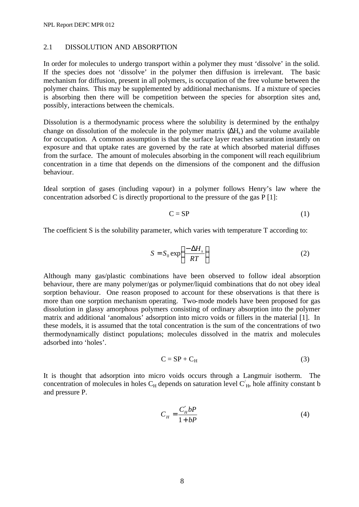#### 2.1 DISSOLUTION AND ABSORPTION

In order for molecules to undergo transport within a polymer they must 'dissolve' in the solid. If the species does not 'dissolve' in the polymer then diffusion is irrelevant. The basic mechanism for diffusion, present in all polymers, is occupation of the free volume between the polymer chains. This may be supplemented by additional mechanisms. If a mixture of species is absorbing then there will be competition between the species for absorption sites and, possibly, interactions between the chemicals.

Dissolution is a thermodynamic process where the solubility is determined by the enthalpy change on dissolution of the molecule in the polymer matrix  $(\Delta H_s)$  and the volume available for occupation. A common assumption is that the surface layer reaches saturation instantly on exposure and that uptake rates are governed by the rate at which absorbed material diffuses from the surface. The amount of molecules absorbing in the component will reach equilibrium concentration in a time that depends on the dimensions of the component and the diffusion behaviour.

Ideal sorption of gases (including vapour) in a polymer follows Henry's law where the concentration adsorbed C is directly proportional to the pressure of the gas P [1]:

$$
C = SP \tag{1}
$$

The coefficient S is the solubility parameter, which varies with temperature T according to:

$$
S = S_0 \exp\left(\frac{-\Delta H_s}{RT}\right) \tag{2}
$$

Although many gas/plastic combinations have been observed to follow ideal absorption behaviour, there are many polymer/gas or polymer/liquid combinations that do not obey ideal sorption behaviour. One reason proposed to account for these observations is that there is more than one sorption mechanism operating. Two-mode models have been proposed for gas dissolution in glassy amorphous polymers consisting of ordinary absorption into the polymer matrix and additional 'anomalous' adsorption into micro voids or fillers in the material [1]. In these models, it is assumed that the total concentration is the sum of the concentrations of two thermodynamically distinct populations; molecules dissolved in the matrix and molecules adsorbed into 'holes'.

$$
C = SP + C_H \tag{3}
$$

It is thought that adsorption into micro voids occurs through a Langmuir isotherm. The concentration of molecules in holes  $C_H$  depends on saturation level  $C'_H$ , hole affinity constant b and pressure P.

$$
C_H = \frac{C'_H bP}{1 + bP} \tag{4}
$$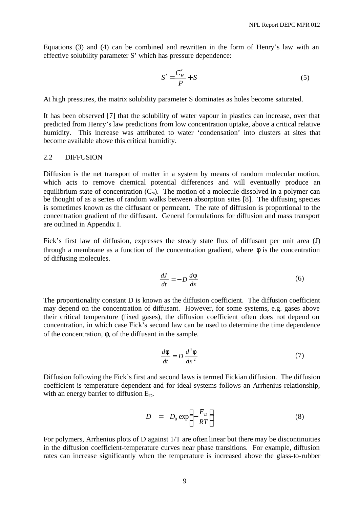Equations (3) and (4) can be combined and rewritten in the form of Henry's law with an effective solubility parameter S' which has pressure dependence:

$$
S' = \frac{C_H'}{P} + S\tag{5}
$$

At high pressures, the matrix solubility parameter S dominates as holes become saturated.

It has been observed [7] that the solubility of water vapour in plastics can increase, over that predicted from Henry's law predictions from low concentration uptake, above a critical relative humidity. This increase was attributed to water 'condensation' into clusters at sites that become available above this critical humidity.

#### 2.2 DIFFUSION

Diffusion is the net transport of matter in a system by means of random molecular motion, which acts to remove chemical potential differences and will eventually produce an equilibrium state of concentration  $(C_{\infty})$ . The motion of a molecule dissolved in a polymer can be thought of as a series of random walks between absorption sites [8]. The diffusing species is sometimes known as the diffusant or permeant. The rate of diffusion is proportional to the concentration gradient of the diffusant. General formulations for diffusion and mass transport are outlined in Appendix I.

Fick's first law of diffusion, expresses the steady state flux of diffusant per unit area (J) through a membrane as a function of the concentration gradient, where  $\phi$  is the concentration of diffusing molecules.

$$
\frac{dJ}{dt} = -D\frac{d\mathbf{f}}{dx} \tag{6}
$$

The proportionality constant D is known as the diffusion coefficient. The diffusion coefficient may depend on the concentration of diffusant. However, for some systems, e.g. gases above their critical temperature (fixed gases), the diffusion coefficient often does not depend on concentration, in which case Fick's second law can be used to determine the time dependence of the concentration, φ, of the diffusant in the sample.

$$
\frac{d\mathbf{f}}{dt} = D \frac{d^2 \mathbf{f}}{dx^2} \tag{7}
$$

Diffusion following the Fick's first and second laws is termed Fickian diffusion. The diffusion coefficient is temperature dependent and for ideal systems follows an Arrhenius relationship, with an energy barrier to diffusion  $E_D$ .

$$
D = D_0 \exp\left(-\frac{E_D}{RT}\right) \tag{8}
$$

For polymers, Arrhenius plots of D against 1/T are often linear but there may be discontinuities in the diffusion coefficient-temperature curves near phase transitions. For example, diffusion rates can increase significantly when the temperature is increased above the glass-to-rubber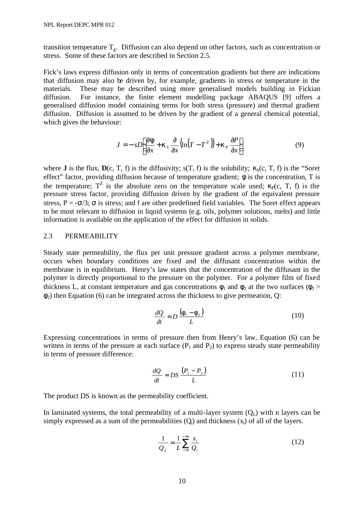transition temperature  $T_{g}$ . Diffusion can also depend on other factors, such as concentration or stress. Some of these factors are described in Section 2.5.

Fick's laws express diffusion only in terms of concentration gradients but there are indications that diffusion may also be driven by, for example, gradients in stress or temperature in the materials. These may be described using more generalised models building in Fickian diffusion. For instance, the finite element modelling package ABAQUS [9] offers a generalised diffusion model containing terms for both stress (pressure) and thermal gradient diffusion. Diffusion is assumed to be driven by the gradient of a general chemical potential, which gives the behaviour:

$$
J = -sD\left[\frac{\partial \boldsymbol{f}}{\partial x} + \boldsymbol{k}_s \frac{\partial}{\partial x} \left(\ln(T - T^z)\right) + \boldsymbol{k}_P \frac{\partial P}{\partial x}\right]
$$
(9)

where **J** is the flux,  $\mathbf{D}(c, T, f)$  is the diffusivity;  $s(T, f)$  is the solubility;  $\kappa_s(c, T, f)$  is the "Soret" effect" factor, providing diffusion because of temperature gradient;  $φ$  is the concentration, T is the temperature;  $T^Z$  is the absolute zero on the temperature scale used;  $\kappa_P(c, T, f)$  is the pressure stress factor, providing diffusion driven by the gradient of the equivalent pressure stress, P =  $-\sigma/3$ ;  $\sigma$  is stress; and f are other predefined field variables. The Soret effect appears to be most relevant to diffusion in liquid systems (e.g. oils, polymer solutions, melts) and little information is available on the application of the effect for diffusion in solids.

#### 2.3 PERMEABILITY

Steady state permeability, the flux per unit pressure gradient across a polymer membrane, occurs when boundary conditions are fixed and the diffusant concentration within the membrane is in equilibrium. Henry's law states that the concentration of the diffusant in the polymer is directly proportional to the pressure on the polymer. For a polymer film of fixed thickness L, at constant temperature and gas concentrations  $\phi_1$  and  $\phi_2$  at the two surfaces ( $\phi_1$  >  $\phi_2$ ) then Equation (6) can be integrated across the thickness to give permeation, Q:

$$
\frac{dQ}{dt} = D \frac{\left(\mathbf{f}_1 - \mathbf{f}_2\right)}{L} \tag{10}
$$

Expressing concentrations in terms of pressure then from Henry's law, Equation (6) can be written in terms of the pressure at each surface  $(P_1$  and  $P_2)$  to express steady state permeability in terms of pressure difference:

$$
\frac{dQ}{dt} = DS \frac{(P_1 - P_2)}{L}
$$
 (11)

The product DS is known as the permeability coefficient.

In laminated systems, the total permeability of a multi-layer system  $(O<sub>I</sub>)$  with n layers can be simply expressed as a sum of the permeabilities  $(O_i)$  and thickness  $(x_i)$  of all of the layers.

$$
\frac{1}{Q_L} = \frac{1}{L} \sum_{i=1}^{i=n} \frac{x_i}{Q_i}
$$
 (12)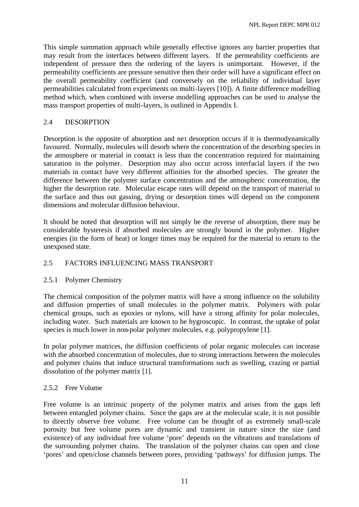This simple summation approach while generally effective ignores any barrier properties that may result from the interfaces between different layers. If the permeability coefficients are independent of pressure then the ordering of the layers is unimportant. However, if the permeability coefficients are pressure sensitive then their order will have a significant effect on the overall permeability coefficient (and conversely on the reliability of individual layer permeabilities calculated from experiments on multi-layers [10]). A finite difference modelling method which, when combined with inverse modelling approaches can be used to analyse the mass transport properties of multi-layers, is outlined in Appendix I.

## 2.4 DESORPTION

Desorption is the opposite of absorption and net desorption occurs if it is thermodynamically favoured. Normally, molecules will desorb where the concentration of the desorbing species in the atmosphere or material in contact is less than the concentration required for maintaining saturation in the polymer. Desorption may also occur across interfacial layers if the two materials in contact have very different affinities for the absorbed species. The greater the difference between the polymer surface concentration and the atmospheric concentration, the higher the desorption rate. Molecular escape rates will depend on the transport of material to the surface and thus out gassing, drying or desorption times will depend on the component dimensions and molecular diffusion behaviour.

It should be noted that desorption will not simply be the reverse of absorption, there may be considerable hysteresis if absorbed molecules are strongly bound in the polymer. Higher energies (in the form of heat) or longer times may be required for the material to return to the unexposed state.

#### 2.5 FACTORS INFLUENCING MASS TRANSPORT

#### 2.5.1 Polymer Chemistry

The chemical composition of the polymer matrix will have a strong influence on the solubility and diffusion properties of small molecules in the polymer matrix. Polymers with polar chemical groups, such as epoxies or nylons, will have a strong affinity for polar molecules, including water. Such materials are known to be hygroscopic. In contrast, the uptake of polar species is much lower in non-polar polymer molecules, e.g. polypropylene [1].

In polar polymer matrices, the diffusion coefficients of polar organic molecules can increase with the absorbed concentration of molecules, due to strong interactions between the molecules and polymer chains that induce structural transformations such as swelling, crazing or partial dissolution of the polymer matrix [1].

#### 2.5.2 Free Volume

Free volume is an intrinsic property of the polymer matrix and arises from the gaps left between entangled polymer chains. Since the gaps are at the molecular scale, it is not possible to directly observe free volume. Free volume can be thought of as extremely small-scale porosity but free volume pores are dynamic and transient in nature since the size (and existence) of any individual free volume 'pore' depends on the vibrations and translations of the surrounding polymer chains. The translation of the polymer chains can open and close 'pores' and open/close channels between pores, providing 'pathways' for diffusion jumps. The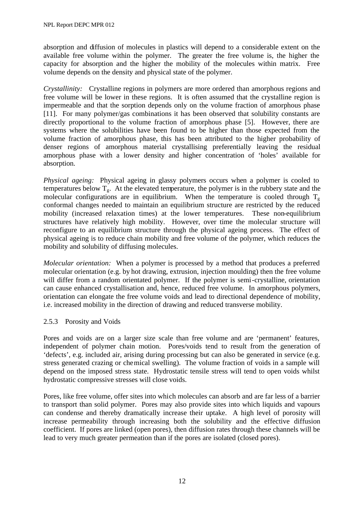absorption and diffusion of molecules in plastics will depend to a considerable extent on the available free volume within the polymer. The greater the free volume is, the higher the capacity for absorption and the higher the mobility of the molecules within matrix. Free volume depends on the density and physical state of the polymer.

*Crystallinity:* Crystalline regions in polymers are more ordered than amorphous regions and free volume will be lower in these regions. It is often assumed that the crystalline region is impermeable and that the sorption depends only on the volume fraction of amorphous phase [11]. For many polymer/gas combinations it has been observed that solubility constants are directly proportional to the volume fraction of amorphous phase [5]. However, there are systems where the solubilities have been found to be higher than those expected from the volume fraction of amorphous phase, this has been attributed to the higher probability of denser regions of amorphous material crystallising preferentially leaving the residual amorphous phase with a lower density and higher concentration of 'holes' available for absorption.

*Physical ageing:* Physical ageing in glassy polymers occurs when a polymer is cooled to temperatures below  $T<sub>g</sub>$ . At the elevated temperature, the polymer is in the rubbery state and the molecular configurations are in equilibrium. When the temperature is cooled through  $T_{\sigma}$ conformal changes needed to maintain an equilibrium structure are restricted by the reduced mobility (increased relaxation times) at the lower temperatures. These non-equilibrium structures have relatively high mobility. However, over time the molecular structure will reconfigure to an equilibrium structure through the physical ageing process. The effect of physical ageing is to reduce chain mobility and free volume of the polymer, which reduces the mobility and solubility of diffusing molecules.

*Molecular orientation:* When a polymer is processed by a method that produces a preferred molecular orientation (e.g. by hot drawing, extrusion, injection moulding) then the free volume will differ from a random orientated polymer. If the polymer is semi-crystalline, orientation can cause enhanced crystallisation and, hence, reduced free volume. In amorphous polymers, orientation can elongate the free volume voids and lead to directional dependence of mobility, i.e. increased mobility in the direction of drawing and reduced transverse mobility.

#### 2.5.3 Porosity and Voids

Pores and voids are on a larger size scale than free volume and are 'permanent' features, independent of polymer chain motion. Pores/voids tend to result from the generation of 'defects', e.g. included air, arising during processing but can also be generated in service (e.g. stress generated crazing or chemical swelling). The volume fraction of voids in a sample will depend on the imposed stress state. Hydrostatic tensile stress will tend to open voids whilst hydrostatic compressive stresses will close voids.

Pores, like free volume, offer sites into which molecules can absorb and are far less of a barrier to transport than solid polymer. Pores may also provide sites into which liquids and vapours can condense and thereby dramatically increase their uptake. A high level of porosity will increase permeability through increasing both the solubility and the effective diffusion coefficient. If pores are linked (open pores), then diffusion rates through these channels will be lead to very much greater permeation than if the pores are isolated (closed pores).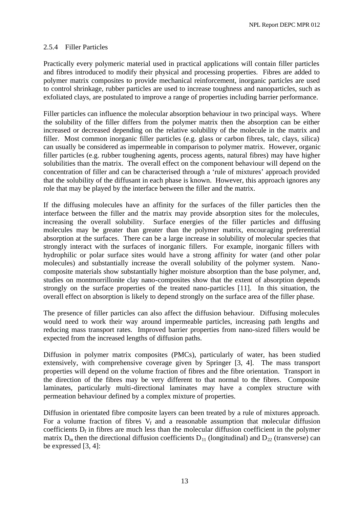## 2.5.4 Filler Particles

Practically every polymeric material used in practical applications will contain filler particles and fibres introduced to modify their physical and processing properties. Fibres are added to polymer matrix composites to provide mechanical reinforcement, inorganic particles are used to control shrinkage, rubber particles are used to increase toughness and nanoparticles, such as exfoliated clays, are postulated to improve a range of properties including barrier performance.

Filler particles can influence the molecular absorption behaviour in two principal ways. Where the solubility of the filler differs from the polymer matrix then the absorption can be either increased or decreased depending on the relative solubility of the molecule in the matrix and filler. Most common inorganic filler particles (e.g. glass or carbon fibres, talc, clays, silica) can usually be considered as impermeable in comparison to polymer matrix. However, organic filler particles (e.g. rubber toughening agents, process agents, natural fibres) may have higher solubilities than the matrix. The overall effect on the component behaviour will depend on the concentration of filler and can be characterised through a 'rule of mixtures' approach provided that the solubility of the diffusant in each phase is known. However, this approach ignores any role that may be played by the interface between the filler and the matrix.

If the diffusing molecules have an affinity for the surfaces of the filler particles then the interface between the filler and the matrix may provide absorption sites for the molecules, increasing the overall solubility. Surface energies of the filler particles and diffusing molecules may be greater than greater than the polymer matrix, encouraging preferential absorption at the surfaces. There can be a large increase in solubility of molecular species that strongly interact with the surfaces of inorganic fillers. For example, inorganic fillers with hydrophilic or polar surface sites would have a strong affinity for water (and other polar molecules) and substantially increase the overall solubility of the polymer system. Nanocomposite materials show substantially higher moisture absorption than the base polymer, and, studies on montmorrillonite clay nano-composites show that the extent of absorption depends strongly on the surface properties of the treated nano-particles [11]. In this situation, the overall effect on absorption is likely to depend strongly on the surface area of the filler phase.

The presence of filler particles can also affect the diffusion behaviour. Diffusing molecules would need to work their way around impermeable particles, increasing path lengths and reducing mass transport rates. Improved barrier properties from nano-sized fillers would be expected from the increased lengths of diffusion paths.

Diffusion in polymer matrix composites (PMCs), particularly of water, has been studied extensively, with comprehensive coverage given by Springer [3, 4]. The mass transport properties will depend on the volume fraction of fibres and the fibre orientation. Transport in the direction of the fibres may be very different to that normal to the fibres. Composite laminates, particularly multi-directional laminates may have a complex structure with permeation behaviour defined by a complex mixture of properties.

Diffusion in orientated fibre composite layers can been treated by a rule of mixtures approach. For a volume fraction of fibres  $V_f$  and a reasonable assumption that molecular diffusion coefficients  $D_f$  in fibres are much less than the molecular diffusion coefficient in the polymer matrix  $D_m$  then the directional diffusion coefficients  $D_{11}$  (longitudinal) and  $D_{22}$  (transverse) can be expressed [3, 4]: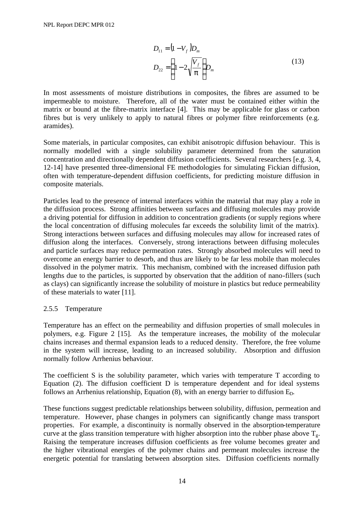$$
D_{11} = (1 - V_f)D_m
$$
  

$$
D_{22} = \left(1 - 2\sqrt{\frac{V_f}{p}}\right)D_m
$$
 (13)

In most assessments of moisture distributions in composites, the fibres are assumed to be impermeable to moisture. Therefore, all of the water must be contained either within the matrix or bound at the fibre-matrix interface [4]. This may be applicable for glass or carbon fibres but is very unlikely to apply to natural fibres or polymer fibre reinforcements (e.g. aramides).

Some materials, in particular composites, can exhibit anisotropic diffusion behaviour. This is normally modelled with a single solubility parameter determined from the saturation concentration and directionally dependent diffusion coefficients. Several researchers [e.g. 3, 4, 12-14] have presented three-dimensional FE methodologies for simulating Fickian diffusion, often with temperature-dependent diffusion coefficients, for predicting moisture diffusion in composite materials.

Particles lead to the presence of internal interfaces within the material that may play a role in the diffusion process. Strong affinities between surfaces and diffusing molecules may provide a driving potential for diffusion in addition to concentration gradients (or supply regions where the local concentration of diffusing molecules far exceeds the solubility limit of the matrix). Strong interactions between surfaces and diffusing molecules may allow for increased rates of diffusion along the interfaces. Conversely, strong interactions between diffusing molecules and particle surfaces may reduce permeation rates. Strongly absorbed molecules will need to overcome an energy barrier to desorb, and thus are likely to be far less mobile than molecules dissolved in the polymer matrix. This mechanism, combined with the increased diffusion path lengths due to the particles, is supported by observation that the addition of nano-fillers (such as clays) can significantly increase the solubility of moisture in plastics but reduce permeability of these materials to water [11].

## 2.5.5 Temperature

Temperature has an effect on the permeability and diffusion properties of small molecules in polymers, e.g. Figure 2 [15]. As the temperature increases, the mobility of the molecular chains increases and thermal expansion leads to a reduced density. Therefore, the free volume in the system will increase, leading to an increased solubility. Absorption and diffusion normally follow Arrhenius behaviour.

The coefficient S is the solubility parameter, which varies with temperature T according to Equation (2). The diffusion coefficient D is temperature dependent and for ideal systems follows an Arrhenius relationship, Equation  $(8)$ , with an energy barrier to diffusion  $E<sub>D</sub>$ .

These functions suggest predictable relationships between solubility, diffusion, permeation and temperature. However, phase changes in polymers can significantly change mass transport properties. For example, a discontinuity is normally observed in the absorption-temperature curve at the glass transition temperature with higher absorption into the rubber phase above  $T_{\sigma}$ . Raising the temperature increases diffusion coefficients as free volume becomes greater and the higher vibrational energies of the polymer chains and permeant molecules increase the energetic potential for translating between absorption sites. Diffusion coefficients normally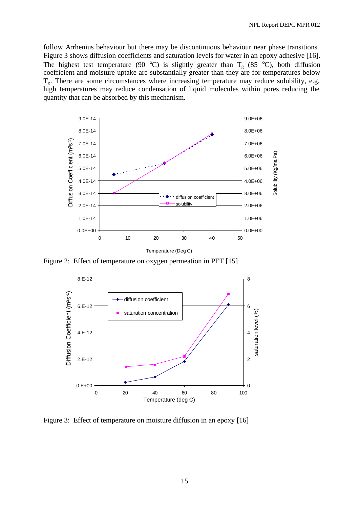follow Arrhenius behaviour but there may be discontinuous behaviour near phase transitions. Figure 3 shows diffusion coefficients and saturation levels for water in an epoxy adhesive [16]. The highest test temperature (90 °C) is slightly greater than  $T_g$  (85 °C), both diffusion coefficient and moisture uptake are substantially greater than they are for temperatures below  $T_{g}$ . There are some circumstances where increasing temperature may reduce solubility, e.g. high temperatures may reduce condensation of liquid molecules within pores reducing the quantity that can be absorbed by this mechanism.



Figure 2: Effect of temperature on oxygen permeation in PET [15]



Figure 3: Effect of temperature on moisture diffusion in an epoxy [16]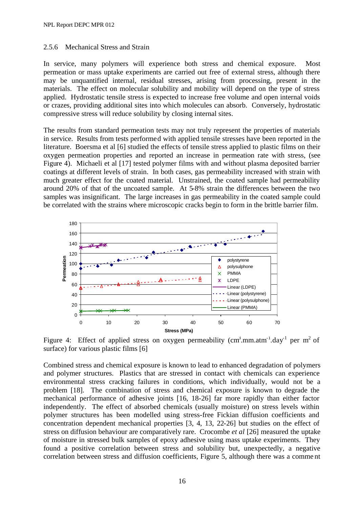#### 2.5.6 Mechanical Stress and Strain

In service, many polymers will experience both stress and chemical exposure. Most permeation or mass uptake experiments are carried out free of external stress, although there may be unquantified internal, residual stresses, arising from processing, present in the materials. The effect on molecular solubility and mobility will depend on the type of stress applied. Hydrostatic tensile stress is expected to increase free volume and open internal voids or crazes, providing additional sites into which molecules can absorb. Conversely, hydrostatic compressive stress will reduce solubility by closing internal sites.

The results from standard permeation tests may not truly represent the properties of materials in service. Results from tests performed with applied tensile stresses have been reported in the literature. Boersma et al [6] studied the effects of tensile stress applied to plastic films on their oxygen permeation properties and reported an increase in permeation rate with stress, (see Figure 4). Michaeli et al [17] tested polymer films with and without plasma deposited barrier coatings at different levels of strain. In both cases, gas permeability increased with strain with much greater effect for the coated material. Unstrained, the coated sample had permeability around 20% of that of the uncoated sample. At 5-8% strain the differences between the two samples was insignificant. The large increases in gas permeability in the coated sample could be correlated with the strains where microscopic cracks begin to form in the brittle barrier film.



Figure 4: Effect of applied stress on oxygen permeability (cm<sup>3</sup>.mm.atm<sup>-1</sup>.day<sup>-1</sup> per m<sup>2</sup> of surface) for various plastic films [6]

Combined stress and chemical exposure is known to lead to enhanced degradation of polymers and polymer structures. Plastics that are stressed in contact with chemicals can experience environmental stress cracking failures in conditions, which individually, would not be a problem [18]. The combination of stress and chemical exposure is known to degrade the mechanical performance of adhesive joints [16, 18-26] far more rapidly than either factor independently. The effect of absorbed chemicals (usually moisture) on stress levels within polymer structures has been modelled using stress-free Fickian diffusion coefficients and concentration dependent mechanical properties [3, 4, 13, 22-26] but studies on the effect of stress on diffusion behaviour are comparatively rare. Crocombe *et al* [26] measured the uptake of moisture in stressed bulk samples of epoxy adhesive using mass uptake experiments. They found a positive correlation between stress and solubility but, unexpectedly, a negative correlation between stress and diffusion coefficients, Figure 5, although there was a comme nt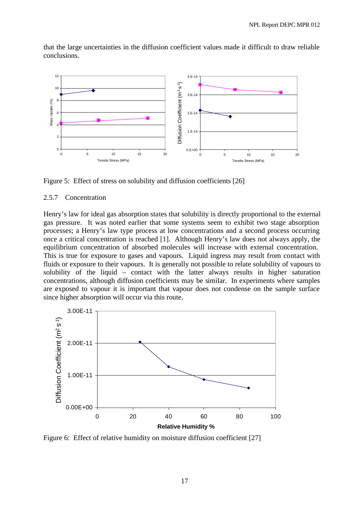

that the large uncertainties in the diffusion coefficient values made it difficult to draw reliable conclusions.

Figure 5: Effect of stress on solubility and diffusion coefficients [26]

#### 2.5.7 Concentration

Henry's law for ideal gas absorption states that solubility is directly proportional to the external gas pressure. It was noted earlier that some systems seem to exhibit two stage absorption processes; a Henry's law type process at low concentrations and a second process occurring once a critical concentration is reached [1]. Although Henry's law does not always apply, the equilibrium concentration of absorbed molecules will increase with external concentration. This is true for exposure to gases and vapours. Liquid ingress may result from contact with fluids or exposure to their vapours. It is generally not possible to relate solubility of vapours to solubility of the liquid – contact with the latter always results in higher saturation concentrations, although diffusion coefficients may be similar. In experiments where samples are exposed to vapour it is important that vapour does not condense on the sample surface since higher absorption will occur via this route.



Figure 6: Effect of relative humidity on moisture diffusion coefficient [27]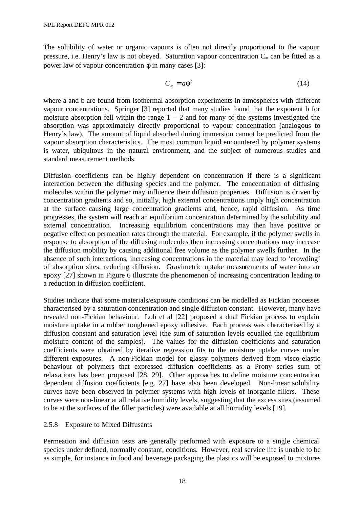The solubility of water or organic vapours is often not directly proportional to the vapour pressure, i.e. Henry's law is not obeyed. Saturation vapour concentration C<sub>∞</sub> can be fitted as a power law of vapour concentration  $\phi$  in many cases [3]:

$$
C_{\infty} = a\mathbf{f}^b \tag{14}
$$

where a and b are found from isothermal absorption experiments in atmospheres with different vapour concentrations. Springer [3] reported that many studies found that the exponent b for moisture absorption fell within the range  $1 - 2$  and for many of the systems investigated the absorption was approximately directly proportional to vapour concentration (analogous to Henry's law). The amount of liquid absorbed during immersion cannot be predicted from the vapour absorption characteristics. The most common liquid encountered by polymer systems is water, ubiquitous in the natural environment, and the subject of numerous studies and standard measurement methods.

Diffusion coefficients can be highly dependent on concentration if there is a significant interaction between the diffusing species and the polymer. The concentration of diffusing molecules within the polymer may influence their diffusion properties. Diffusion is driven by concentration gradients and so, initially, high external concentrations imply high concentration at the surface causing large concentration gradients and, hence, rapid diffusion. As time progresses, the system will reach an equilibrium concentration determined by the solubility and external concentration. Increasing equilibrium concentrations may then have positive or negative effect on permeation rates through the material. For example, if the polymer swells in response to absorption of the diffusing molecules then increasing concentrations may increase the diffusion mobility by causing additional free volume as the polymer swells further. In the absence of such interactions, increasing concentrations in the material may lead to 'crowding' of absorption sites, reducing diffusion. Gravimetric uptake measurements of water into an epoxy [27] shown in Figure 6 illustrate the phenomenon of increasing concentration leading to a reduction in diffusion coefficient.

Studies indicate that some materials/exposure conditions can be modelled as Fickian processes characterised by a saturation concentration and single diffusion constant. However, many have revealed non-Fickian behaviour. Loh et al [22] proposed a dual Fickian process to explain moisture uptake in a rubber toughened epoxy adhesive. Each process was characterised by a diffusion constant and saturation level (the sum of saturation levels equalled the equilibrium moisture content of the samples). The values for the diffusion coefficients and saturation coefficients were obtained by iterative regression fits to the moisture uptake curves under different exposures. A non-Fickian model for glassy polymers derived from visco-elastic behaviour of polymers that expressed diffusion coefficients as a Prony series sum of relaxations has been proposed [28, 29]. Other approaches to define moisture concentration dependent diffusion coefficients [e.g. 27] have also been developed. Non-linear solubility curves have been observed in polymer systems with high levels of inorganic fillers. These curves were non-linear at all relative humidity levels, suggesting that the excess sites (assumed to be at the surfaces of the filler particles) were available at all humidity levels [19].

#### 2.5.8 Exposure to Mixed Diffusants

Permeation and diffusion tests are generally performed with exposure to a single chemical species under defined, normally constant, conditions. However, real service life is unable to be as simple, for instance in food and beverage packaging the plastics will be exposed to mixtures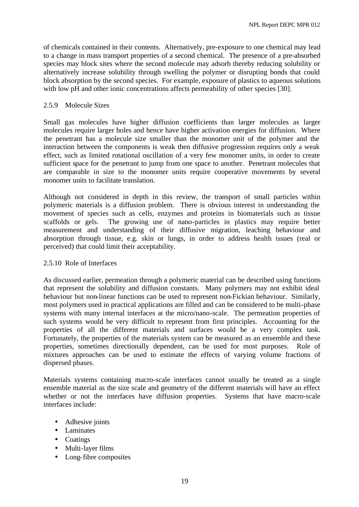of chemicals contained in their contents. Alternatively, pre-exposure to one chemical may lead to a change in mass transport properties of a second chemical. The presence of a pre-absorbed species may block sites where the second molecule may adsorb thereby reducing solubility or alternatively increase solubility through swelling the polymer or disrupting bonds that could block absorption by the second species. For example, exposure of plastics to aqueous solutions with low pH and other ionic concentrations affects permeability of other species [30].

## 2.5.9 Molecule Sizes

Small gas molecules have higher diffusion coefficients than larger molecules as larger molecules require larger holes and hence have higher activation energies for diffusion. Where the penetrant has a molecule size smaller than the monomer unit of the polymer and the interaction between the components is weak then diffusive progression requires only a weak effect, such as limited rotational oscillation of a very few monomer units, in order to create sufficient space for the penetrant to jump from one space to another. Penetrant molecules that are comparable in size to the monomer units require cooperative movements by several monomer units to facilitate translation.

Although not considered in depth in this review, the transport of small particles within polymeric materials is a diffusion problem. There is obvious interest in understanding the movement of species such as cells, enzymes and proteins in biomaterials such as tissue scaffolds or gels. The growing use of nano-particles in plastics may require better measurement and understanding of their diffusive migration, leaching behaviour and absorption through tissue, e.g. skin or lungs, in order to address health issues (real or perceived) that could limit their acceptability.

#### 2.5.10 Role of Interfaces

As discussed earlier, permeation through a polymeric material can be described using functions that represent the solubility and diffusion constants. Many polymers may not exhibit ideal behaviour but non-linear functions can be used to represent non-Fickian behaviour. Similarly, most polymers used in practical applications are filled and can be considered to be multi-phase systems with many internal interfaces at the micro/nano-scale. The permeation properties of such systems would be very difficult to represent from first principles. Accounting for the properties of all the different materials and surfaces would be a very complex task. Fortunately, the properties of the materials system can be measured as an ensemble and these properties, sometimes directionally dependent, can be used for most purposes. Rule of mixtures approaches can be used to estimate the effects of varying volume fractions of dispersed phases.

Materials systems containing macro-scale interfaces cannot usually be treated as a single ensemble material as the size scale and geometry of the different materials will have an effect whether or not the interfaces have diffusion properties. Systems that have macro-scale interfaces include:

- Adhesive joints
- Laminates
- Coatings
- Multi-layer films
- Long-fibre composites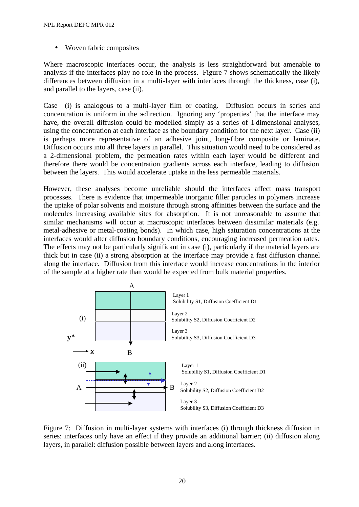• Woven fabric composites

Where macroscopic interfaces occur, the analysis is less straightforward but amenable to analysis if the interfaces play no role in the process. Figure 7 shows schematically the likely differences between diffusion in a multi-layer with interfaces through the thickness, case (i), and parallel to the layers, case (ii).

Case (i) is analogous to a multi-layer film or coating. Diffusion occurs in series and concentration is uniform in the x-direction. Ignoring any 'properties' that the interface may have, the overall diffusion could be modelled simply as a series of 1-dimensional analyses, using the concentration at each interface as the boundary condition for the next layer. Case (ii) is perhaps more representative of an adhesive joint, long-fibre composite or laminate. Diffusion occurs into all three layers in parallel. This situation would need to be considered as a 2-dimensional problem, the permeation rates within each layer would be different and therefore there would be concentration gradients across each interface, leading to diffusion between the layers. This would accelerate uptake in the less permeable materials.

However, these analyses become unreliable should the interfaces affect mass transport processes. There is evidence that impermeable inorganic filler particles in polymers increase the uptake of polar solvents and moisture through strong affinities between the surface and the molecules increasing available sites for absorption. It is not unreasonable to assume that similar mechanisms will occur at macroscopic interfaces between dissimilar materials (e.g. metal-adhesive or metal-coating bonds). In which case, high saturation concentrations at the interfaces would alter diffusion boundary conditions, encouraging increased permeation rates. The effects may not be particularly significant in case (i), particularly if the material layers are thick but in case (ii) a strong absorption at the interface may provide a fast diffusion channel along the interface. Diffusion from this interface would increase concentrations in the interior of the sample at a higher rate than would be expected from bulk material properties.



Figure 7: Diffusion in multi-layer systems with interfaces (i) through thickness diffusion in series: interfaces only have an effect if they provide an additional barrier; (ii) diffusion along layers, in parallel: diffusion possible between layers and along interfaces.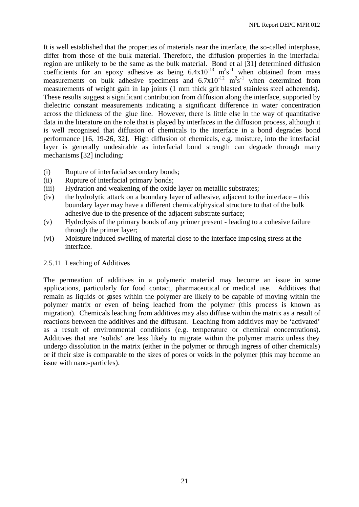It is well established that the properties of materials near the interface, the so-called interphase, differ from those of the bulk material. Therefore, the diffusion properties in the interfacial region are unlikely to be the same as the bulk material. Bond et al [31] determined diffusion coefficients for an epoxy adhesive as being  $6.4 \times 10^{-13}$  m<sup>2</sup>s<sup>-1</sup> when obtained from mass measurements on bulk adhesive specimens and  $6.7 \times 10^{-12}$  m<sup>2</sup>s<sup>-1</sup> when determined from measurements of weight gain in lap joints (1 mm thick grit blasted stainless steel adherends). These results suggest a significant contribution from diffusion along the interface, supported by dielectric constant measurements indicating a significant difference in water concentration across the thickness of the glue line. However, there is little else in the way of quantitative data in the literature on the role that is played by interfaces in the diffusion process, although it is well recognised that diffusion of chemicals to the interface in a bond degrades bond performance [16, 19-26, 32]. High diffusion of chemicals, e.g. moisture, into the interfacial layer is generally undesirable as interfacial bond strength can degrade through many mechanisms [32] including:

- (i) Rupture of interfacial secondary bonds;
- (ii) Rupture of interfacial primary bonds;
- (iii) Hydration and weakening of the oxide layer on metallic substrates;
- (iv) the hydrolytic attack on a boundary layer of adhesive, adjacent to the interface this boundary layer may have a different chemical/physical structure to that of the bulk adhesive due to the presence of the adjacent substrate surface;
- (v) Hydrolysis of the primary bonds of any primer present leading to a cohesive failure through the primer layer;
- (vi) Moisture induced swelling of material close to the interface imposing stress at the interface.

#### 2.5.11 Leaching of Additives

The permeation of additives in a polymeric material may become an issue in some applications, particularly for food contact, pharmaceutical or medical use. Additives that remain as liquids or gases within the polymer are likely to be capable of moving within the polymer matrix or even of being leached from the polymer (this process is known as migration). Chemicals leaching from additives may also diffuse within the matrix as a result of reactions between the additives and the diffusant. Leaching from additives may be 'activated' as a result of environmental conditions (e.g. temperature or chemical concentrations). Additives that are 'solids' are less likely to migrate within the polymer matrix unless they undergo dissolution in the matrix (either in the polymer or through ingress of other chemicals) or if their size is comparable to the sizes of pores or voids in the polymer (this may become an issue with nano-particles).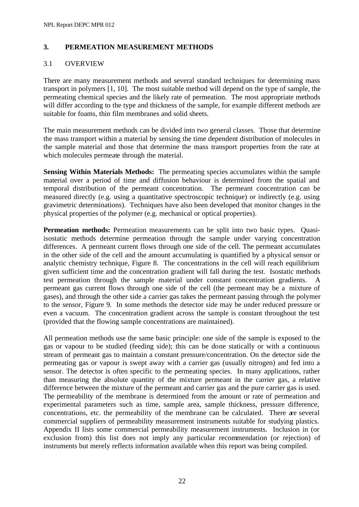## **3. PERMEATION MEASUREMENT METHODS**

## 3.1 OVERVIEW

There are many measurement methods and several standard techniques for determining mass transport in polymers [1, 10]. The most suitable method will depend on the type of sample, the permeating chemical species and the likely rate of permeation. The most appropriate methods will differ according to the type and thickness of the sample, for example different methods are suitable for foams, thin film membranes and solid sheets.

The main measurement methods can be divided into two general classes. Those that determine the mass transport within a material by sensing the time dependent distribution of molecules in the sample material and those that determine the mass transport properties from the rate at which molecules permeate through the material.

**Sensing Within Materials Methods:** The permeating species accumulates within the sample material over a period of time and diffusion behaviour is determined from the spatial and temporal distribution of the permeant concentration. The permeant concentration can be measured directly (e.g. using a quantitative spectroscopic technique) or indirectly (e.g. using gravimetric determinations). Techniques have also been developed that monitor changes in the physical properties of the polymer (e.g. mechanical or optical properties).

**Permeation methods:** Permeation measurements can be split into two basic types. Quasiisostatic methods determine permeation through the sample under varying concentration differences.A permeant current flows through one side of the cell. The permeant accumulates in the other side of the cell and the amount accumulating is quantified by a physical sensor or analytic chemistry technique, Figure 8. The concentrations in the cell will reach equilibrium given sufficient time and the concentration gradient will fall during the test. Isostatic methods test permeation through the sample material under constant concentration gradients. A permeant gas current flows through one side of the cell (the permeant may be a mixture of gases), and through the other side a carrier gas takes the permeant passing through the polymer to the sensor, Figure 9. In some methods the detector side may be under reduced pressure or even a vacuum. The concentration gradient across the sample is constant throughout the test (provided that the flowing sample concentrations are maintained).

All permeation methods use the same basic principle: one side of the sample is exposed to the gas or vapour to be studied (feeding side); this can be done statically or with a continuous stream of permeant gas to maintain a constant pressure/concentration. On the detector side the permeating gas or vapour is swept away with a carrier gas (usually nitrogen) and fed into a sensor. The detector is often specific to the permeating species. In many applications, rather than measuring the absolute quantity of the mixture permeant in the carrier gas, a relative difference between the mixture of the permeant and carrier gas and the pure carrier gas is used. The permeability of the membrane is determined from the amount or rate of permeation and experimental parameters such as time, sample area, sample thickness, pressure difference, concentrations, etc. the permeability of the membrane can be calculated. There are several commercial suppliers of permeability measurement instruments suitable for studying plastics. Appendix II lists some commercial permeability measurement instruments. Inclusion in (or exclusion from) this list does not imply any particular recommendation (or rejection) of instruments but merely reflects information available when this report was being compiled.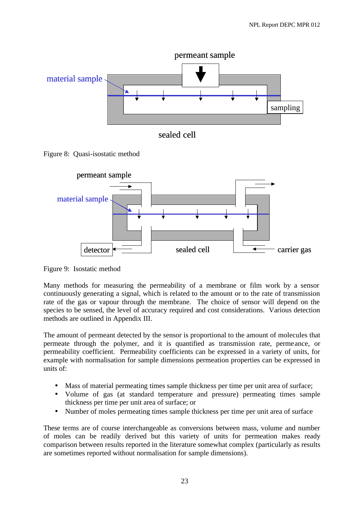

Figure 8: Quasi-isostatic method



Figure 9: Isostatic method

Many methods for measuring the permeability of a membrane or film work by a sensor continuously generating a signal, which is related to the amount or to the rate of transmission rate of the gas or vapour through the membrane. The choice of sensor will depend on the species to be sensed, the level of accuracy required and cost considerations. Various detection methods are outlined in Appendix III.

The amount of permeant detected by the sensor is proportional to the amount of molecules that permeate through the polymer, and it is quantified as transmission rate, permeance, or permeability coefficient. Permeability coefficients can be expressed in a variety of units, for example with normalisation for sample dimensions permeation properties can be expressed in units of:

- Mass of material permeating times sample thickness per time per unit area of surface;
- Volume of gas (at standard temperature and pressure) permeating times sample thickness per time per unit area of surface; or
- Number of moles permeating times sample thickness per time per unit area of surface

These terms are of course interchangeable as conversions between mass, volume and number of moles can be readily derived but this variety of units for permeation makes ready comparison between results reported in the literature somewhat complex (particularly as results are sometimes reported without normalisation for sample dimensions).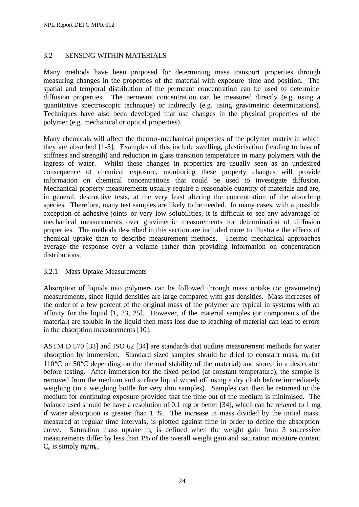## 3.2 SENSING WITHIN MATERIALS

Many methods have been proposed for determining mass transport properties through measuring changes in the properties of the material with exposure time and position. The spatial and temporal distribution of the permeant concentration can be used to determine diffusion properties. The permeant concentration can be measured directly (e.g. using a quantitative spectroscopic technique) or indirectly (e.g. using gravimetric determinations). Techniques have also been developed that use changes in the physical properties of the polymer (e.g. mechanical or optical properties).

Many chemicals will affect the thermo-mechanical properties of the polymer matrix in which they are absorbed [1-5]. Examples of this include swelling, plasticisation (leading to loss of stiffness and strength) and reduction in glass transition temperature in many polymers with the ingress of water. Whilst these changes in properties are usually seen as an undesired consequence of chemical exposure, monitoring these property changes will provide information on chemical concentrations that could be used to investigate diffusion. Mechanical property measurements usually require a reasonable quantity of materials and are, in general, destructive tests, at the very least altering the concentration of the absorbing species. Therefore, many test samples are likely to be needed. In many cases, with a possible exception of adhesive joints or very low solubilities, it is difficult to see any advantage of mechanical measurements over gravimetric measurements for determination of diffusion properties. The methods described in this section are included more to illustrate the effects of chemical uptake than to describe measurement methods. Thermo-mechanical approaches average the response over a volume rather than providing information on concentration distributions.

#### 3.2.1 Mass Uptake Measurements

Absorption of liquids into polymers can be followed through mass uptake (or gravimetric) measurements, since liquid densities are large compared with gas densities. Mass increases of the order of a few percent of the original mass of the polymer are typical in systems with an affinity for the liquid [1, 23, 25]. However, if the material samples (or components of the material) are soluble in the liquid then mass loss due to leaching of material can lead to errors in the absorption measurements [10].

ASTM D 570 [33] and ISO 62 [34] are standards that outline measurement methods for water absorption by immersion. Standard sized samples should be dried to constant mass,  $m_0$  (at 110°C or 50°C depending on the thermal stability of the material) and stored in a desiccator before testing. After immersion for the fixed period (at constant temperature), the sample is removed from the medium and surface liquid wiped off using a dry cloth before immediately weighing (in a weighing bottle for very thin samples). Samples can then be returned to the medium for continuing exposure provided that the time out of the medium is minimised. The balance used should be have a resolution of 0.1 mg or better [34], which can be relaxed to 1 mg if water absorption is greater than 1 %. The increase in mass divided by the initial mass, measured at regular time intervals, is plotted against time in order to define the absorption curve. Saturation mass uptake  $m<sub>s</sub>$  is defined when the weight gain from 3 successive measurements differ by less than 1% of the overall weight gain and saturation moisture content  $C_s$  is simply  $m/s/m_0$ .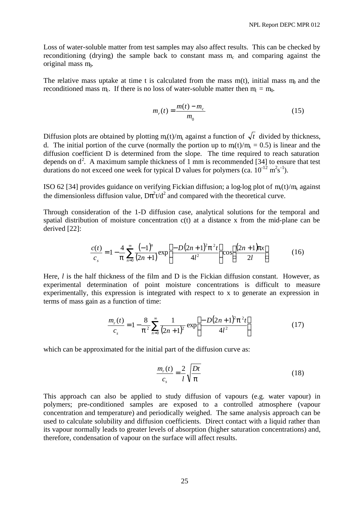Loss of water-soluble matter from test samples may also affect results. This can be checked by reconditioning (drying) the sample back to constant mass  $m_c$  and comparing against the original mass m.

The relative mass uptake at time t is calculated from the mass  $m(t)$ , initial mass  $m_0$  and the reconditioned mass  $m_e$ . If there is no loss of water-soluble matter then  $m_e = m_0$ .

$$
m_r(t) = \frac{m(t) - m_c}{m_0}
$$
 (15)

Diffusion plots are obtained by plotting  $m_t(t)/m_s$  against a function of  $\sqrt{t}$  divided by thickness, d. The initial portion of the curve (normally the portion up to  $m_f(t)/m_s = 0.5$ ) is linear and the diffusion coefficient D is determined from the slope. The time required to reach saturation depends on  $d^2$ . A maximum sample thickness of 1 mm is recommended [34] to ensure that test durations do not exceed one week for typical D values for polymers (ca.  $10^{-12}$  m<sup>2</sup>s<sup>-1</sup>).

ISO 62 [34] provides guidance on verifying Fickian diffusion; a log-log plot of  $m_f(t)/m_s$  against the dimensionless diffusion value,  $D\pi^2 t/d^2$  and compared with the theoretical curve.

Through consideration of the 1-D diffusion case, analytical solutions for the temporal and spatial distribution of moisture concentration c(t) at a distance x from the mid-plane can be derived [22]:

$$
\frac{c(t)}{c_s} = 1 - \frac{4}{p} \sum_{n=0}^{\infty} \frac{(-1)^n}{(2n+1)} \exp\left[\frac{-D(2n+1)^2 p^2 t}{4l^2}\right] \cos\left[\frac{(2n+1)px}{2l}\right] \tag{16}
$$

Here, *l* is the half thickness of the film and D is the Fickian diffusion constant. However, as experimental determination of point moisture concentrations is difficult to measure experimentally, this expression is integrated with respect to x to generate an expression in terms of mass gain as a function of time:

$$
\frac{m_r(t)}{c_s} = 1 - \frac{8}{p^2} \sum_{n=0}^{\infty} \frac{1}{(2n+1)^2} \exp\left[\frac{-D(2n+1)^2 p^2 t}{4l^2}\right]
$$
(17)

which can be approximated for the initial part of the diffusion curve as:

$$
\frac{m_r(t)}{c_s} = \frac{2}{l} \sqrt{\frac{Dt}{p}}
$$
\n(18)

This approach can also be applied to study diffusion of vapours (e.g. water vapour) in polymers; pre-conditioned samples are exposed to a controlled atmosphere (vapour concentration and temperature) and periodically weighed. The same analysis approach can be used to calculate solubility and diffusion coefficients. Direct contact with a liquid rather than its vapour normally leads to greater levels of absorption (higher saturation concentrations) and, therefore, condensation of vapour on the surface will affect results.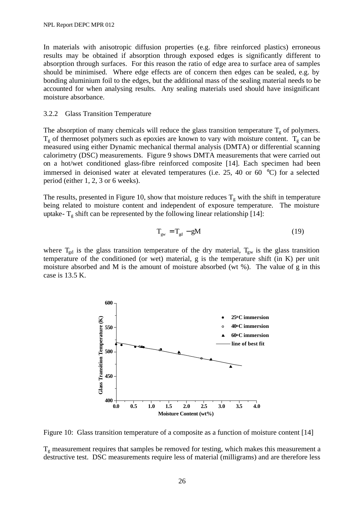In materials with anisotropic diffusion properties (e.g. fibre reinforced plastics) erroneous results may be obtained if absorption through exposed edges is significantly different to absorption through surfaces. For this reason the ratio of edge area to surface area of samples should be minimised. Where edge effects are of concern then edges can be sealed, e.g. by bonding aluminium foil to the edges, but the additional mass of the sealing material needs to be accounted for when analysing results. Any sealing materials used should have insignificant moisture absorbance.

#### 3.2.2 Glass Transition Temperature

The absorption of many chemicals will reduce the glass transition temperature  $T_{g}$  of polymers.  $T_g$  of thermoset polymers such as epoxies are known to vary with moisture content.  $T_g$  can be measured using either Dynamic mechanical thermal analysis (DMTA) or differential scanning calorimetry (DSC) measurements. Figure 9 shows DMTA measurements that were carried out on a hot/wet conditioned glass-fibre reinforced composite [14]. Each specimen had been immersed in deionised water at elevated temperatures (i.e. 25, 40 or 60 °C) for a selected period (either 1, 2, 3 or 6 weeks).

The results, presented in Figure 10, show that moisture reduces  $T_g$  with the shift in temperature being related to moisture content and independent of exposure temperature. The moisture uptake-  $T_g$  shift can be represented by the following linear relationship [14]:

$$
T_{\rm gw} = T_{\rm gd} - gM \tag{19}
$$

where  $T_{gd}$  is the glass transition temperature of the dry material,  $T_{gw}$  is the glass transition temperature of the conditioned (or wet) material, g is the temperature shift (in K) per unit moisture absorbed and M is the amount of moisture absorbed (wt  $\%$ ). The value of g in this case is 13.5 K.



Figure 10: Glass transition temperature of a composite as a function of moisture content [14]

 $T_g$  measurement requires that samples be removed for testing, which makes this measurement a destructive test. DSC measurements require less of material (milligrams) and are therefore less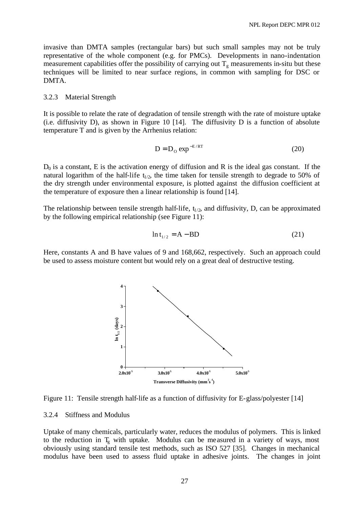invasive than DMTA samples (rectangular bars) but such small samples may not be truly representative of the whole component (e.g. for PMCs). Developments in nano-indentation measurement capabilities offer the possibility of carrying out  $T_g$  measurements in-situ but these techniques will be limited to near surface regions, in common with sampling for DSC or DMTA.

#### 3.2.3 Material Strength

It is possible to relate the rate of degradation of tensile strength with the rate of moisture uptake (i.e. diffusivity D), as shown in Figure 10 [14]. The diffusivity D is a function of absolute temperature T and is given by the Arrhenius relation:

$$
D = D_0 \exp^{-E/RT} \tag{20}
$$

 $D_0$  is a constant, E is the activation energy of diffusion and R is the ideal gas constant. If the natural logarithm of the half-life  $t_{1/2}$ , the time taken for tensile strength to degrade to 50% of the dry strength under environmental exposure, is plotted against the diffusion coefficient at the temperature of exposure then a linear relationship is found [14].

The relationship between tensile strength half-life,  $t_{1/2}$ , and diffusivity, D, can be approximated by the following empirical relationship (see Figure 11):

$$
\ln t_{1/2} = A - BD \tag{21}
$$

Here, constants A and B have values of 9 and 168,662, respectively. Such an approach could be used to assess moisture content but would rely on a great deal of destructive testing.



Figure 11: Tensile strength half-life as a function of diffusivity for E-glass/polyester [14]

#### 3.2.4 Stiffness and Modulus

Uptake of many chemicals, particularly water, reduces the modulus of polymers. This is linked to the reduction in  $T_g$  with uptake. Modulus can be measured in a variety of ways, most obviously using standard tensile test methods, such as ISO 527 [35]. Changes in mechanical modulus have been used to assess fluid uptake in adhesive joints. The changes in joint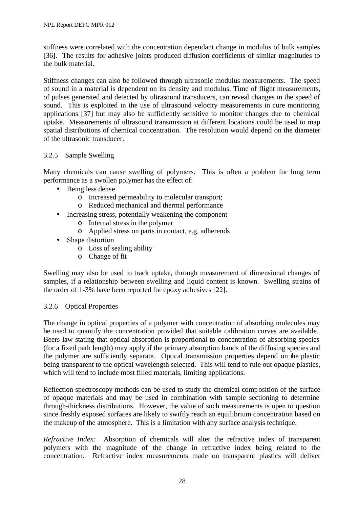stiffness were correlated with the concentration dependant change in modulus of bulk samples [36]. The results for adhesive joints produced diffusion coefficients of similar magnitudes to the bulk material.

Stiffness changes can also be followed through ultrasonic modulus measurements. The speed of sound in a material is dependent on its density and modulus. Time of flight measurements, of pulses generated and detected by ultrasound transducers, can reveal changes in the speed of sound. This is exploited in the use of ultrasound velocity measurements in cure monitoring applications [37] but may also be sufficiently sensitive to monitor changes due to chemical uptake. Measurements of ultrasound transmission at different locations could be used to map spatial distributions of chemical concentration. The resolution would depend on the diameter of the ultrasonic transducer.

## 3.2.5 Sample Swelling

Many chemicals can cause swelling of polymers. This is often a problem for long term performance as a swollen polymer has the effect of:

- Being less dense
	- o Increased permeability to molecular transport;
	- o Reduced mechanical and thermal performance
- Increasing stress, potentially weakening the component
	- o Internal stress in the polymer
	- o Applied stress on parts in contact, e.g. adherends
- Shape distortion
	- o Loss of sealing ability
	- o Change of fit

Swelling may also be used to track uptake, through measurement of dimensional changes of samples, if a relationship between swelling and liquid content is known. Swelling strains of the order of 1-3% have been reported for epoxy adhesives [22].

#### 3.2.6 Optical Properties

The change in optical properties of a polymer with concentration of absorbing molecules may be used to quantify the concentration provided that suitable calibration curves are available. Beers law stating that optical absorption is proportional to concentration of absorbing species (for a fixed path length) may apply if the primary absorption bands of the diffusing species and the polymer are sufficiently separate. Optical transmission properties depend on the plastic being transparent to the optical wavelength selected. This will tend to rule out opaque plastics, which will tend to include most filled materials, limiting applications.

Reflection spectroscopy methods can be used to study the chemical composition of the surface of opaque materials and may be used in combination with sample sectioning to determine through-thickness distributions. However, the value of such measurements is open to question since freshly exposed surfaces are likely to swiftly reach an equilibrium concentration based on the makeup of the atmosphere. This is a limitation with any surface analysis technique.

*Refractive Index:* Absorption of chemicals will alter the refractive index of transparent polymers with the magnitude of the change in refractive index being related to the concentration. Refractive index measurements made on transparent plastics will deliver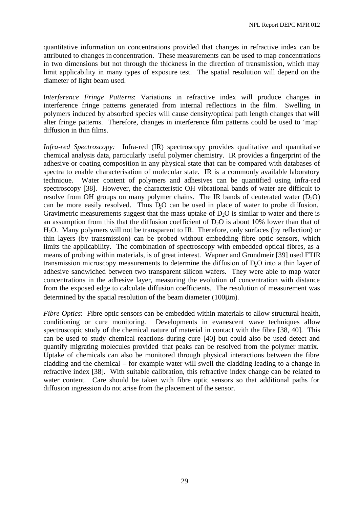quantitative information on concentrations provided that changes in refractive index can be attributed to changes in concentration. These measurements can be used to map concentrations in two dimensions but not through the thickness in the direction of transmission, which may limit applicability in many types of exposure test. The spatial resolution will depend on the diameter of light beam used.

I*nterference Fringe Patterns*: Variations in refractive index will produce changes in interference fringe patterns generated from internal reflections in the film. Swelling in polymers induced by absorbed species will cause density/optical path length changes that will alter fringe patterns. Therefore, changes in interference film patterns could be used to 'map' diffusion in thin films.

*Infra-red Spectroscopy:* Infra-red (IR) spectroscopy provides qualitative and quantitative chemical analysis data, particularly useful polymer chemistry. IR provides a fingerprint of the adhesive or coating composition in any physical state that can be compared with databases of spectra to enable characterisation of molecular state. IR is a commonly available laboratory technique. Water content of polymers and adhesives can be quantified using infra-red spectroscopy [38]. However, the characteristic OH vibrational bands of water are difficult to resolve from OH groups on many polymer chains. The IR bands of deuterated water  $(D_2O)$ can be more easily resolved. Thus D<sub>2</sub>O can be used in place of water to probe diffusion. Gravimetric measurements suggest that the mass uptake of  $D_2O$  is similar to water and there is an assumption from this that the diffusion coefficient of  $D_2O$  is about 10% lower than that of H2O. Many polymers will not be transparent to IR. Therefore, only surfaces (by reflection) or thin layers (by transmission) can be probed without embedding fibre optic sensors, which limits the applicability. The combination of spectroscopy with embedded optical fibres, as a means of probing within materials, is of great interest. Wapner and Grundmeir [39] used FTIR transmission microscopy measurements to determine the diffusion of D<sub>2</sub>O into a thin layer of adhesive sandwiched between two transparent silicon wafers. They were able to map water concentrations in the adhesive layer, measuring the evolution of concentration with distance from the exposed edge to calculate diffusion coefficients. The resolution of measurement was determined by the spatial resolution of the beam diameter (100μm).

*Fibre Optics*: Fibre optic sensors can be embedded within materials to allow structural health, conditioning or cure monitoring. Developments in evanescent wave techniques allow spectroscopic study of the chemical nature of material in contact with the fibre [38, 40]. This can be used to study chemical reactions during cure [40] but could also be used detect and quantify migrating molecules provided that peaks can be resolved from the polymer matrix. Uptake of chemicals can also be monitored through physical interactions between the fibre cladding and the chemical – for example water will swell the cladding leading to a change in refractive index [38]. With suitable calibration, this refractive index change can be related to water content. Care should be taken with fibre optic sensors so that additional paths for diffusion ingression do not arise from the placement of the sensor.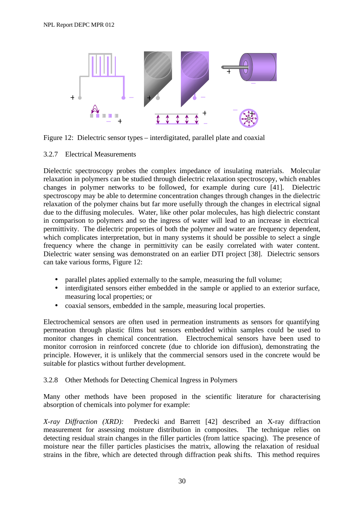

Figure 12: Dielectric sensor types – interdigitated, parallel plate and coaxial

## 3.2.7 Electrical Measurements

Dielectric spectroscopy probes the complex impedance of insulating materials. Molecular relaxation in polymers can be studied through dielectric relaxation spectroscopy, which enables changes in polymer networks to be followed, for example during cure [41]. Dielectric spectroscopy may be able to determine concentration changes through changes in the dielectric relaxation of the polymer chains but far more usefully through the changes in electrical signal due to the diffusing molecules. Water, like other polar molecules, has high dielectric constant in comparison to polymers and so the ingress of water will lead to an increase in electrical permittivity. The dielectric properties of both the polymer and water are frequency dependent, which complicates interpretation, but in many systems it should be possible to select a single frequency where the change in permittivity can be easily correlated with water content. Dielectric water sensing was demonstrated on an earlier DTI project [38]. Dielectric sensors can take various forms, Figure 12:

- parallel plates applied externally to the sample, measuring the full volume;
- interdigitated sensors either embedded in the sample or applied to an exterior surface, measuring local properties; or
- coaxial sensors, embedded in the sample, measuring local properties.

Electrochemical sensors are often used in permeation instruments as sensors for quantifying permeation through plastic films but sensors embedded within samples could be used to monitor changes in chemical concentration. Electrochemical sensors have been used to monitor corrosion in reinforced concrete (due to chloride ion diffusion), demonstrating the principle. However, it is unlikely that the commercial sensors used in the concrete would be suitable for plastics without further development.

## 3.2.8 Other Methods for Detecting Chemical Ingress in Polymers

Many other methods have been proposed in the scientific literature for characterising absorption of chemicals into polymer for example:

*X-ray Diffraction (XRD):* Predecki and Barrett [42] described an X-ray diffraction measurement for assessing moisture distribution in composites. The technique relies on detecting residual strain changes in the filler particles (from lattice spacing). The presence of moisture near the filler particles plasticises the matrix, allowing the relaxation of residual strains in the fibre, which are detected through diffraction peak shifts. This method requires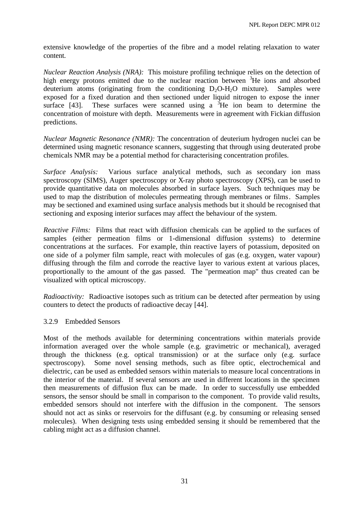extensive knowledge of the properties of the fibre and a model relating relaxation to water content.

*Nuclear Reaction Analysis (NRA):* This moisture profiling technique relies on the detection of high energy protons emitted due to the nuclear reaction between  ${}^{3}$ He ions and absorbed deuterium atoms (originating from the conditioning  $D_2O-H_2O$  mixture). Samples were exposed for a fixed duration and then sectioned under liquid nitrogen to expose the inner surface [43]. These surfaces were scanned using a  ${}^{3}$ He ion beam to determine the concentration of moisture with depth. Measurements were in agreement with Fickian diffusion predictions.

*Nuclear Magnetic Resonance (NMR):* The concentration of deuterium hydrogen nuclei can be determined using magnetic resonance scanners, suggesting that through using deuterated probe chemicals NMR may be a potential method for characterising concentration profiles.

*Surface Analysis:* Various surface analytical methods, such as secondary ion mass spectroscopy (SIMS), Auger spectroscopy or X-ray photo spectroscopy (XPS), can be used to provide quantitative data on molecules absorbed in surface layers. Such techniques may be used to map the distribution of molecules permeating through membranes or films. Samples may be sectioned and examined using surface analysis methods but it should be recognised that sectioning and exposing interior surfaces may affect the behaviour of the system.

*Reactive Films:* Films that react with diffusion chemicals can be applied to the surfaces of samples (either permeation films or 1-dimensional diffusion systems) to determine concentrations at the surfaces. For example, thin reactive layers of potassium, deposited on one side of a polymer film sample, react with molecules of gas (e.g. oxygen, water vapour) diffusing through the film and corrode the reactive layer to various extent at various places, proportionally to the amount of the gas passed. The "permeation map" thus created can be visualized with optical microscopy.

*Radioactivity:* Radioactive isotopes such as tritium can be detected after permeation by using counters to detect the products of radioactive decay [44].

## 3.2.9 Embedded Sensors

Most of the methods available for determining concentrations within materials provide information averaged over the whole sample (e.g. gravimetric or mechanical), averaged through the thickness (e.g. optical transmission) or at the surface only (e.g. surface spectroscopy). Some novel sensing methods, such as fibre optic, electrochemical and dielectric, can be used as embedded sensors within materials to measure local concentrations in the interior of the material. If several sensors are used in different locations in the specimen then measurements of diffusion flux can be made. In order to successfully use embedded sensors, the sensor should be small in comparison to the component. To provide valid results, embedded sensors should not interfere with the diffusion in the component. The sensors should not act as sinks or reservoirs for the diffusant (e.g. by consuming or releasing sensed molecules). When designing tests using embedded sensing it should be remembered that the cabling might act as a diffusion channel.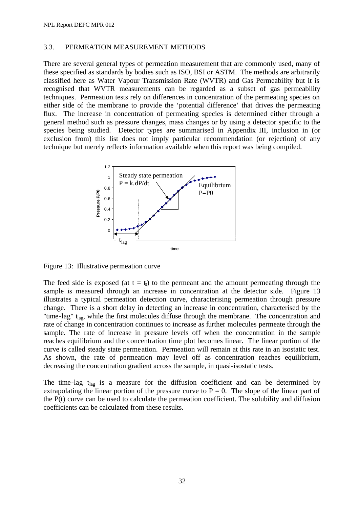#### 3.3. PERMEATION MEASUREMENT METHODS

There are several general types of permeation measurement that are commonly used, many of these specified as standards by bodies such as ISO, BSI or ASTM. The methods are arbitrarily classified here as Water Vapour Transmission Rate (WVTR) and Gas Permeability but it is recognised that WVTR measurements can be regarded as a subset of gas permeability techniques. Permeation tests rely on differences in concentration of the permeating species on either side of the membrane to provide the 'potential difference' that drives the permeating flux. The increase in concentration of permeating species is determined either through a general method such as pressure changes, mass changes or by using a detector specific to the species being studied. Detector types are summarised in Appendix III, inclusion in (or exclusion from) this list does not imply particular recommendation (or rejection) of any technique but merely reflects information available when this report was being compiled.



Figure 13: Illustrative permeation curve

The feed side is exposed (at  $t = t_0$ ) to the permeant and the amount permeating through the sample is measured through an increase in concentration at the detector side. Figure 13 illustrates a typical permeation detection curve, characterising permeation through pressure change. There is a short delay in detecting an increase in concentration, characterised by the "time-lag"  $t_{\text{lac}}$ , while the first molecules diffuse through the membrane. The concentration and rate of change in concentration continues to increase as further molecules permeate through the sample. The rate of increase in pressure levels off when the concentration in the sample reaches equilibrium and the concentration time plot becomes linear. The linear portion of the curve is called steady state permeation. Permeation will remain at this rate in an isostatic test. As shown, the rate of permeation may level off as concentration reaches equilibrium, decreasing the concentration gradient across the sample, in quasi-isostatic tests.

The time-lag  $t_{\text{lag}}$  is a measure for the diffusion coefficient and can be determined by extrapolating the linear portion of the pressure curve to  $P = 0$ . The slope of the linear part of the P(t) curve can be used to calculate the permeation coefficient. The solubility and diffusion coefficients can be calculated from these results.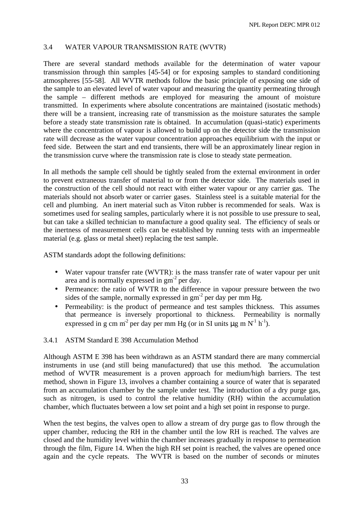## 3.4 WATER VAPOUR TRANSMISSION RATE (WVTR)

There are several standard methods available for the determination of water vapour transmission through thin samples [45-54] or for exposing samples to standard conditioning atmospheres [55-58]. All WVTR methods follow the basic principle of exposing one side of the sample to an elevated level of water vapour and measuring the quantity permeating through the sample – different methods are employed for measuring the amount of moisture transmitted. In experiments where absolute concentrations are maintained (isostatic methods) there will be a transient, increasing rate of transmission as the moisture saturates the sample before a steady state transmission rate is obtained. In accumulation (quasi-static) experiments where the concentration of vapour is allowed to build up on the detector side the transmission rate will decrease as the water vapour concentration approaches equilibrium with the input or feed side. Between the start and end transients, there will be an approximately linear region in the transmission curve where the transmission rate is close to steady state permeation.

In all methods the sample cell should be tightly sealed from the external environment in order to prevent extraneous transfer of material to or from the detector side. The materials used in the construction of the cell should not react with either water vapour or any carrier gas. The materials should not absorb water or carrier gases. Stainless steel is a suitable material for the cell and plumbing. An inert material such as Viton rubber is recommended for seals. Wax is sometimes used for sealing samples, particularly where it is not possible to use pressure to seal, but can take a skilled technician to manufacture a good quality seal. The efficiency of seals or the inertness of measurement cells can be established by running tests with an impermeable material (e.g. glass or metal sheet) replacing the test sample.

ASTM standards adopt the following definitions:

- Water vapour transfer rate (WVTR): is the mass transfer rate of water vapour per unit area and is normally expressed in  $gm<sup>-2</sup>$  per day.
- Permeance: the ratio of WVTR to the difference in vapour pressure between the two sides of the sample, normally expressed in  $gm<sup>2</sup>$  per day per mm Hg.
- Permeability: is the product of permeance and test samples thickness. This assumes that permeance is inversely proportional to thickness. Permeability is normally expressed in g cm m<sup>2</sup> per day per mm Hg (or in SI units  $\mu$ g m N<sup>-1</sup> h<sup>-1</sup>).

#### 3.4.1 ASTM Standard E 398 Accumulation Method

Although ASTM E 398 has been withdrawn as an ASTM standard there are many commercial instruments in use (and still being manufactured) that use this method. The accumulation method of WVTR measurement is a proven approach for medium/high barriers. The test method, shown in Figure 13, involves a chamber containing a source of water that is separated from an accumulation chamber by the sample under test. The introduction of a dry purge gas, such as nitrogen, is used to control the relative humidity (RH) within the accumulation chamber, which fluctuates between a low set point and a high set point in response to purge.

When the test begins, the valves open to allow a stream of dry purge gas to flow through the upper chamber, reducing the RH in the chamber until the low RH is reached. The valves are closed and the humidity level within the chamber increases gradually in response to permeation through the film, Figure 14. When the high RH set point is reached, the valves are opened once again and the cycle repeats. The WVTR is based on the number of seconds or minutes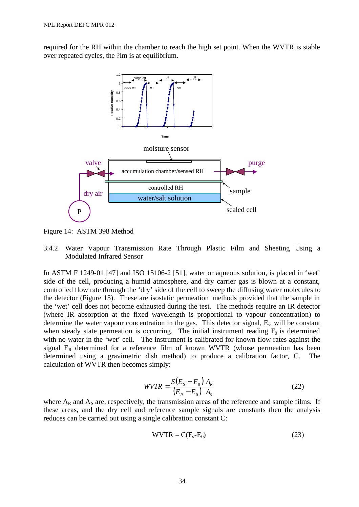required for the RH within the chamber to reach the high set point. When the WVTR is stable over repeated cycles, the ?lm is at equilibrium.



Figure 14: ASTM 398 Method

3.4.2 Water Vapour Transmission Rate Through Plastic Film and Sheeting Using a Modulated Infrared Sensor

In ASTM F 1249-01 [47] and ISO 15106-2 [51], water or aqueous solution, is placed in 'wet' side of the cell, producing a humid atmosphere, and dry carrier gas is blown at a constant, controlled flow rate through the 'dry' side of the cell to sweep the diffusing water molecules to the detector (Figure 15). These are isostatic permeation methods provided that the sample in the 'wet' cell does not become exhausted during the test. The methods require an IR detector (where IR absorption at the fixed wavelength is proportional to vapour concentration) to determine the water vapour concentration in the gas. This detector signal, E<sub>s</sub>, will be constant when steady state permeation is occurring. The initial instrument reading  $E_0$  is determined with no water in the 'wet' cell. The instrument is calibrated for known flow rates against the signal  $E_R$  determined for a reference film of known WVTR (whose permeation has been determined using a gravimetric dish method) to produce a calibration factor, C. The calculation of WVTR then becomes simply:

$$
WVTR = \frac{S(E_s - E_0)}{(E_R - E_0)} \frac{A_R}{A_S}
$$
 (22)

where  $A_R$  and  $A_S$  are, respectively, the transmission areas of the reference and sample films. If these areas, and the dry cell and reference sample signals are constants then the analysis reduces can be carried out using a single calibration constant C:

$$
WVTR = C(Es-E0)
$$
 (23)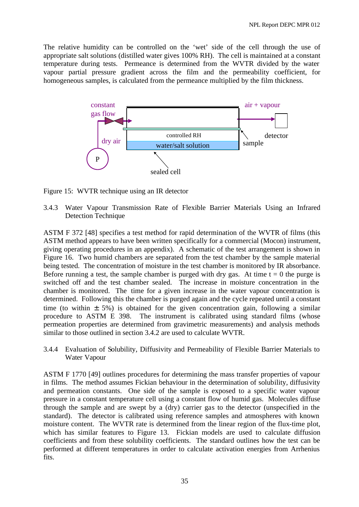The relative humidity can be controlled on the 'wet' side of the cell through the use of appropriate salt solutions (distilled water gives 100% RH). The cell is maintained at a constant temperature during tests. Permeance is determined from the WVTR divided by the water vapour partial pressure gradient across the film and the permeability coefficient, for homogeneous samples, is calculated from the permeance multiplied by the film thickness.



Figure 15: WVTR technique using an IR detector

3.4.3 Water Vapour Transmission Rate of Flexible Barrier Materials Using an Infrared Detection Technique

ASTM F 372 [48] specifies a test method for rapid determination of the WVTR of films (this ASTM method appears to have been written specifically for a commercial (Mocon) instrument, giving operating procedures in an appendix). A schematic of the test arrangement is shown in Figure 16. Two humid chambers are separated from the test chamber by the sample material being tested. The concentration of moisture in the test chamber is monitored by IR absorbance. Before running a test, the sample chamber is purged with dry gas. At time  $t = 0$  the purge is switched off and the test chamber sealed. The increase in moisture concentration in the chamber is monitored. The time for a given increase in the water vapour concentration is determined. Following this the chamber is purged again and the cycle repeated until a constant time (to within  $\pm$  5%) is obtained for the given concentration gain, following a similar procedure to ASTM E 398. The instrument is calibrated using standard films (whose permeation properties are determined from gravimetric measurements) and analysis methods similar to those outlined in section 3.4.2 are used to calculate WVTR.

3.4.4 Evaluation of Solubility, Diffusivity and Permeability of Flexible Barrier Materials to Water Vapour

ASTM F 1770 [49] outlines procedures for determining the mass transfer properties of vapour in films. The method assumes Fickian behaviour in the determination of solubility, diffusivity and permeation constants. One side of the sample is exposed to a specific water vapour pressure in a constant temperature cell using a constant flow of humid gas. Molecules diffuse through the sample and are swept by a (dry) carrier gas to the detector (unspecified in the standard). The detector is calibrated using reference samples and atmospheres with known moisture content. The WVTR rate is determined from the linear region of the flux-time plot, which has similar features to Figure 13. Fickian models are used to calculate diffusion coefficients and from these solubility coefficients. The standard outlines how the test can be performed at different temperatures in order to calculate activation energies from Arrhenius fits.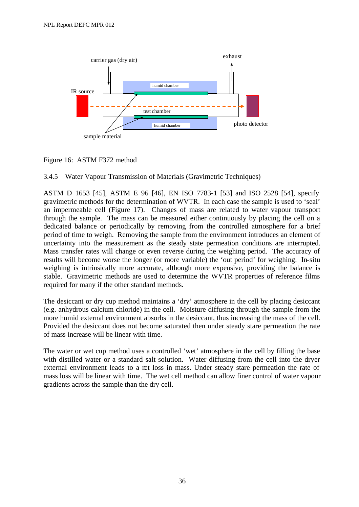

Figure 16: ASTM F372 method

## 3.4.5 Water Vapour Transmission of Materials (Gravimetric Techniques)

ASTM D 1653 [45], ASTM E 96 [46], EN ISO 7783-1 [53] and ISO 2528 [54], specify gravimetric methods for the determination of WVTR. In each case the sample is used to 'seal' an impermeable cell (Figure 17). Changes of mass are related to water vapour transport through the sample. The mass can be measured either continuously by placing the cell on a dedicated balance or periodically by removing from the controlled atmosphere for a brief period of time to weigh. Removing the sample from the environment introduces an element of uncertainty into the measurement as the steady state permeation conditions are interrupted. Mass transfer rates will change or even reverse during the weighing period. The accuracy of results will become worse the longer (or more variable) the 'out period' for weighing. In-situ weighing is intrinsically more accurate, although more expensive, providing the balance is stable. Gravimetric methods are used to determine the WVTR properties of reference films required for many if the other standard methods.

The desiccant or dry cup method maintains a 'dry' atmosphere in the cell by placing desiccant (e.g. anhydrous calcium chloride) in the cell. Moisture diffusing through the sample from the more humid external environment absorbs in the desiccant, thus increasing the mass of the cell. Provided the desiccant does not become saturated then under steady stare permeation the rate of mass increase will be linear with time.

The water or wet cup method uses a controlled 'wet' atmosphere in the cell by filling the base with distilled water or a standard salt solution. Water diffusing from the cell into the dryer external environment leads to a net loss in mass. Under steady stare permeation the rate of mass loss will be linear with time. The wet cell method can allow finer control of water vapour gradients across the sample than the dry cell.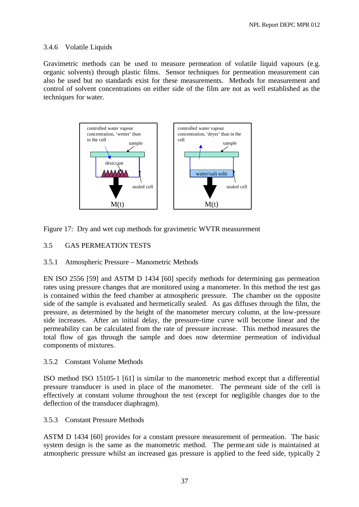## 3.4.6 Volatile Liquids

Gravimetric methods can be used to measure permeation of volatile liquid vapours (e.g. organic solvents) through plastic films. Sensor techniques for permeation measurement can also be used but no standards exist for these measurements. Methods for measurement and control of solvent concentrations on either side of the film are not as well established as the techniques for water.



Figure 17: Dry and wet cup methods for gravimetric WVTR measurement

## 3.5 GAS PERMEATION TESTS

#### 3.5.1 Atmospheric Pressure – Manometric Methods

EN ISO 2556 [59] and ASTM D 1434 [60] specify methods for determining gas permeation rates using pressure changes that are monitored using a manometer. In this method the test gas is contained within the feed chamber at atmospheric pressure. The chamber on the opposite side of the sample is evaluated and hermetically sealed. As gas diffuses through the film, the pressure, as determined by the height of the manometer mercury column, at the low-pressure side increases. After an initial delay, the pressure-time curve will become linear and the permeability can be calculated from the rate of pressure increase. This method measures the total flow of gas through the sample and does now determine permeation of individual components of mixtures.

#### 3.5.2 Constant Volume Methods

ISO method ISO 15105-1 [61] is similar to the manometric method except that a differential pressure transducer is used in place of the manometer. The permeant side of the cell is effectively at constant volume throughout the test (except for negligible changes due to the deflection of the transducer diaphragm).

#### 3.5.3 Constant Pressure Methods

ASTM D 1434 [60] provides for a constant pressure measurement of permeation. The basic system design is the same as the manometric method. The permeant side is maintained at atmospheric pressure whilst an increased gas pressure is applied to the feed side, typically 2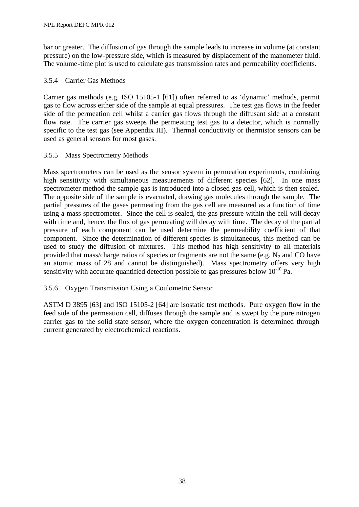bar or greater. The diffusion of gas through the sample leads to increase in volume (at constant pressure) on the low-pressure side, which is measured by displacement of the manometer fluid. The volume-time plot is used to calculate gas transmission rates and permeability coefficients.

## 3.5.4 Carrier Gas Methods

Carrier gas methods (e.g. ISO 15105-1 [61]) often referred to as 'dynamic' methods, permit gas to flow across either side of the sample at equal pressures. The test gas flows in the feeder side of the permeation cell whilst a carrier gas flows through the diffusant side at a constant flow rate. The carrier gas sweeps the permeating test gas to a detector, which is normally specific to the test gas (see Appendix III). Thermal conductivity or thermistor sensors can be used as general sensors for most gases.

## 3.5.5 Mass Spectrometry Methods

Mass spectrometers can be used as the sensor system in permeation experiments, combining high sensitivity with simultaneous measurements of different species [62]. In one mass spectrometer method the sample gas is introduced into a closed gas cell, which is then sealed. The opposite side of the sample is evacuated, drawing gas molecules through the sample. The partial pressures of the gases permeating from the gas cell are measured as a function of time using a mass spectrometer. Since the cell is sealed, the gas pressure within the cell will decay with time and, hence, the flux of gas permeating will decay with time. The decay of the partial pressure of each component can be used determine the permeability coefficient of that component. Since the determination of different species is simultaneous, this method can be used to study the diffusion of mixtures. This method has high sensitivity to all materials provided that mass/charge ratios of species or fragments are not the same (e.g.  $N_2$  and CO have an atomic mass of 28 and cannot be distinguished). Mass spectrometry offers very high sensitivity with accurate quantified detection possible to gas pressures below  $10^{-10}$  Pa.

#### 3.5.6 Oxygen Transmission Using a Coulometric Sensor

ASTM D 3895 [63] and ISO 15105-2 [64] are isostatic test methods. Pure oxygen flow in the feed side of the permeation cell, diffuses through the sample and is swept by the pure nitrogen carrier gas to the solid state sensor, where the oxygen concentration is determined through current generated by electrochemical reactions.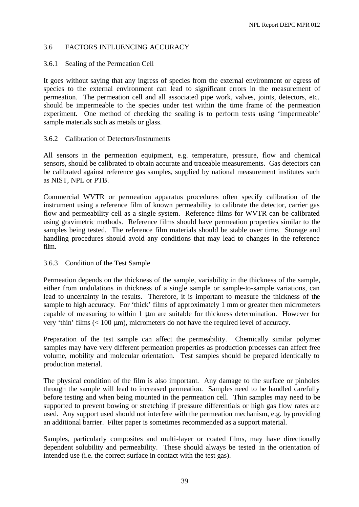## 3.6 FACTORS INFLUENCING ACCURACY

## 3.6.1 Sealing of the Permeation Cell

It goes without saying that any ingress of species from the external environment or egress of species to the external environment can lead to significant errors in the measurement of permeation. The permeation cell and all associated pipe work, valves, joints, detectors, etc. should be impermeable to the species under test within the time frame of the permeation experiment. One method of checking the sealing is to perform tests using 'impermeable' sample materials such as metals or glass.

## 3.6.2 Calibration of Detectors/Instruments

All sensors in the permeation equipment, e.g. temperature, pressure, flow and chemical sensors, should be calibrated to obtain accurate and traceable measurements. Gas detectors can be calibrated against reference gas samples, supplied by national measurement institutes such as NIST, NPL or PTB.

Commercial WVTR or permeation apparatus procedures often specify calibration of the instrument using a reference film of known permeability to calibrate the detector, carrier gas flow and permeability cell as a single system. Reference films for WVTR can be calibrated using gravimetric methods. Reference films should have permeation properties similar to the samples being tested. The reference film materials should be stable over time. Storage and handling procedures should avoid any conditions that may lead to changes in the reference film.

## 3.6.3 Condition of the Test Sample

Permeation depends on the thickness of the sample, variability in the thickness of the sample, either from undulations in thickness of a single sample or sample-to-sample variations, can lead to uncertainty in the results. Therefore, it is important to measure the thickness of the sample to high accuracy. For 'thick' films of approximately 1 mm or greater then micrometers capable of measuring to within 1 μm are suitable for thickness determination. However for very 'thin' films (< 100 μm), micrometers do not have the required level of accuracy.

Preparation of the test sample can affect the permeability. Chemically similar polymer samples may have very different permeation properties as production processes can affect free volume, mobility and molecular orientation. Test samples should be prepared identically to production material.

The physical condition of the film is also important. Any damage to the surface or pinholes through the sample will lead to increased permeation. Samples need to be handled carefully before testing and when being mounted in the permeation cell. Thin samples may need to be supported to prevent bowing or stretching if pressure differentials or high gas flow rates are used. Any support used should not interfere with the permeation mechanism, e.g. by providing an additional barrier. Filter paper is sometimes recommended as a support material.

Samples, particularly composites and multi-layer or coated films, may have directionally dependent solubility and permeability. These should always be tested in the orientation of intended use (i.e. the correct surface in contact with the test gas).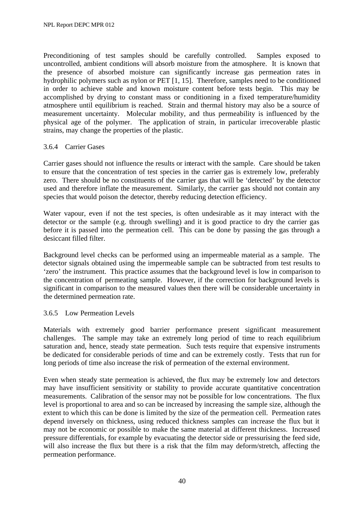Preconditioning of test samples should be carefully controlled. Samples exposed to uncontrolled, ambient conditions will absorb moisture from the atmosphere. It is known that the presence of absorbed moisture can significantly increase gas permeation rates in hydrophilic polymers such as nylon or PET [1, 15]. Therefore, samples need to be conditioned in order to achieve stable and known moisture content before tests begin. This may be accomplished by drying to constant mass or conditioning in a fixed temperature/humidity atmosphere until equilibrium is reached. Strain and thermal history may also be a source of measurement uncertainty. Molecular mobility, and thus permeability is influenced by the physical age of the polymer. The application of strain, in particular irrecoverable plastic strains, may change the properties of the plastic.

## 3.6.4 Carrier Gases

Carrier gases should not influence the results or interact with the sample. Care should be taken to ensure that the concentration of test species in the carrier gas is extremely low, preferably zero. There should be no constituents of the carrier gas that will be 'detected' by the detector used and therefore inflate the measurement. Similarly, the carrier gas should not contain any species that would poison the detector, thereby reducing detection efficiency.

Water vapour, even if not the test species, is often undesirable as it may interact with the detector or the sample (e.g. through swelling) and it is good practice to dry the carrier gas before it is passed into the permeation cell. This can be done by passing the gas through a desiccant filled filter.

Background level checks can be performed using an impermeable material as a sample. The detector signals obtained using the impermeable sample can be subtracted from test results to 'zero' the instrument. This practice assumes that the background level is low in comparison to the concentration of permeating sample. However, if the correction for background levels is significant in comparison to the measured values then there will be considerable uncertainty in the determined permeation rate.

#### 3.6.5 Low Permeation Levels

Materials with extremely good barrier performance present significant measurement challenges. The sample may take an extremely long period of time to reach equilibrium saturation and, hence, steady state permeation. Such tests require that expensive instruments be dedicated for considerable periods of time and can be extremely costly. Tests that run for long periods of time also increase the risk of permeation of the external environment.

Even when steady state permeation is achieved, the flux may be extremely low and detectors may have insufficient sensitivity or stability to provide accurate quantitative concentration measurements. Calibration of the sensor may not be possible for low concentrations. The flux level is proportional to area and so can be increased by increasing the sample size, although the extent to which this can be done is limited by the size of the permeation cell. Permeation rates depend inversely on thickness, using reduced thickness samples can increase the flux but it may not be economic or possible to make the same material at different thickness. Increased pressure differentials, for example by evacuating the detector side or pressurising the feed side, will also increase the flux but there is a risk that the film may deform/stretch, affecting the permeation performance.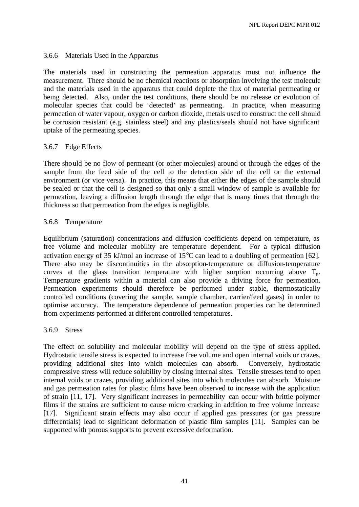## 3.6.6 Materials Used in the Apparatus

The materials used in constructing the permeation apparatus must not influence the measurement. There should be no chemical reactions or absorption involving the test molecule and the materials used in the apparatus that could deplete the flux of material permeating or being detected. Also, under the test conditions, there should be no release or evolution of molecular species that could be 'detected' as permeating. In practice, when measuring permeation of water vapour, oxygen or carbon dioxide, metals used to construct the cell should be corrosion resistant (e.g. stainless steel) and any plastics/seals should not have significant uptake of the permeating species.

## 3.6.7 Edge Effects

There should be no flow of permeant (or other molecules) around or through the edges of the sample from the feed side of the cell to the detection side of the cell or the external environment (or vice versa). In practice, this means that either the edges of the sample should be sealed or that the cell is designed so that only a small window of sample is available for permeation, leaving a diffusion length through the edge that is many times that through the thickness so that permeation from the edges is negligible.

## 3.6.8 Temperature

Equilibrium (saturation) concentrations and diffusion coefficients depend on temperature, as free volume and molecular mobility are temperature dependent. For a typical diffusion activation energy of 35 kJ/mol an increase of 15°C can lead to a doubling of permeation [62]. There also may be discontinuities in the absorption-temperature or diffusion-temperature curves at the glass transition temperature with higher sorption occurring above  $T_{\alpha}$ . Temperature gradients within a material can also provide a driving force for permeation. Permeation experiments should therefore be performed under stable, thermostatically controlled conditions (covering the sample, sample chamber, carrier/feed gases) in order to optimise accuracy. The temperature dependence of permeation properties can be determined from experiments performed at different controlled temperatures.

#### 3.6.9 Stress

The effect on solubility and molecular mobility will depend on the type of stress applied. Hydrostatic tensile stress is expected to increase free volume and open internal voids or crazes, providing additional sites into which molecules can absorb. Conversely, hydrostatic compressive stress will reduce solubility by closing internal sites. Tensile stresses tend to open internal voids or crazes, providing additional sites into which molecules can absorb. Moisture and gas permeation rates for plastic films have been observed to increase with the application of strain [11, 17]. Very significant increases in permeability can occur with brittle polymer films if the strains are sufficient to cause micro cracking in addition to free volume increase [17]. Significant strain effects may also occur if applied gas pressures (or gas pressure differentials) lead to significant deformation of plastic film samples [11]. Samples can be supported with porous supports to prevent excessive deformation.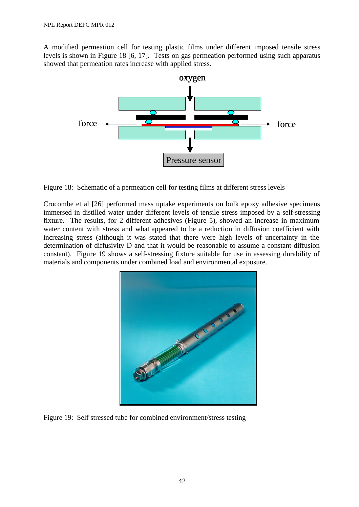A modified permeation cell for testing plastic films under different imposed tensile stress levels is shown in Figure 18 [6, 17]. Tests on gas permeation performed using such apparatus showed that permeation rates increase with applied stress.



Figure 18: Schematic of a permeation cell for testing films at different stress levels

Crocombe et al [26] performed mass uptake experiments on bulk epoxy adhesive specimens immersed in distilled water under different levels of tensile stress imposed by a self-stressing fixture. The results, for 2 different adhesives (Figure 5), showed an increase in maximum water content with stress and what appeared to be a reduction in diffusion coefficient with increasing stress (although it was stated that there were high levels of uncertainty in the determination of diffusivity D and that it would be reasonable to assume a constant diffusion constant). Figure 19 shows a self-stressing fixture suitable for use in assessing durability of materials and components under combined load and environmental exposure.



Figure 19: Self stressed tube for combined environment/stress testing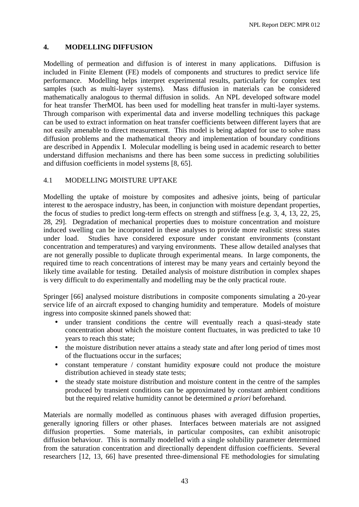## **4. MODELLING DIFFUSION**

Modelling of permeation and diffusion is of interest in many applications. Diffusion is included in Finite Element (FE) models of components and structures to predict service life performance. Modelling helps interpret experimental results, particularly for complex test samples (such as multi-layer systems). Mass diffusion in materials can be considered mathematically analogous to thermal diffusion in solids. An NPL developed software model for heat transfer TherMOL has been used for modelling heat transfer in multi-layer systems. Through comparison with experimental data and inverse modelling techniques this package can be used to extract information on heat transfer coefficients between different layers that are not easily amenable to direct measurement. This model is being adapted for use to solve mass diffusion problems and the mathematical theory and implementation of boundary conditions are described in Appendix I. Molecular modelling is being used in academic research to better understand diffusion mechanisms and there has been some success in predicting solubilities and diffusion coefficients in model systems [8, 65].

## 4.1 MODELLING MOISTURE UPTAKE

Modelling the uptake of moisture by composites and adhesive joints, being of particular interest to the aerospace industry, has been, in conjunction with moisture dependant properties, the focus of studies to predict long-term effects on strength and stiffness [e.g. 3, 4, 13, 22, 25, 28, 29]. Degradation of mechanical properties dues to moisture concentration and moisture induced swelling can be incorporated in these analyses to provide more realistic stress states under load. Studies have considered exposure under constant environments (constant concentration and temperatures) and varying environments. These allow detailed analyses that are not generally possible to duplicate through experimental means. In large components, the required time to reach concentrations of interest may be many years and certainly beyond the likely time available for testing. Detailed analysis of moisture distribution in complex shapes is very difficult to do experimentally and modelling may be the only practical route.

Springer [66] analysed moisture distributions in composite components simulating a 20-year service life of an aircraft exposed to changing humidity and temperature. Models of moisture ingress into composite skinned panels showed that:

- under transient conditions the centre will eventually reach a quasi-steady state concentration about which the moisture content fluctuates, in was predicted to take 10 years to reach this state;
- the moisture distribution never attains a steady state and after long period of times most of the fluctuations occur in the surfaces;
- constant temperature / constant humidity exposure could not produce the moisture distribution achieved in steady state tests;
- the steady state moisture distribution and moisture content in the centre of the samples produced by transient conditions can be approximated by constant ambient conditions but the required relative humidity cannot be determined *a priori* beforehand.

Materials are normally modelled as continuous phases with averaged diffusion properties, generally ignoring fillers or other phases. Interfaces between materials are not assigned diffusion properties. Some materials, in particular composites, can exhibit anisotropic diffusion behaviour. This is normally modelled with a single solubility parameter determined from the saturation concentration and directionally dependent diffusion coefficients. Several researchers [12, 13, 66] have presented three-dimensional FE methodologies for simulating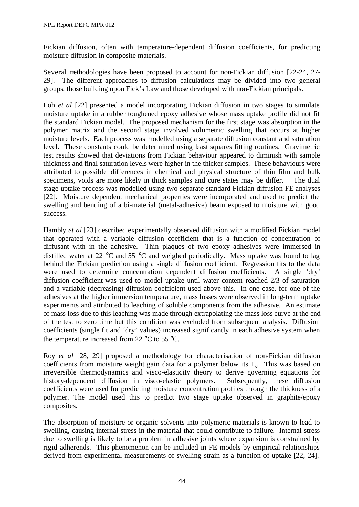Fickian diffusion, often with temperature-dependent diffusion coefficients, for predicting moisture diffusion in composite materials.

Several methodologies have been proposed to account for non-Fickian diffusion [22-24, 27- 29]. The different approaches to diffusion calculations may be divided into two general groups, those building upon Fick's Law and those developed with non-Fickian principals.

Loh *et al* [22] presented a model incorporating Fickian diffusion in two stages to simulate moisture uptake in a rubber toughened epoxy adhesive whose mass uptake profile did not fit the standard Fickian model. The proposed mechanism for the first stage was absorption in the polymer matrix and the second stage involved volumetric swelling that occurs at higher moisture levels. Each process was modelled using a separate diffusion constant and saturation level. These constants could be determined using least squares fitting routines. Gravimetric test results showed that deviations from Fickian behaviour appeared to diminish with sample thickness and final saturation levels were higher in the thicker samples. These behaviours were attributed to possible differences in chemical and physical structure of thin film and bulk specimens, voids are more likely in thick samples and cure states may be differ. The dual stage uptake process was modelled using two separate standard Fickian diffusion FE analyses [22]. Moisture dependent mechanical properties were incorporated and used to predict the swelling and bending of a bi-material (metal-adhesive) beam exposed to moisture with good success.

Hambly *et al* [23] described experimentally observed diffusion with a modified Fickian model that operated with a variable diffusion coefficient that is a function of concentration of diffusant with in the adhesive. Thin plaques of two epoxy adhesives were immersed in distilled water at 22 °C and 55 °C and weighed periodically. Mass uptake was found to lag behind the Fickian prediction using a single diffusion coefficient. Regression fits to the data were used to determine concentration dependent diffusion coefficients. A single 'dry' diffusion coefficient was used to model uptake until water content reached 2/3 of saturation and a variable (decreasing) diffusion coefficient used above this. In one case, for one of the adhesives at the higher immersion temperature, mass losses were observed in long-term uptake experiments and attributed to leaching of soluble components from the adhesive. An estimate of mass loss due to this leaching was made through extrapolating the mass loss curve at the end of the test to zero time but this condition was excluded from subsequent analysis. Diffusion coefficients (single fit and 'dry' values) increased significantly in each adhesive system when the temperature increased from 22  $\mathrm{^{\circ}C}$  to 55  $\mathrm{^{\circ}C}$ .

Roy *et al* [28, 29] proposed a methodology for characterisation of non-Fickian diffusion coefficients from moisture weight gain data for a polymer below its  $T_g$ . This was based on irreversible thermodynamics and visco-elasticity theory to derive governing equations for history-dependent diffusion in visco-elastic polymers. Subsequently, these diffusion coefficients were used for predicting moisture concentration profiles through the thickness of a polymer. The model used this to predict two stage uptake observed in graphite/epoxy composites.

The absorption of moisture or organic solvents into polymeric materials is known to lead to swelling, causing internal stress in the material that could contribute to failure. Internal stress due to swelling is likely to be a problem in adhesive joints where expansion is constrained by rigid adherends. This phenomenon can be included in FE models by empirical relationships derived from experimental measurements of swelling strain as a function of uptake [22, 24].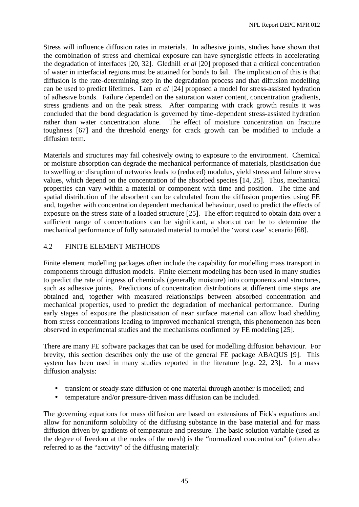Stress will influence diffusion rates in materials. In adhesive joints, studies have shown that the combination of stress and chemical exposure can have synergistic effects in accelerating the degradation of interfaces [20, 32]. Gledhill *et al* [20] proposed that a critical concentration of water in interfacial regions must be attained for bonds to fail. The implication of this is that diffusion is the rate-determining step in the degradation process and that diffusion modelling can be used to predict lifetimes. Lam *et al* [24] proposed a model for stress-assisted hydration of adhesive bonds. Failure depended on the saturation water content, concentration gradients, stress gradients and on the peak stress. After comparing with crack growth results it was concluded that the bond degradation is governed by time-dependent stress-assisted hydration rather than water concentration alone. The effect of moisture concentration on fracture toughness [67] and the threshold energy for crack growth can be modified to include a diffusion term.

Materials and structures may fail cohesively owing to exposure to the environment. Chemical or moisture absorption can degrade the mechanical performance of materials, plasticisation due to swelling or disruption of networks leads to (reduced) modulus, yield stress and failure stress values, which depend on the concentration of the absorbed species [14, 25]. Thus, mechanical properties can vary within a material or component with time and position. The time and spatial distribution of the absorbent can be calculated from the diffusion properties using FE and, together with concentration dependent mechanical behaviour, used to predict the effects of exposure on the stress state of a loaded structure [25]. The effort required to obtain data over a sufficient range of concentrations can be significant, a shortcut can be to determine the mechanical performance of fully saturated material to model the 'worst case' scenario [68].

## 4.2 FINITE ELEMENT METHODS

Finite element modelling packages often include the capability for modelling mass transport in components through diffusion models. Finite element modeling has been used in many studies to predict the rate of ingress of chemicals (generally moisture) into components and structures, such as adhesive joints. Predictions of concentration distributions at different time steps are obtained and, together with measured relationships between absorbed concentration and mechanical properties, used to predict the degradation of mechanical performance. During early stages of exposure the plasticisation of near surface material can allow load shedding from stress concentrations leading to improved mechanical strength, this phenomenon has been observed in experimental studies and the mechanisms confirmed by FE modeling [25].

There are many FE software packages that can be used for modelling diffusion behaviour. For brevity, this section describes only the use of the general FE package ABAQUS [9]. This system has been used in many studies reported in the literature [e.g. 22, 23]. In a mass diffusion analysis:

- transient or steady-state diffusion of one material through another is modelled; and
- temperature and/or pressure-driven mass diffusion can be included.

The governing equations for mass diffusion are based on extensions of Fick's equations and allow for nonuniform solubility of the diffusing substance in the base material and for mass diffusion driven by gradients of temperature and pressure. The basic solution variable (used as the degree of freedom at the nodes of the mesh) is the "normalized concentration" (often also referred to as the "activity" of the diffusing material):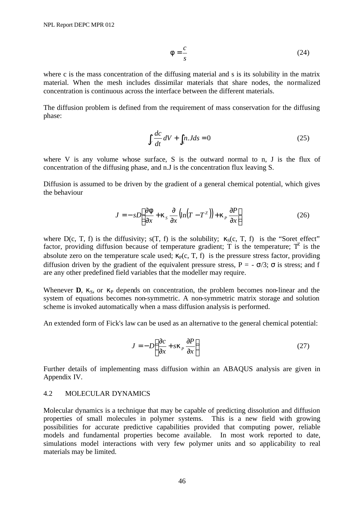$$
f = \frac{c}{s} \tag{24}
$$

where c is the mass concentration of the diffusing material and s is its solubility in the matrix material. When the mesh includes dissimilar materials that share nodes, the normalized concentration is continuous across the interface between the different materials.

The diffusion problem is defined from the requirement of mass conservation for the diffusing phase:

$$
\int_{V} \frac{dc}{dt} \, dV + \int_{S} n \cdot J ds = 0 \tag{25}
$$

where V is any volume whose surface, S is the outward normal to n, J is the flux of concentration of the diffusing phase, and n.J is the concentration flux leaving S.

Diffusion is assumed to be driven by the gradient of a general chemical potential, which gives the behaviour

$$
J = -sD\left[\frac{\partial \boldsymbol{f}}{\partial x} + \boldsymbol{k}_s \frac{\partial}{\partial x} \left(\ln(T - T^z)\right) + \boldsymbol{k}_P \frac{\partial P}{\partial x}\right]
$$
(26)

where D(c, T, f) is the diffusivity;  $s(T, f)$  is the solubility;  $\kappa_s(c, T, f)$  is the "Soret effect" factor, providing diffusion because of temperature gradient; T is the temperature;  $T^2$  is the absolute zero on the temperature scale used;  $\kappa_P(c, T, f)$  is the pressure stress factor, providing diffusion driven by the gradient of the equivalent pressure stress,  $P = -\sigma/3$ ;  $\sigma$  is stress; and f are any other predefined field variables that the modeller may require.

Whenever **D**,  $\kappa_S$ , or  $\kappa_P$  depends on concentration, the problem becomes non-linear and the system of equations becomes non-symmetric. A non-symmetric matrix storage and solution scheme is invoked automatically when a mass diffusion analysis is performed.

An extended form of Fick's law can be used as an alternative to the general chemical potential:

$$
J = -D\left(\frac{\partial c}{\partial x} + s\mathbf{k}_P \frac{\partial P}{\partial x}\right) \tag{27}
$$

Further details of implementing mass diffusion within an ABAQUS analysis are given in Appendix IV.

#### 4.2 MOLECULAR DYNAMICS

Molecular dynamics is a technique that may be capable of predicting dissolution and diffusion properties of small molecules in polymer systems. This is a new field with growing possibilities for accurate predictive capabilities provided that computing power, reliable models and fundamental properties become available. In most work reported to date, simulations model interactions with very few polymer units and so applicability to real materials may be limited.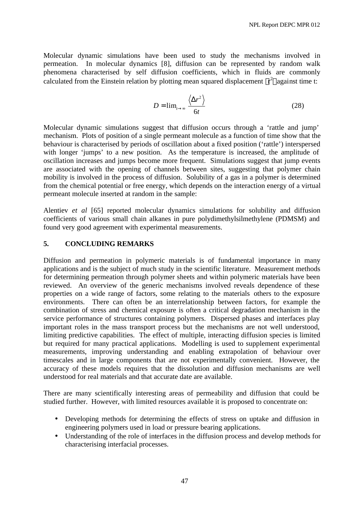Molecular dynamic simulations have been used to study the mechanisms involved in permeation. In molecular dynamics [8], diffusion can be represented by random walk phenomena characterised by self diffusion coefficients, which in fluids are commonly calculated from the Einstein relation by plotting mean squared displacement  $\langle r^2 \rangle$  against time t:

$$
D = \lim_{t \to \infty} \frac{\langle \Delta r^2 \rangle}{6t}
$$
 (28)

Molecular dynamic simulations suggest that diffusion occurs through a 'rattle and jump' mechanism. Plots of position of a single permeant molecule as a function of time show that the behaviour is characterised by periods of oscillation about a fixed position ('rattle') interspersed with longer 'jumps' to a new position. As the temperature is increased, the amplitude of oscillation increases and jumps become more frequent. Simulations suggest that jump events are associated with the opening of channels between sites, suggesting that polymer chain mobility is involved in the process of diffusion. Solubility of a gas in a polymer is determined from the chemical potential or free energy, which depends on the interaction energy of a virtual permeant molecule inserted at random in the sample:

Alentiev *et al* [65] reported molecular dynamics simulations for solubility and diffusion coefficients of various small chain alkanes in pure polydimethylsilmethylene (PDMSM) and found very good agreement with experimental measurements.

## **5. CONCLUDING REMARKS**

Diffusion and permeation in polymeric materials is of fundamental importance in many applications and is the subject of much study in the scientific literature. Measurement methods for determining permeation through polymer sheets and within polymeric materials have been reviewed. An overview of the generic mechanisms involved reveals dependence of these properties on a wide range of factors, some relating to the materials others to the exposure environments. There can often be an interrelationship between factors, for example the combination of stress and chemical exposure is often a critical degradation mechanism in the service performance of structures containing polymers. Dispersed phases and interfaces play important roles in the mass transport process but the mechanisms are not well understood, limiting predictive capabilities. The effect of multiple, interacting diffusion species is limited but required for many practical applications. Modelling is used to supplement experimental measurements, improving understanding and enabling extrapolation of behaviour over timescales and in large components that are not experimentally convenient. However, the accuracy of these models requires that the dissolution and diffusion mechanisms are well understood for real materials and that accurate date are available.

There are many scientifically interesting areas of permeability and diffusion that could be studied further. However, with limited resources available it is proposed to concentrate on:

- Developing methods for determining the effects of stress on uptake and diffusion in engineering polymers used in load or pressure bearing applications.
- Understanding of the role of interfaces in the diffusion process and develop methods for characterising interfacial processes.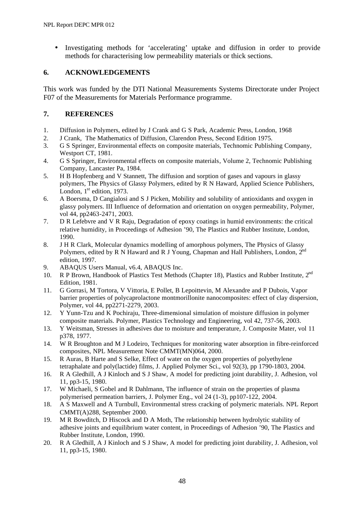• Investigating methods for 'accelerating' uptake and diffusion in order to provide methods for characterising low permeability materials or thick sections.

## **6. ACKNOWLEDGEMENTS**

This work was funded by the DTI National Measurements Systems Directorate under Project F07 of the Measurements for Materials Performance programme.

## **7. REFERENCES**

- 1. Diffusion in Polymers, edited by J Crank and G S Park, Academic Press, London, 1968
- 2. J Crank, The Mathematics of Diffusion, Clarendon Press, Second Edition 1975.
- 3. G S Springer, Environmental effects on composite materials, Technomic Publishing Company, Westport CT, 1981.
- 4. G S Springer, Environmental effects on composite materials, Volume 2, Technomic Publishing Company, Lancaster Pa, 1984.
- 5. H B Hopfenberg and V Stannett, The diffusion and sorption of gases and vapours in glassy polymers, The Physics of Glassy Polymers, edited by R N Haward, Applied Science Publishers, London,  $1<sup>st</sup>$  edition, 1973.
- 6. A Boersma, D Cangialosi and S J Picken, Mobility and solubility of antioxidants and oxygen in glassy polymers. III Influence of deformation and orientation on oxygen permeability, Polymer, vol 44, pp2463-2471, 2003.
- 7. D R Lefebvre and V R Raju, Degradation of epoxy coatings in humid environments: the critical relative humidity, in Proceedings of Adhesion '90, The Plastics and Rubber Institute, London, 1990.
- 8. J H R Clark, Molecular dynamics modelling of amorphous polymers, The Physics of Glassy Polymers, edited by R N Haward and R J Young, Chapman and Hall Publishers, London, 2<sup>nd</sup> edition, 1997.
- 9. ABAQUS Users Manual, v6.4, ABAQUS Inc.
- 10. R P Brown, Handbook of Plastics Test Methods (Chapter 18), Plastics and Rubber Institute, 2<sup>nd</sup> Edition, 1981.
- 11. G Gorrasi, M Tortora, V Vittoria, E Pollet, B Lepoittevin, M Alexandre and P Dubois, Vapor barrier properties of polycaprolactone montmorillonite nanocomposites: effect of clay dispersion, Polymer, vol 44, pp2271-2279, 2003.
- 12. Y Yunn-Tzu and K Pochiraju, Three-dimensional simulation of moisture diffusion in polymer composite materials. Polymer, Plastics Technology and Engineering, vol 42, 737-56, 2003.
- 13. Y Weitsman, Stresses in adhesives due to moisture and temperature, J. Composite Mater, vol 11 p378, 1977.
- 14. W R Broughton and M J Lodeiro, Techniques for monitoring water absorption in fibre-reinforced composites, NPL Measurement Note CMMT(MN)064, 2000.
- 15. R Auras, B Harte and S Selke, Effect of water on the oxygen properties of polyethylene tetraphalate and poly(lactide) films, J. Applied Polymer Sci., vol 92(3), pp 1790-1803, 2004.
- 16. R A Gledhill, A J Kinloch and S J Shaw, A model for predicting joint durability, J. Adhesion, vol 11, pp3-15, 1980.
- 17. W Michaeli, S Gobel and R Dahlmann, The influence of strain on the properties of plasma polymerised permeation barriers, J. Polymer Eng., vol 24 (1-3), pp107-122, 2004.
- 18. A S Maxwell and A Turnbull, Environmental stress cracking of polymeric materials. NPL Report CMMT(A)288, September 2000.
- 19. M R Bowditch, D Hiscock and D A Moth, The relationship between hydrolytic stability of adhesive joints and equilibrium water content, in Proceedings of Adhesion '90, The Plastics and Rubber Institute, London, 1990.
- 20. R A Gledhill, A J Kinloch and S J Shaw, A model for predicting joint durability, J. Adhesion, vol 11, pp3-15, 1980.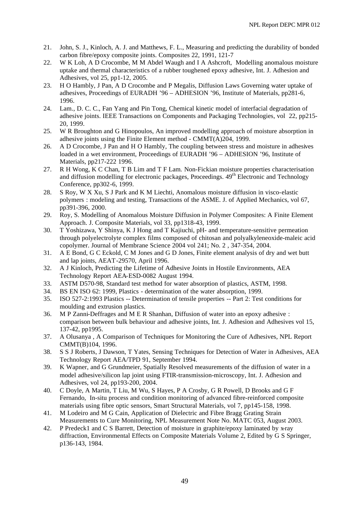- 21. John, S. J., Kinloch, A. J. and Matthews, F. L., Measuring and predicting the durability of bonded carbon fibre/epoxy composite joints. Composites 22, 1991, 121-7
- 22. W K Loh, A D Crocombe, M M Abdel Waugh and I A Ashcroft, Modelling anomalous moisture uptake and thermal characteristics of a rubber toughened epoxy adhesive, Int. J. Adhesion and Adhesives, vol 25, pp1-12, 2005.
- 23. H O Hambly, J Pan, A D Crocombe and P Megalis, Diffusion Laws Governing water uptake of adhesives, Proceedings of EURADH '96 – ADHESION '96, Institute of Materials, pp281-6, 1996.
- 24. Lam., D. C. C., Fan Yang and Pin Tong, Chemical kinetic model of interfacial degradation of adhesive joints. IEEE Transactions on Components and Packaging Technologies, vol 22, pp215- 20, 1999.
- 25. W R Broughton and G Hinopoulos, An improved modelling approach of moisture absorption in adhesive joints using the Finite Element method - CMMT(A)204, 1999.
- 26. A D Crocombe, J Pan and H O Hambly, The coupling between stress and moisture in adhesives loaded in a wet environment, Proceedings of EURADH '96 – ADHESION '96, Institute of Materials, pp217-222 1996.
- 27. R H Wong, K C Chan, T B Lim and T F Lam*.* Non-Fickian moisture properties characterisation and diffusion modelling for electronic packages, Proceedings.  $49<sup>th</sup>$  Electronic and Technology Conference, pp302-6, 1999.
- 28. S Roy, W X Xu, S J Park and K M Liechti, Anomalous moisture diffusion in visco-elastic polymers : modeling and testing, Transactions of the ASME. J. of Applied Mechanics, vol 67, pp391-396, 2000.
- 29. Roy, S. Modelling of Anomalous Moisture Diffusion in Polymer Composites: A Finite Element Approach. J. Composite Materials, vol 33, pp1318-43, 1999.
- 30. T Yoshizawa, Y Shinya, K J Hong and T Kajiuchi, pH- and temperature-sensitive permeation through polyelectrolyte complex films composed of chitosan and polyalkyleneoxide-maleic acid copolymer. Journal of Membrane Science 2004 vol 241; No. 2 , 347-354, 2004.
- 31. A E Bond, G C Eckold, C M Jones and G D Jones, Finite element analysis of dry and wet butt and lap joints, AEAT-29570, April 1996.
- 32. A J Kinloch, Predicting the Lifetime of Adhesive Joints in Hostile Environments, AEA Technology Report AEA-ESD-0082 August 1994.
- 33. ASTM D570-98, Standard test method for water absorption of plastics, ASTM, 1998.
- 34. BS EN ISO 62: 1999, Plastics determination of the water absorption, 1999.
- 35. ISO 527-2:1993 Plastics -- Determination of tensile properties -- Part 2: Test conditions for moulding and extrusion plastics.
- 36. M P Zanni-Deffrages and M E R Shanhan, Diffusion of water into an epoxy adhesive : comparison between bulk behaviour and adhesive joints, Int. J. Adhesion and Adhesives vol 15, 137-42, pp1995.
- 37. A Olusanya , A Comparison of Techniques for Monitoring the Cure of Adhesives, NPL Report CMMT(B)104, 1996.
- 38. S S J Roberts, J Dawson, T Yates, Sensing Techniques for Detection of Water in Adhesives, AEA Technology Report AEA/TPD 91, September 1994.
- 39. K Wapner, and G Grundmeier, Spatially Resolved measurements of the diffusion of water in a model adhesive/silicon lap joint using FTIR-transmission-microscopy, Int. J. Adhesion and Adhesives, vol 24, pp193-200, 2004.
- 40. C Doyle, A Martin, T Liu, M Wu, S Hayes, P A Crosby, G R Powell, D Brooks and G F Fernando, In-situ process and condition monitoring of advanced fibre-reinforced composite materials using fibre optic sensors, Smart Structural Materials, vol 7, pp145-158, 1998.
- 41. M Lodeiro and M G Cain, Application of Dielectric and Fibre Bragg Grating Strain Measurements to Cure Monitoring, NPL Measurement Note No. MATC 053, August 2003.
- 42. P Predeck1 and C S Barrett, Detection of moisture in graphite/epoxy laminated by x-ray diffraction, Environmental Effects on Composite Materials Volume 2, Edited by G S Springer, p136-143, 1984.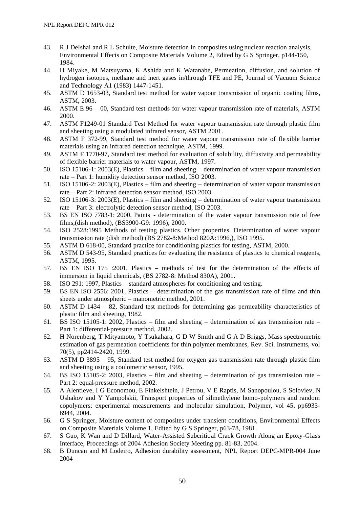- 43. R J DeIshai and R L Schulte, Moisture detection in composites using nuclear reaction analysis, Environmental Effects on Composite Materials Volume 2, Edited by G S Springer, p144-150, 1984.
- 44. H Miyake, M Matsuyama, K Ashida and K Watanabe, Permeation, diffusion, and solution of hydrogen isotopes, methane and inert gases in/through TFE and PE, Journal of Vacuum Science and Technology A1 (1983) 1447-1451.
- 45. ASTM D 1653-03, Standard test method for water vapour transmission of organic coating films, ASTM, 2003.
- 46. ASTM E 96 00, Standard test methods for water vapour transmission rate of materials, ASTM 2000.
- 47. ASTM F1249-01 Standard Test Method for water vapour transmission rate through plastic film and sheeting using a modulated infrared sensor, ASTM 2001.
- 48. ASTM F 372-99, Standard test method for water vapour transmission rate of flexible barrier materials using an infrared detection technique, ASTM, 1999.
- 49. ASTM F 1770-97, Standard test method for evaluation of solubility, diffusivity and permeability of flexible barrier materials to water vapour, ASTM, 1997.
- 50. ISO 15106-1: 2003(E), Plastics film and sheeting determination of water vapour transmission rate – Part 1: humidity detection sensor method, ISO 2003.
- 51. ISO 15106-2: 2003(E), Plastics film and sheeting determination of water vapour transmission rate – Part 2: infrared detection sensor method, ISO 2003.
- 52. ISO 15106-3: 2003(E), Plastics film and sheeting determination of water vapour transmission rate – Part 3: electrolytic detection sensor method, ISO 2003.
- 53. BS EN ISO 7783-1: 2000, Paints determination of the water vapour transmission rate of free films,(dish method), (BS3900-G9: 1996), 2000.
- 54. ISO 2528:1995 Methods of testing plastics. Other properties. Determination of water vapour transmission rate (dish method) (BS 2782-8:Method 820A:1996,), ISO 1995.
- 55. ASTM D 618-00, Standard practice for conditioning plastics for testing, ASTM, 2000.
- 56. ASTM D 543-95, Standard practices for evaluating the resistance of plastics to chemical reagents, ASTM, 1995.
- 57. BS EN ISO 175 :2001, Plastics methods of test for the determination of the effects of immersion in liquid chemicals, (BS 2782-8: Method 830A), 2001.
- 58. ISO 291: 1997, Plastics standard atmospheres for conditioning and testing.
- 59. BS EN ISO 2556: 2001, Plastics determination of the gas transmission rate of films and thin sheets under atmospheric – manometric method, 2001.
- 60. ASTM D 1434 82, Standard test methods for determining gas permeability characteristics of plastic film and sheeting, 1982.
- 61. BS ISO 15105-1: 2002, Plastics film and sheeting determination of gas transmission rate Part 1: differential-pressure method, 2002.
- 62. H Norenberg, T Mityamoto, Y Tsukahara, G D W Smith and G A D Briggs, Mass spectrometric estimation of gas permeation coefficients for thin polymer membranes, Rev. Sci. Instruments, vol 70(5), pp2414-2420, 1999.
- 63. ASTM D 3895 95, Standard test method for oxygen gas transmission rate through plastic film and sheeting using a coulometric sensor, 1995.
- 64. BS ISO 15105-2: 2003, Plastics film and sheeting determination of gas transmission rate Part 2: equal-pressure method, 2002.
- 65. A Alentieve, I G Economou, E Finkelshtein, J Petrou, V E Raptis, M Sanopoulou, S Soloviev, N Ushakov and Y Yampolskii, Transport properties of silmethylene homo-polymers and random copolymers: experimental measurements and molecular simulation, Polymer, vol 45, pp6933- 6944, 2004.
- 66. G S Springer, Moisture content of composites under transient conditions, Environmental Effects on Composite Materials Volume 1, Edited by G S Springer, p63-78, 1981.
- 67. S Guo, K Wan and D Dillard, Water-Assisted Subcritic al Crack Growth Along an Epoxy-Glass Interface, Proceedings of 2004 Adhesion Society Meeting pp. 81-83, 2004.
- 68. B Duncan and M Lodeiro, Adhesion durability assessment, NPL Report DEPC-MPR-004 June 2004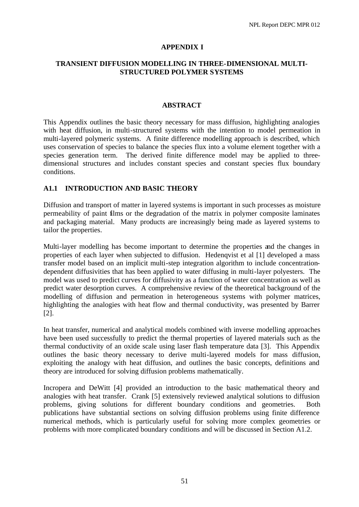#### **APPENDIX I**

### **TRANSIENT DIFFUSION MODELLING IN THREE-DIMENSIONAL MULTI-STRUCTURED POLYMER SYSTEMS**

#### **ABSTRACT**

This Appendix outlines the basic theory necessary for mass diffusion, highlighting analogies with heat diffusion, in multi-structured systems with the intention to model permeation in multi-layered polymeric systems. A finite difference modelling approach is described, which uses conservation of species to balance the species flux into a volume element together with a species generation term. The derived finite difference model may be applied to threedimensional structures and includes constant species and constant species flux boundary conditions.

## **A1.1 INTRODUCTION AND BASIC THEORY**

Diffusion and transport of matter in layered systems is important in such processes as moisture permeability of paint films or the degradation of the matrix in polymer composite laminates and packaging material. Many products are increasingly being made as layered systems to tailor the properties.

Multi-layer modelling has become important to determine the properties and the changes in properties of each layer when subjected to diffusion. Hedenqvist et al [1] developed a mass transfer model based on an implicit multi-step integration algorithm to include concentrationdependent diffusivities that has been applied to water diffusing in multi-layer polyesters. The model was used to predict curves for diffusivity as a function of water concentration as well as predict water desorption curves. A comprehensive review of the theoretical background of the modelling of diffusion and permeation in heterogeneous systems with polymer matrices, highlighting the analogies with heat flow and thermal conductivity, was presented by Barrer [2].

In heat transfer, numerical and analytical models combined with inverse modelling approaches have been used successfully to predict the thermal properties of layered materials such as the thermal conductivity of an oxide scale using laser flash temperature data [3]. This Appendix outlines the basic theory necessary to derive multi-layered models for mass diffusion, exploiting the analogy with heat diffusion, and outlines the basic concepts, definitions and theory are introduced for solving diffusion problems mathematically.

Incropera and DeWitt [4] provided an introduction to the basic mathematical theory and analogies with heat transfer. Crank [5] extensively reviewed analytical solutions to diffusion problems, giving solutions for different boundary conditions and geometries. Both publications have substantial sections on solving diffusion problems using finite difference numerical methods, which is particularly useful for solving more complex geometries or problems with more complicated boundary conditions and will be discussed in Section A1.2.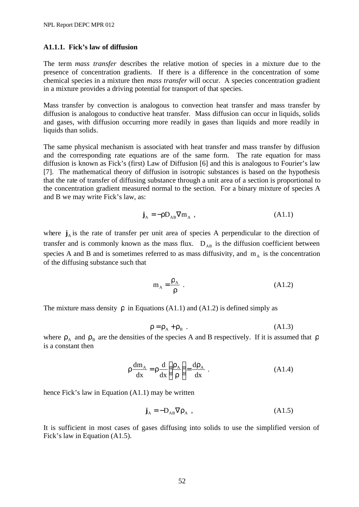#### **A1.1.1. Fick's law of diffusion**

The term *mass transfer* describes the relative motion of species in a mixture due to the presence of concentration gradients. If there is a difference in the concentration of some chemical species in a mixture then *mass transfer* will occur. A species concentration gradient in a mixture provides a driving potential for transport of that species.

Mass transfer by convection is analogous to convection heat transfer and mass transfer by diffusion is analogous to conductive heat transfer. Mass diffusion can occur in liquids, solids and gases, with diffusion occurring more readily in gases than liquids and more readily in liquids than solids.

The same physical mechanism is associated with heat transfer and mass transfer by diffusion and the corresponding rate equations are of the same form. The rate equation for mass diffusion is known as Fick's (first) Law of Diffusion [6] and this is analogous to Fourier's law [7]. The mathematical theory of diffusion in isotropic substances is based on the hypothesis that the rate of transfer of diffusing substance through a unit area of a section is proportional to the concentration gradient measured normal to the section. For a binary mixture of species A and B we may write Fick's law, as:

$$
\mathbf{j}_{A} = -\rho \mathbf{D}_{AB} \nabla \mathbf{m}_{A} , \qquad (A1.1)
$$

where  $\mathbf{j}_A$  is the rate of transfer per unit area of species A perpendicular to the direction of transfer and is commonly known as the mass flux.  $D_{AB}$  is the diffusion coefficient between species A and B and is sometimes referred to as mass diffusivity, and  $m_A$  is the concentration of the diffusing substance such that

$$
m_A = \frac{\rho_A}{\rho} \tag{A1.2}
$$

The mixture mass density  $\rho$  in Equations (A1.1) and (A1.2) is defined simply as

$$
\rho = \rho_A + \rho_B \tag{A1.3}
$$

where  $\rho_A$  and  $\rho_B$  are the densities of the species A and B respectively. If it is assumed that  $\rho$ is a constant then

$$
\rho \frac{dm_A}{dx} = \rho \frac{d}{dx} \left( \frac{\rho_A}{\rho} \right) = \frac{d\rho_A}{dx} .
$$
 (A1.4)

hence Fick's law in Equation (A1.1) may be written

$$
\mathbf{j}_{A} = -D_{AB}\nabla\rho_{A} , \qquad (A1.5)
$$

It is sufficient in most cases of gases diffusing into solids to use the simplified version of Fick's law in Equation (A1.5).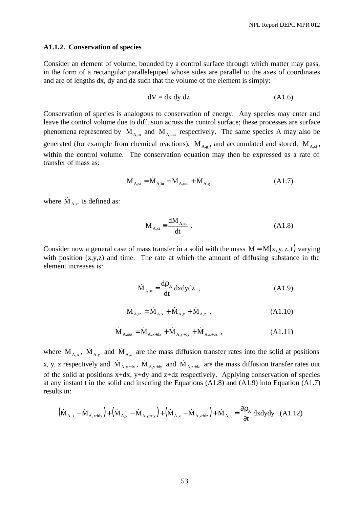#### **A1.1.2. Conservation of species**

Consider an element of volume, bounded by a control surface through which matter may pass, in the form of a rectangular parallelepiped whose sides are parallel to the axes of coordinates and are of lengths dx, dy and dz such that the volume of the element is simply:

$$
dV = dx dy dz
$$
 (A1.6)

Conservation of species is analogous to conservation of energy. Any species may enter and leave the control volume due to diffusion across the control surface; these processes are surface phenomena represented by  $\dot{M}_{A,in}$  and  $\dot{M}_{A,out}$  respectively. The same species A may also be generated (for example from chemical reactions),  $\dot{M}_{A,g}$ , and accumulated and stored,  $\dot{M}_{A,st}$ , within the control volume. The conservation equation may then be expressed as a rate of transfer of mass as:

$$
\dot{M}_{A,st} = \dot{M}_{A,in} - \dot{M}_{A,out} + \dot{M}_{A,g}
$$
\n(A1.7)

where  $\dot{M}_{A, st}$  is defined as:

$$
\dot{M}_{A,st} \equiv \frac{dM_{A,st}}{dt} .
$$
\n(A1.8)

Consider now a general case of mass transfer in a solid with the mass  $M = M(x, y, z, t)$  varying with position  $(x,y,z)$  and time. The rate at which the amount of diffusing substance in the element increases is:

$$
\dot{M}_{A,st} = \frac{d\rho_A}{dt} dx dy dz , \qquad (A1.9)
$$

$$
\dot{M}_{A,in} = \dot{M}_{A,x} + \dot{M}_{A,y} + \dot{M}_{A,z} ,
$$
\n(A1.10)

$$
\dot{M}_{A, out} = \dot{M}_{A, x+dx} + \dot{M}_{A, y+dy} + \dot{M}_{A, z+dz} ,
$$
\n(A1.11)

where  $\dot{M}_{A,x}$ ,  $\dot{M}_{A,y}$  and  $\dot{M}_{A,z}$  are the mass diffusion transfer rates into the solid at positions x, y, z respectively and  $\dot{M}_{A,x+dx}$ ,  $\dot{M}_{A,y+dy}$  and  $\dot{M}_{A,z+dz}$  are the mass diffusion transfer rates out of the solid at positions x+dx, y+dy and z+dz respectively. Applying conservation of species at any instant t in the solid and inserting the Equations (A1.8) and (A1.9) into Equation (A1.7) results in:

$$
\left(\dot{M}_{A,x} - \dot{M}_{A,x+dx}\right) + \left(\dot{M}_{A,y} - \dot{M}_{A,y+dy}\right) + \left(\dot{M}_{A,z} - \dot{M}_{A,z+dz}\right) + \dot{M}_{A,g} = \frac{\partial \rho_A}{\partial t} dxdydy \quad (A1.12)
$$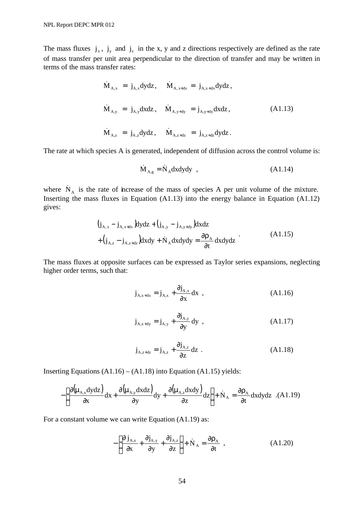The mass fluxes  $j_x$ ,  $j_y$  and  $j_z$  in the x, y and z directions respectively are defined as the rate of mass transfer per unit area perpendicular to the direction of transfer and may be written in terms of the mass transfer rates:

$$
\dot{M}_{A,x} = j_{A,x}dydz, \quad \dot{M}_{A,x+dx} = j_{A,x+dx}dydz,
$$
\n
$$
\dot{M}_{A,y} = j_{A,y}dxdz, \quad \dot{M}_{A,y+dy} = j_{A,y+dy}dxdz,
$$
\n(A1.13)\n
$$
\dot{M}_{A,z} = j_{A,z}dydz, \quad \dot{M}_{A,z+dz} = j_{A,z+dz}dydz.
$$

The rate at which species A is generated, independent of diffusion across the control volume is:

$$
\dot{M}_{A,g} = \dot{N}_A dx dy dy , \qquad (A1.14)
$$

where  $\dot{N}_A$  is the rate of increase of the mass of species A per unit volume of the mixture. Inserting the mass fluxes in Equation (A1.13) into the energy balance in Equation (A1.12) gives:

$$
(j_{A,x} - j_{A,x+dx})dydz + (j_{A,y} - j_{A,y+dy})dxdz
$$
  
+
$$
(j_{A,z} - j_{A,z+dz})dxdy + \dot{N}_A dxdydy = \frac{\partial \rho_A}{\partial t} dxdydz
$$
 (A1.15)

The mass fluxes at opposite surfaces can be expressed as Taylor series expansions, neglecting higher order terms, such that:

$$
\dot{\mathbf{j}}_{\mathbf{A},x+\mathbf{dx}} = \dot{\mathbf{j}}_{\mathbf{A},x} + \frac{\partial \dot{\mathbf{j}}_{\mathbf{A},x}}{\partial x} \mathbf{dx} ,
$$
 (A1.16)

$$
\mathbf{j}_{\mathbf{A},x+\mathbf{dy}} = \mathbf{j}_{\mathbf{A},y} + \frac{\partial \mathbf{j}_{\mathbf{A},y}}{\partial y} \mathbf{dy} , \qquad (A1.17)
$$

$$
\mathbf{j}_{\mathbf{A},z+\mathbf{dz}} = \mathbf{j}_{\mathbf{A},z} + \frac{\partial \mathbf{j}_{\mathbf{A},z}}{\partial z} \mathbf{dz} .
$$
 (A1.18)

Inserting Equations  $(A1.16) - (A1.18)$  into Equation  $(A1.15)$  yields:

$$
-\left[\frac{\partial(\mu_{A,x}dydz)}{\partial x}dx + \frac{\partial(\mu_{A,y}dxdz)}{\partial y}dy + \frac{\partial(\mu_{A,z}dxdy)}{\partial z}dz\right] + \dot{N}_A = \frac{\partial \rho_A}{\partial t}dxdydz
$$
.(A1.19)

For a constant volume we can write Equation (A1.19) as:

$$
-\left[\frac{\partial j_{A,x}}{\partial x} + \frac{\partial j_{A,y}}{\partial y} + \frac{\partial j_{A,z}}{\partial z}\right] + \dot{N}_A = \frac{\partial \rho_A}{\partial t} , \qquad (A1.20)
$$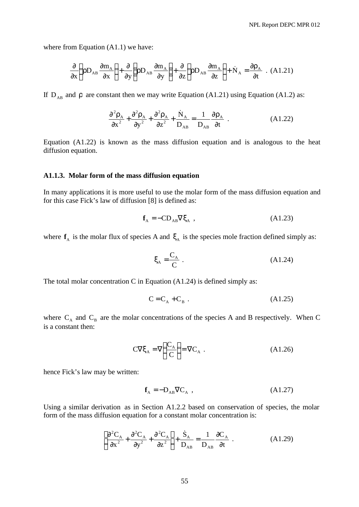where from Equation  $(A1.1)$  we have:

$$
\frac{\partial}{\partial x}\left(\rho D_{AB}\frac{\partial m_A}{\partial x}\right) + \frac{\partial}{\partial y}\left(\rho D_{AB}\frac{\partial m_A}{\partial y}\right) + \frac{\partial}{\partial z}\left(\rho D_{AB}\frac{\partial m_A}{\partial z}\right) + \dot{N}_A = \frac{\partial \rho_A}{\partial t} \quad (A1.21)
$$

If  $D_{AB}$  and  $\rho$  are constant then we may write Equation (A1.21) using Equation (A1.2) as:

$$
\frac{\partial^2 \rho_A}{\partial x^2} + \frac{\partial^2 \rho_A}{\partial y^2} + \frac{\partial^2 \rho_A}{\partial z^2} + \frac{\dot{N}_A}{D_{AB}} = \frac{1}{D_{AB}} \frac{\partial \rho_A}{\partial t} \tag{A1.22}
$$

Equation (A1.22) is known as the mass diffusion equation and is analogous to the heat diffusion equation.

#### **A1.1.3. Molar form of the mass diffusion equation**

In many applications it is more useful to use the molar form of the mass diffusion equation and for this case Fick's law of diffusion [8] is defined as:

$$
\mathbf{f}_{A} = -CD_{AB}\nabla \xi_{A} , \qquad (A1.23)
$$

where  $f_A$  is the molar flux of species A and  $\xi_A$  is the species mole fraction defined simply as:

$$
\xi_{\mathbf{A}} = \frac{\mathbf{C}_{\mathbf{A}}}{\mathbf{C}} \tag{A1.24}
$$

The total molar concentration C in Equation (A1.24) is defined simply as:

$$
C = C_A + C_B . \tag{A1.25}
$$

where  $C_A$  and  $C_B$  are the molar concentrations of the species A and B respectively. When C is a constant then:

$$
C\nabla \xi_{A} = \nabla \left(\frac{C_{A}}{C}\right) = \nabla C_{A} . \qquad (A1.26)
$$

hence Fick's law may be written:

$$
\mathbf{f}_{A} = -\mathbf{D}_{AB}\nabla \mathbf{C}_{A} , \qquad (A1.27)
$$

Using a similar derivation as in Section A1.2.2 based on conservation of species, the molar form of the mass diffusion equation for a constant molar concentration is:

$$
\left[\frac{\partial^2 C_A}{\partial x^2} + \frac{\partial^2 C_A}{\partial y^2} + \frac{\partial^2 C_A}{\partial z^2}\right] + \frac{\dot{S}_A}{D_{AB}} = \frac{1}{D_{AB}} \frac{\partial C_A}{\partial t} \tag{A1.29}
$$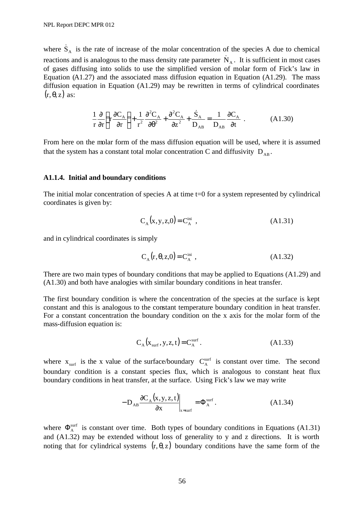where  $\dot{S}_A$  is the rate of increase of the molar concentration of the species A due to chemical reactions and is analogous to the mass density rate parameter  $N_A$ . It is sufficient in most cases of gases diffusing into solids to use the simplified version of molar form of Fick's law in Equation (A1.27) and the associated mass diffusion equation in Equation (A1.29). The mass diffusion equation in Equation (A1.29) may be rewritten in terms of cylindrical coordinates  $(r, \theta, z)$  as:

$$
\frac{1}{r}\frac{\partial}{\partial r}\left(r\frac{\partial C_A}{\partial r}\right) + \frac{1}{r^2}\frac{\partial^2 C_A}{\partial \theta^2} + \frac{\partial^2 C_A}{\partial z^2} + \frac{\dot{S}_A}{D_{AB}} = \frac{1}{D_{AB}}\frac{\partial C_A}{\partial t} \tag{A1.30}
$$

From here on the molar form of the mass diffusion equation will be used, where it is assumed that the system has a constant total molar concentration C and diffusivity  $D_{AB}$ .

#### **A1.1.4. Initial and boundary conditions**

The initial molar concentration of species A at time t=0 for a system represented by cylindrical coordinates is given by:

$$
C_A(x, y, z, 0) = C_A^{\text{ini}} \t\t( A1.31)
$$

and in cylindrical coordinates is simply

$$
C_A(r, \theta, z, 0) = C_A^{\text{ini}} \tag{A1.32}
$$

There are two main types of boundary conditions that may be applied to Equations (A1.29) and (A1.30) and both have analogies with similar boundary conditions in heat transfer.

The first boundary condition is where the concentration of the species at the surface is kept constant and this is analogous to the constant temperature boundary condition in heat transfer. For a constant concentration the boundary condition on the x axis for the molar form of the mass-diffusion equation is:

$$
C_A(x_{\text{surf}}, y, z, t) = C_A^{\text{surf}}.
$$
 (A1.33)

where  $x_{\text{surf}}$  is the x value of the surface/boundary  $C_A^{\text{surf}}$  is constant over time. The second boundary condition is a constant species flux, which is analogous to constant heat flux boundary conditions in heat transfer, at the surface. Using Fick's law we may write

$$
-D_{AB}\frac{\partial C_A(x,y,z,t)}{\partial x}\bigg|_{x=\text{surf}} = \Phi_A^{\text{surf}}.
$$
 (A1.34)

where  $\Phi_A^{\text{surf}}$  is constant over time. Both types of boundary conditions in Equations (A1.31) and (A1.32) may be extended without loss of generality to y and z directions. It is worth noting that for cylindrical systems  $(r, \theta, z)$  boundary conditions have the same form of the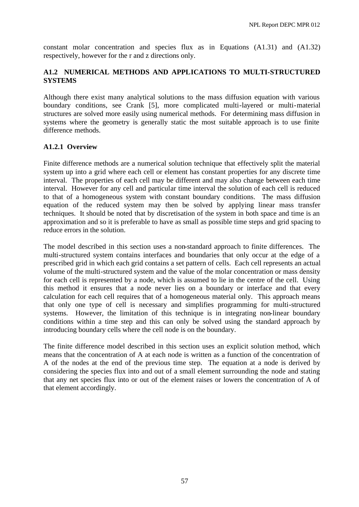constant molar concentration and species flux as in Equations (A1.31) and (A1.32) respectively, however for the r and z directions only.

## **A1.2 NUMERICAL METHODS AND APPLICATIONS TO MULTI-STRUCTURED SYSTEMS**

Although there exist many analytical solutions to the mass diffusion equation with various boundary conditions, see Crank [5], more complicated multi-layered or multi-material structures are solved more easily using numerical methods. For determining mass diffusion in systems where the geometry is generally static the most suitable approach is to use finite difference methods.

## **A1.2.1 Overview**

Finite difference methods are a numerical solution technique that effectively split the material system up into a grid where each cell or element has constant properties for any discrete time interval. The properties of each cell may be different and may also change between each time interval. However for any cell and particular time interval the solution of each cell is reduced to that of a homogeneous system with constant boundary conditions. The mass diffusion equation of the reduced system may then be solved by applying linear mass transfer techniques. It should be noted that by discretisation of the system in both space and time is an approximation and so it is preferable to have as small as possible time steps and grid spacing to reduce errors in the solution.

The model described in this section uses a non-standard approach to finite differences. The multi-structured system contains interfaces and boundaries that only occur at the edge of a prescribed grid in which each grid contains a set pattern of cells. Each cell represents an actual volume of the multi-structured system and the value of the molar concentration or mass density for each cell is represented by a node, which is assumed to lie in the centre of the cell. Using this method it ensures that a node never lies on a boundary or interface and that every calculation for each cell requires that of a homogeneous material only. This approach means that only one type of cell is necessary and simplifies programming for multi-structured systems. However, the limitation of this technique is in integrating non-linear boundary conditions within a time step and this can only be solved using the standard approach by introducing boundary cells where the cell node is on the boundary.

The finite difference model described in this section uses an explicit solution method, which means that the concentration of A at each node is written as a function of the concentration of A of the nodes at the end of the previous time step. The equation at a node is derived by considering the species flux into and out of a small element surrounding the node and stating that any net species flux into or out of the element raises or lowers the concentration of A of that element accordingly.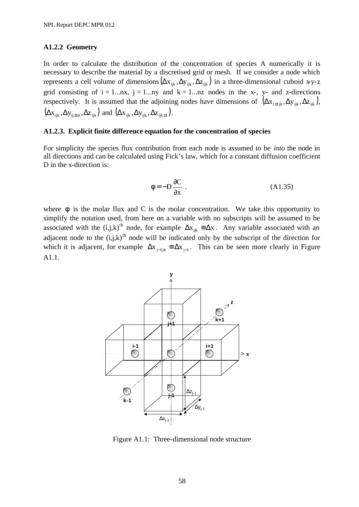#### **A1.2.2 Geometry**

In order to calculate the distribution of the concentration of species A numerically it is necessary to describe the material by a discretised grid or mesh. If we consider a node which represents a cell volume of dimensions  $(\Delta x_{ijk}, \Delta y_{ijk}, \Delta z_{ijk})$  in a three-dimensional cuboid x-y-z grid consisting of  $i = 1...nx$ ,  $j = 1...ny$  and  $k = 1...nz$  nodes in the x-, y- and z-directions respectively. It is assumed that the adjoining nodes have dimensions of  $(\Delta x_{i \pm 1jk}, \Delta y_{ijk}, \Delta z_{ijk})$ ,  $(\Delta x_{ijk}, \Delta y_{ij \pm 1k}, \Delta z_{ijk})$  and  $(\Delta x_{ijk}, \Delta y_{ijk}, \Delta z_{ijk \pm 1})$ .

#### **A1.2.3. Explicit finite difference equation for the concentration of species**

For simplicity the species flux contribution from each node is assumed to be *into* the node in all directions and can be calculated using Fick's law, which for a constant diffusion coefficient D in the x-direction is:

$$
\phi = -D\frac{\partial C}{\partial x} \tag{A1.35}
$$

where  $\phi$  is the molar flux and C is the molar concentration. We take this opportunity to simplify the notation used, from here on a variable with no subscripts will be assumed to be associated with the  $(i,j,k)$ <sup>th</sup> node, for example  $\Delta x_{ijk} = \Delta x$ . Any variable associated with an adjacent node to the  $(i,j,k)$ <sup>th</sup> node will be indicated only by the subscript of the direction for which it is adjacent, for example  $\Delta x_{j-1,k} = \Delta x_{j-1}$ . This can be seen more clearly in Figure A1.1.



Figure A1.1: Three-dimensional node structure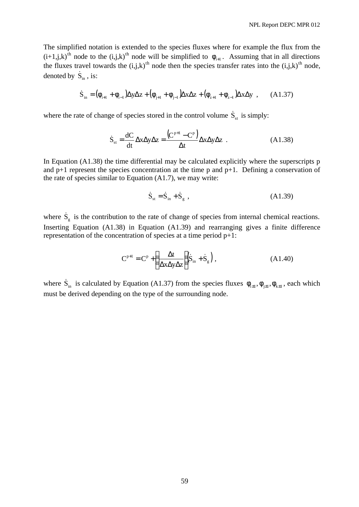The simplified notation is extended to the species fluxes where for example the flux from the  $(i+1,j,k)$ <sup>th</sup> node to the  $(i,j,k)$ <sup>th</sup> node will be simplified to  $\phi_{i+1}$ . Assuming that in all directions the fluxes travel towards the  $(i,j,k)$ <sup>th</sup> node then the species transfer rates into the  $(i,j,k)$ <sup>th</sup> node, denoted by  $\dot{S}_{in}$ , is:

$$
\dot{S}_{in} = (\phi_{i+1} + \phi_{i-1})\Delta y \Delta z + (\phi_{j+1} + \phi_{j-1})\Delta x \Delta z + (\phi_{z+1} + \phi_{z-1})\Delta x \Delta y , \quad (A1.37)
$$

where the rate of change of species stored in the control volume  $\dot{S}_{st}$  is simply:

$$
\dot{S}_{st} = \frac{dC}{dt} \Delta x \Delta y \Delta z = \frac{(C^{p+1} - C^p)}{\Delta t} \Delta x \Delta y \Delta z
$$
 (A1.38)

In Equation (A1.38) the time differential may be calculated explicitly where the superscripts p and  $p+1$  represent the species concentration at the time p and  $p+1$ . Defining a conservation of the rate of species similar to Equation (A1.7), we may write:

$$
\dot{S}_{st} = \dot{S}_{in} + \dot{S}_{g} , \qquad (A1.39)
$$

where  $\dot{S}_g$  is the contribution to the rate of change of species from internal chemical reactions. Inserting Equation (A1.38) in Equation (A1.39) and rearranging gives a finite difference representation of the concentration of species at a time period p+1:

$$
C^{p+1} = C^p + \left(\frac{\Delta t}{\Delta x \Delta y \Delta z}\right) \left(\dot{S}_{in} + \dot{S}_g\right),\tag{A1.40}
$$

where  $\dot{S}_{in}$  is calculated by Equation (A1.37) from the species fluxes  $\phi_{i\pm 1}, \phi_{i\pm 1}, \phi_{k\pm 1}$ , each which must be derived depending on the type of the surrounding node.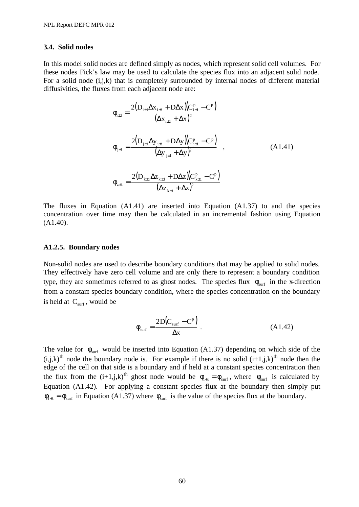#### **3.4. Solid nodes**

In this model solid nodes are defined simply as nodes, which represent solid cell volumes. For these nodes Fick's law may be used to calculate the species flux into an adjacent solid node. For a solid node (i,j,k) that is completely surrounded by internal nodes of different material diffusivities, the fluxes from each adjacent node are:

$$
\phi_{i\pm 1} = \frac{2(D_{i\pm 1}\Delta x_{i\pm 1} + D\Delta x)(C_{i\pm 1}^p - C^p)}{(\Delta x_{i\pm 1} + \Delta x)^2}
$$
\n
$$
\phi_{j\pm 1} = \frac{2(D_{j\pm 1}\Delta y_{j\pm 1} + D\Delta y)(C_{j\pm 1}^p - C^p)}{(\Delta y_{j\pm 1} + \Delta y)^2},
$$
\n
$$
\phi_{z\pm 1} = \frac{2(D_{k\pm 1}\Delta z_{k\pm 1} + D\Delta z)(C_{k\pm 1}^p - C^p)}{(\Delta z_{k\pm 1} + \Delta z)^2}
$$
\n(A1.41)

The fluxes in Equation (A1.41) are inserted into Equation (A1.37) to and the species concentration over time may then be calculated in an incremental fashion using Equation (A1.40).

#### **A1.2.5. Boundary nodes**

Non-solid nodes are used to describe boundary conditions that may be applied to solid nodes. They effectively have zero cell volume and are only there to represent a boundary condition type, they are sometimes referred to as ghost nodes. The species flux  $\phi_{\text{surf}}$  in the x-direction from a constant species boundary condition, where the species concentration on the boundary is held at  $C_{\text{surf}}$ , would be

$$
\phi_{\text{surf}} = \frac{2D(C_{\text{surf}} - C^{\text{p}})}{\Delta x} \,. \tag{A1.42}
$$

The value for  $\phi_{\text{surf}}$  would be inserted into Equation (A1.37) depending on which side of the  $(i,j,k)$ <sup>th</sup> node the boundary node is. For example if there is no solid  $(i+1,j,k)$ <sup>th</sup> node then the edge of the cell on that side is a boundary and if held at a constant species concentration then the flux from the  $(i+1,j,k)^{th}$  ghost node would be  $\phi_{i+1} = \phi_{surf}$ , where  $\phi_{surf}$  is calculated by Equation (A1.42). For applying a constant species flux at the boundary then simply put  $\phi_{i+1} = \phi_{\text{surf}}$  in Equation (A1.37) where  $\phi_{\text{surf}}$  is the value of the species flux at the boundary.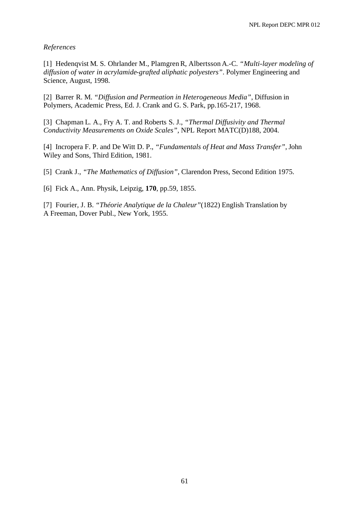#### *References*

[1] Hedenqvist M. S. Ohrlander M., PlamgrenR, Albertsson A.-C. *"Multi-layer modeling of diffusion of water in acrylamide-grafted aliphatic polyesters"*. Polymer Engineering and Science, August, 1998.

[2] Barrer R. M. *"Diffusion and Permeation in Heterogeneous Media"*, Diffusion in Polymers, Academic Press, Ed. J. Crank and G. S. Park, pp.165-217, 1968.

[3] Chapman L. A., Fry A. T. and Roberts S. J., *"Thermal Diffusivity and Thermal Conductivity Measurements on Oxide Scales",* NPL Report MATC(D)188, 2004.

[4] Incropera F. P. and De Witt D. P., *"Fundamentals of Heat and Mass Transfer"*, John Wiley and Sons, Third Edition, 1981.

[5] Crank J., *"The Mathematics of Diffusion"*, Clarendon Press, Second Edition 1975.

[6] Fick A., Ann. Physik, Leipzig, **170**, pp.59, 1855.

[7] Fourier, J. B. *"Théorie Analytique de la Chaleur"*(1822) English Translation by A Freeman, Dover Publ., New York, 1955.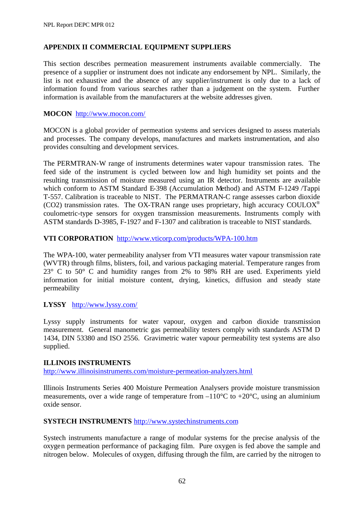## **APPENDIX II COMMERCIAL EQUIPMENT SUPPLIERS**

This section describes permeation measurement instruments available commercially. The presence of a supplier or instrument does not indicate any endorsement by NPL. Similarly, the list is not exhaustive and the absence of any supplier/instrument is only due to a lack of information found from various searches rather than a judgement on the system. Further information is available from the manufacturers at the website addresses given.

## **MOCON** http://www.mocon.com/

MOCON is a global provider of permeation systems and services designed to assess materials and processes. The company develops, manufactures and markets instrumentation, and also provides consulting and development services.

The PERMTRAN-W range of instruments determines water vapour transmission rates. The feed side of the instrument is cycled between low and high humidity set points and the resulting transmission of moisture measured using an IR detector. Instruments are available which conform to ASTM Standard E-398 (Accumulation Method) and ASTM F-1249 /Tappi T-557. Calibration is traceable to NIST. The PERMATRAN-C range assesses carbon dioxide (CO2) transmission rates. The OX-TRAN range uses proprietary, high accuracy COULOX<sup>®</sup> coulometric-type sensors for oxygen transmission measurements. Instruments comply with ASTM standards D-3985, F-1927 and F-1307 and calibration is traceable to NIST standards.

## **VTI CORPORATION** http://www.vticorp.com/products/WPA-100.htm

The WPA-100, water permeability analyser from VTI measures water vapour transmission rate (WVTR) through films, blisters, foil, and various packaging material. Temperature ranges from 23° C to 50° C and humidity ranges from 2% to 98% RH are used. Experiments yield information for initial moisture content, drying, kinetics, diffusion and steady state permeability

#### **LYSSY** http://www.lyssy.com/

Lyssy supply instruments for water vapour, oxygen and carbon dioxide transmission measurement. General manometric gas permeability testers comply with standards ASTM D 1434, DIN 53380 and ISO 2556. Gravimetric water vapour permeability test systems are also supplied.

#### **ILLINOIS INSTRUMENTS**

http://www.illinoisinstruments.com/moisture-permeation-analyzers.html

Illinois Instruments Series 400 Moisture Permeation Analysers provide moisture transmission measurements, over a wide range of temperature from  $-110^{\circ}$ C to  $+20^{\circ}$ C, using an aluminium oxide sensor.

#### **SYSTECH INSTRUMENTS** http://www.systechinstruments.com

Systech instruments manufacture a range of modular systems for the precise analysis of the oxygen permeation performance of packaging film. Pure oxygen is fed above the sample and nitrogen below. Molecules of oxygen, diffusing through the film, are carried by the nitrogen to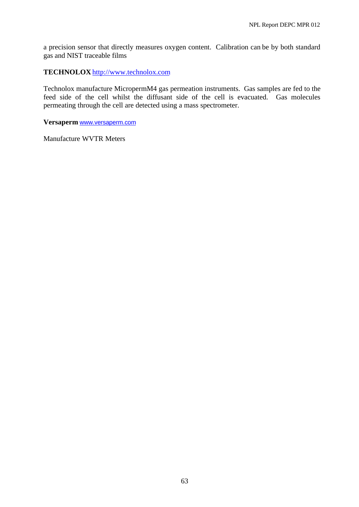a precision sensor that directly measures oxygen content. Calibration can be by both standard gas and NIST traceable films

**TECHNOLOX** http://www.technolox.com

Technolox manufacture MicropermM4 gas permeation instruments. Gas samples are fed to the feed side of the cell whilst the diffusant side of the cell is evacuated. Gas molecules permeating through the cell are detected using a mass spectrometer.

**Versaperm** www.versaperm.com

Manufacture WVTR Meters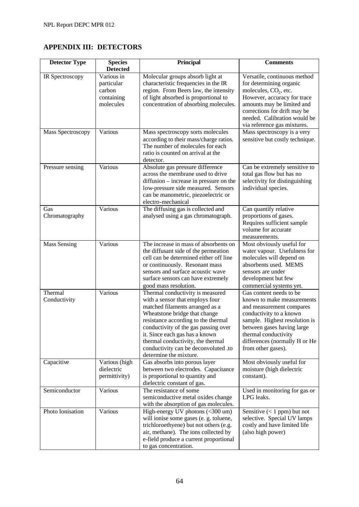# **APPENDIX III: DETECTORS**

| <b>Detector Type</b>    | <b>Species</b><br><b>Detected</b>                             | Principal                                                                                                                                                                                                                                                                                                                                                       | <b>Comments</b>                                                                                                                                                                                                                                            |
|-------------------------|---------------------------------------------------------------|-----------------------------------------------------------------------------------------------------------------------------------------------------------------------------------------------------------------------------------------------------------------------------------------------------------------------------------------------------------------|------------------------------------------------------------------------------------------------------------------------------------------------------------------------------------------------------------------------------------------------------------|
| IR Spectroscopy         | Various in<br>particular<br>carbon<br>containing<br>molecules | Molecular groups absorb light at<br>characteristic frequencies in the IR<br>region. From Beers law, the intensity<br>of light absorbed is proportional to<br>concentration of absorbing molecules.                                                                                                                                                              | Versatile, continuous method<br>for determining organic<br>molecules, $CO2$ , etc.<br>However, accuracy for trace<br>amounts may be limited and<br>corrections for drift may be<br>needed. Calibration would be<br>via reference gas mixtures.             |
| Mass Spectroscopy       | Various                                                       | Mass spectroscopy sorts molecules<br>according to their mass/charge ratios.<br>The number of molecules for each<br>ratio is counted on arrival at the<br>detector.                                                                                                                                                                                              | Mass spectroscopy is a very<br>sensitive but costly technique.                                                                                                                                                                                             |
| Pressure sensing        | Various                                                       | Absolute gas pressure difference<br>across the membrane used to drive<br>diffusion – increase in pressure on the<br>low-pressure side measured. Sensors<br>can be manometric, piezoelectric or<br>electro-mechanical                                                                                                                                            | Can be extremely sensitive to<br>total gas flow but has no<br>selectivity for distinguishing<br>individual species.                                                                                                                                        |
| Gas<br>Chromatography   | Various                                                       | The diffusing gas is collected and<br>analysed using a gas chromatograph.                                                                                                                                                                                                                                                                                       | Can quantify relative<br>proportions of gases.<br>Requires sufficient sample<br>volume for accurate<br>measurements.                                                                                                                                       |
| <b>Mass Sensing</b>     | Various                                                       | The increase in mass of absorbents on<br>the diffusant side of the permeation<br>cell can be determined either off line<br>or continuously. Resonant mass<br>sensors and surface acoustic wave<br>surface sensors can have extremely<br>good mass resolution.                                                                                                   | Most obviously useful for<br>water vapour. Usefulness for<br>molecules will depend on<br>absorbents used. MEMS<br>sensors are under<br>development but few<br>commercial systems yet.                                                                      |
| Thermal<br>Conductivity | Various                                                       | Thermal conductivity is measured<br>with a sensor that employs four<br>matched filaments arranged as a<br>Wheatstone bridge that change<br>resistance according to the thermal<br>conductivity of the gas passing over<br>it. Since each gas has a known<br>thermal conductivity, the thermal<br>conductivity can be deconvoluted .to<br>determine the mixture. | Gas content needs to be<br>known to make measurements<br>and measurement compares<br>conductivity to a known<br>sample. Highest resolution is<br>between gases having large<br>thermal conductivity<br>differences (normally H or He<br>from other gases). |
| Capacitive              | Various (high<br>dielectric<br>permittivity)                  | Gas absorbs into porous layer<br>between two electrodes. Capacitance<br>is proportional to quantity and<br>dielectric constant of gas.                                                                                                                                                                                                                          | Most obviously useful for<br>moisture (high dielectric<br>constant).                                                                                                                                                                                       |
| Semiconductor           | Various                                                       | The resistance of some<br>semiconductive metal oxides change<br>with the absorption of gas molecules.                                                                                                                                                                                                                                                           | Used in monitoring for gas or<br>LPG leaks.                                                                                                                                                                                                                |
| Photo Ionisation        | Various                                                       | High-energy UV photons (<300 um)<br>will ionise some gases (e. g. toluene,<br>trichloroethyene) but not others (e.g.<br>air, methane). The ions collected by<br>e-field produce a current proportional<br>to gas concentration.                                                                                                                                 | Sensitive $(< 1$ ppm) but not<br>selective. Special UV lamps<br>costly and have limited life<br>(also high power)                                                                                                                                          |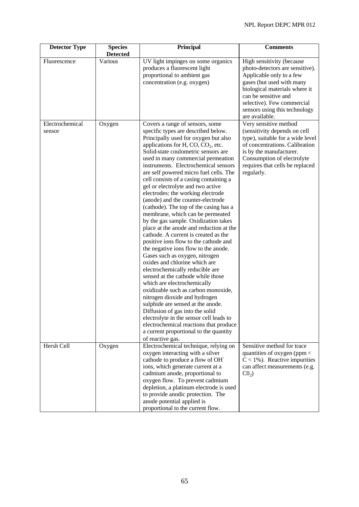| <b>Detector Type</b>      | <b>Species</b><br><b>Detected</b> | Principal                                                                                                                                                                                                                                                                                                                                                                                                                                                                                                                                                                                                                                                                                                                                                                                                                                                                                                                                                                                                                                                                                                                                                                                                                                                | <b>Comments</b>                                                                                                                                                                                                                                                 |
|---------------------------|-----------------------------------|----------------------------------------------------------------------------------------------------------------------------------------------------------------------------------------------------------------------------------------------------------------------------------------------------------------------------------------------------------------------------------------------------------------------------------------------------------------------------------------------------------------------------------------------------------------------------------------------------------------------------------------------------------------------------------------------------------------------------------------------------------------------------------------------------------------------------------------------------------------------------------------------------------------------------------------------------------------------------------------------------------------------------------------------------------------------------------------------------------------------------------------------------------------------------------------------------------------------------------------------------------|-----------------------------------------------------------------------------------------------------------------------------------------------------------------------------------------------------------------------------------------------------------------|
| Fluorescence              | Various                           | UV light impinges on some organics<br>produces a fluorescent light<br>proportional to ambient gas<br>concentration (e.g. oxygen)                                                                                                                                                                                                                                                                                                                                                                                                                                                                                                                                                                                                                                                                                                                                                                                                                                                                                                                                                                                                                                                                                                                         | High sensitivity (because<br>photo-detectors are sensitive).<br>Applicable only to a few<br>gases (but used with many<br>biological materials where it<br>can be sensitive and<br>selective). Few commercial<br>sensors using this technology<br>are available. |
| Electrochemical<br>sensor | Oxygen                            | Covers a range of sensors, some<br>specific types are described below.<br>Principally used for oxygen but also<br>applications for H, $CO$ , $CO2$ , etc.<br>Solid-state coulometric sensors are<br>used in many commercial permeation<br>instruments. Electrochemical sensors<br>are self powered micro fuel cells. The<br>cell consists of a casing containing a<br>gel or electrolyte and two active<br>electrodes: the working electrode<br>(anode) and the counter-electrode<br>(cathode). The top of the casing has a<br>membrane, which can be permeated<br>by the gas sample. Oxidization takes<br>place at the anode and reduction at the<br>cathode. A current is created as the<br>positive ions flow to the cathode and<br>the negative ions flow to the anode.<br>Gases such as oxygen, nitrogen<br>oxides and chlorine which are<br>electrochemically reducible are<br>sensed at the cathode while those<br>which are electrochemically<br>oxidizable such as carbon monoxide,<br>nitrogen dioxide and hydrogen<br>sulphide are sensed at the anode.<br>Diffusion of gas into the solid<br>electrolyte in the sensor cell leads to<br>electrochemical reactions that produce<br>a current proportional to the quantity<br>of reactive gas. | Very sensitive method<br>(sensitivity depends on cell<br>type), suitable for a wide level<br>of concentrations. Calibration<br>is by the manufacturer.<br>Consumption of electrolyte<br>requires that cells be replaced<br>regularly.                           |
| Hersh Cell                | Oxygen                            | Electrochemical technique, relying on<br>oxygen interacting with a silver<br>cathode to produce a flow of OH<br>ions, which generate current at a<br>cadmium anode, proportional to<br>oxygen flow. To prevent cadmium<br>depletion, a platinum electrode is used<br>to provide anodic protection. The<br>anode potential applied is<br>proportional to the current flow.                                                                                                                                                                                                                                                                                                                                                                                                                                                                                                                                                                                                                                                                                                                                                                                                                                                                                | Sensitive method for trace<br>quantities of oxygen (ppm $\lt$<br>$C < 1\%$ ). Reactive impurities<br>can affect measurements (e.g.<br>$CO2$ )                                                                                                                   |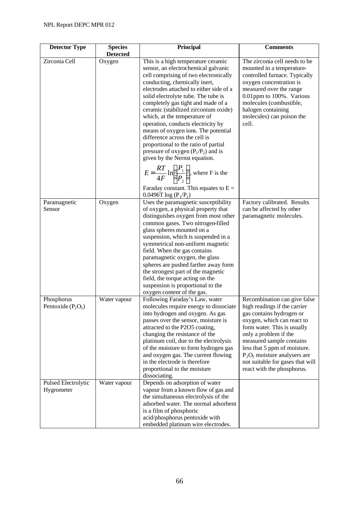| <b>Detector Type</b>               | <b>Species</b>            | Principal                                                                                                                                                                                                                                                                                                                                                                                                                                                                                                                                                                                                                                                      | <b>Comments</b>                                                                                                                                                                                                                                                                                                                                 |
|------------------------------------|---------------------------|----------------------------------------------------------------------------------------------------------------------------------------------------------------------------------------------------------------------------------------------------------------------------------------------------------------------------------------------------------------------------------------------------------------------------------------------------------------------------------------------------------------------------------------------------------------------------------------------------------------------------------------------------------------|-------------------------------------------------------------------------------------------------------------------------------------------------------------------------------------------------------------------------------------------------------------------------------------------------------------------------------------------------|
| Zirconia Cell                      | <b>Detected</b><br>Oxygen | This is a high temperature ceramic<br>sensor, an electrochemical galvanic<br>cell comprising of two electronically<br>conducting, chemically inert,<br>electrodes attached to either side of a<br>solid electrolyte tube. The tube is<br>completely gas tight and made of a<br>ceramic (stabilized zirconium oxide)<br>which, at the temperature of<br>operation, conducts electricity by<br>means of oxygen ions. The potential<br>difference across the cell is<br>proportional to the ratio of partial<br>pressure of oxygen $(P_1/P_2)$ and is<br>given by the Nernst equation.<br>$E = \frac{RT}{4F} \ln \left( \frac{P_1}{P_2} \right)$ , where F is the | The zirconia cell needs to be<br>mounted in a temperature-<br>controlled furnace. Typically<br>oxygen concentration is<br>measured over the range<br>0.01ppm to 100%. Various<br>molecules (combustible,<br>halogen containing<br>molecules) can poison the<br>cell.                                                                            |
|                                    |                           | Faraday constant. This equates to $E =$<br>0.0496T log $(P_1/P_2)$                                                                                                                                                                                                                                                                                                                                                                                                                                                                                                                                                                                             |                                                                                                                                                                                                                                                                                                                                                 |
| Paramagnetic<br>Sensor             | Oxygen                    | Uses the paramagnetic susceptibility<br>of oxygen, a physical property that<br>distinguishes oxygen from most other<br>common gases. Two nitrogen-filled<br>glass spheres mounted on a<br>suspension, which is suspended in a<br>symmetrical non-uniform magnetic<br>field. When the gas contains<br>paramagnetic oxygen, the glass<br>spheres are pushed farther away form<br>the strongest part of the magnetic<br>field, the torque acting on the<br>suspension is proportional to the<br>oxygen content of the gas.                                                                                                                                        | Factory calibrated. Results<br>can be affected by other<br>paramagnetic molecules.                                                                                                                                                                                                                                                              |
| Phosphorus<br>Pentoxide $(P_2O_5)$ | Water vapour              | Following Faraday's Law, water<br>molecules require energy to dissociate<br>into hydrogen and oxygen. As gas<br>passes over the sensor, moisture is<br>attracted to the P2O5 coating,<br>changing the resistance of the<br>platinum coil, due to the electrolysis<br>of the moisture to form hydrogen gas<br>and oxygen gas. The current flowing<br>in the electrode is therefore<br>proportional to the moisture<br>dissociating.                                                                                                                                                                                                                             | Recombination can give false<br>high readings if the carrier<br>gas contains hydrogen or<br>oxygen, which can react to<br>form water. This is usually<br>only a problem if the<br>measured sample contains<br>less that 5 ppm of moisture.<br>$P_2O_5$ moisture analysers are<br>not suitable for gases that will<br>react with the phosphorus. |
| Pulsed Electrolytic<br>Hygrometer  | Water vapour              | Depends on adsorption of water<br>vapour from a known flow of gas and<br>the simultaneous electrolysis of the<br>adsorbed water. The normal adsorbent<br>is a film of phosphoric<br>acid/phosphorus pentoxide with<br>embedded platinum wire electrodes.                                                                                                                                                                                                                                                                                                                                                                                                       |                                                                                                                                                                                                                                                                                                                                                 |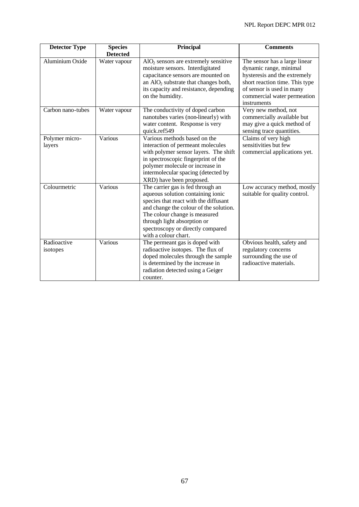| <b>Detector Type</b>     | <b>Species</b>  | <b>Principal</b>                                                                                                                                                                                                                                                                       | <b>Comments</b>                                                                                                                                                                                      |
|--------------------------|-----------------|----------------------------------------------------------------------------------------------------------------------------------------------------------------------------------------------------------------------------------------------------------------------------------------|------------------------------------------------------------------------------------------------------------------------------------------------------------------------------------------------------|
|                          | <b>Detected</b> |                                                                                                                                                                                                                                                                                        |                                                                                                                                                                                                      |
| Aluminium Oxide          | Water vapour    | $AIO2$ sensors are extremely sensitive<br>moisture sensors. Interdigitated<br>capacitance sensors are mounted on<br>an $\text{AlO}_2$ substrate that changes both,<br>its capacity and resistance, depending<br>on the humidity.                                                       | The sensor has a large linear<br>dynamic range, minimal<br>hysteresis and the extremely<br>short reaction time. This type<br>of sensor is used in many<br>commercial water permeation<br>instruments |
| Carbon nano-tubes        | Water vapour    | The conductivity of doped carbon<br>nanotubes varies (non-linearly) with<br>water content. Response is very<br>quick.ref549                                                                                                                                                            | Very new method, not<br>commercially available but<br>may give a quick method of<br>sensing trace quantities.                                                                                        |
| Polymer micro-<br>layers | Various         | Various methods based on the<br>interaction of permeant molecules<br>with polymer sensor layers. The shift<br>in spectroscopic fingerprint of the<br>polymer molecule or increase in<br>intermolecular spacing (detected by<br>XRD) have been proposed.                                | Claims of very high<br>sensitivities but few<br>commercial applications yet.                                                                                                                         |
| Colourmetric             | Various         | The carrier gas is fed through an<br>aqueous solution containing ionic<br>species that react with the diffusant<br>and change the colour of the solution.<br>The colour change is measured<br>through light absorption or<br>spectroscopy or directly compared<br>with a colour chart. | Low accuracy method, mostly<br>suitable for quality control.                                                                                                                                         |
| Radioactive<br>isotopes  | Various         | The permeant gas is doped with<br>radioactive isotopes. The flux of<br>doped molecules through the sample<br>is determined by the increase in<br>radiation detected using a Geiger<br>counter.                                                                                         | Obvious health, safety and<br>regulatory concerns<br>surrounding the use of<br>radioactive materials.                                                                                                |